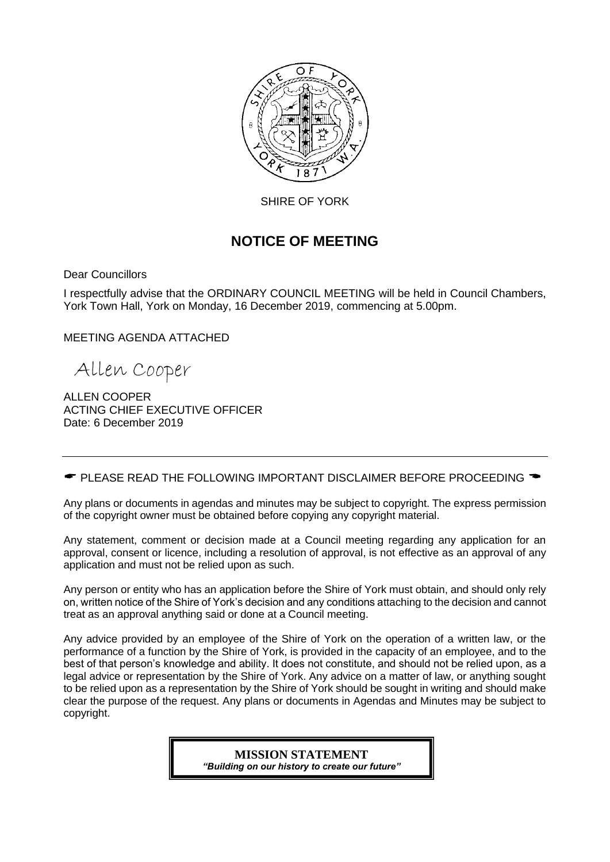

SHIRE OF YORK

# **NOTICE OF MEETING**

Dear Councillors

I respectfully advise that the ORDINARY COUNCIL MEETING will be held in Council Chambers, York Town Hall, York on Monday, 16 December 2019, commencing at 5.00pm.

MEETING AGENDA ATTACHED

Allen Cooper

ALLEN COOPER ACTING CHIEF EXECUTIVE OFFICER Date: 6 December 2019

 $\bullet$  PLEASE READ THE FOLLOWING IMPORTANT DISCLAIMER BEFORE PROCEEDING  $\bullet$ 

Any plans or documents in agendas and minutes may be subject to copyright. The express permission of the copyright owner must be obtained before copying any copyright material.

Any statement, comment or decision made at a Council meeting regarding any application for an approval, consent or licence, including a resolution of approval, is not effective as an approval of any application and must not be relied upon as such.

Any person or entity who has an application before the Shire of York must obtain, and should only rely on, written notice of the Shire of York's decision and any conditions attaching to the decision and cannot treat as an approval anything said or done at a Council meeting.

Any advice provided by an employee of the Shire of York on the operation of a written law, or the performance of a function by the Shire of York, is provided in the capacity of an employee, and to the best of that person's knowledge and ability. It does not constitute, and should not be relied upon, as a legal advice or representation by the Shire of York. Any advice on a matter of law, or anything sought to be relied upon as a representation by the Shire of York should be sought in writing and should make clear the purpose of the request. Any plans or documents in Agendas and Minutes may be subject to copyright.

> **MISSION STATEMENT** *"Building on our history to create our future"*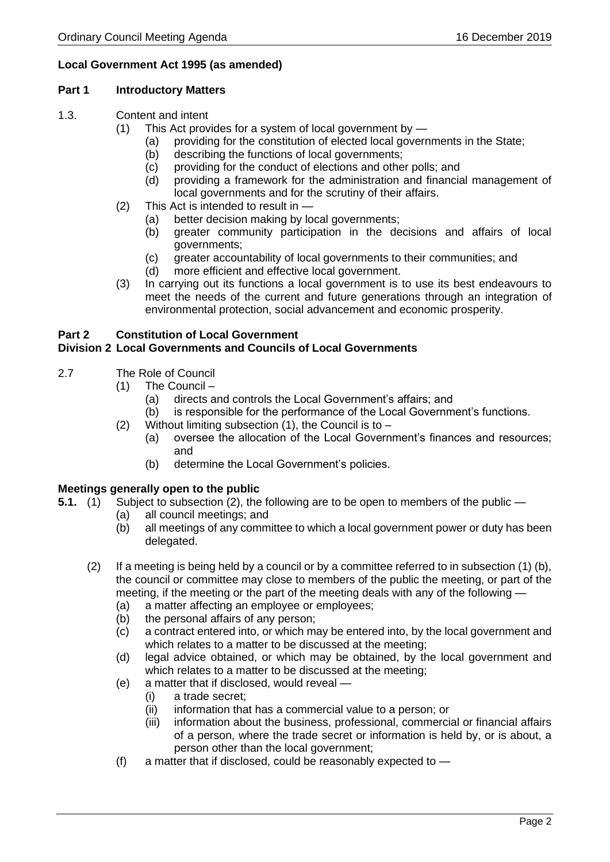### **Local Government Act 1995 (as amended)**

### **Part 1 Introductory Matters**

- 1.3. Content and intent
	- (1) This Act provides for a system of local government by
		- (a) providing for the constitution of elected local governments in the State;
		- (b) describing the functions of local governments;
		- (c) providing for the conduct of elections and other polls; and
		- (d) providing a framework for the administration and financial management of local governments and for the scrutiny of their affairs.
	- (2) This Act is intended to result in
		- (a) better decision making by local governments;
		- (b) greater community participation in the decisions and affairs of local governments;
		- (c) greater accountability of local governments to their communities; and
		- (d) more efficient and effective local government.
	- (3) In carrying out its functions a local government is to use its best endeavours to meet the needs of the current and future generations through an integration of environmental protection, social advancement and economic prosperity.

# **Part 2 Constitution of Local Government**

### **Division 2 Local Governments and Councils of Local Governments**

- 2.7 The Role of Council
	- (1) The Council
		- (a) directs and controls the Local Government's affairs; and
		- (b) is responsible for the performance of the Local Government's functions.
	- (2) Without limiting subsection  $(1)$ , the Council is to
		- (a) oversee the allocation of the Local Government's finances and resources; and
		- (b) determine the Local Government's policies.

### **Meetings generally open to the public**

- **5.1.** (1) Subject to subsection (2), the following are to be open to members of the public
	- (a) all council meetings; and
	- (b) all meetings of any committee to which a local government power or duty has been delegated.
	- (2) If a meeting is being held by a council or by a committee referred to in subsection (1) (b), the council or committee may close to members of the public the meeting, or part of the meeting, if the meeting or the part of the meeting deals with any of the following —
		- (a) a matter affecting an employee or employees;
		- (b) the personal affairs of any person;
		- (c) a contract entered into, or which may be entered into, by the local government and which relates to a matter to be discussed at the meeting;
		- (d) legal advice obtained, or which may be obtained, by the local government and which relates to a matter to be discussed at the meeting;
		- (e) a matter that if disclosed, would reveal
			- (i) a trade secret;
			- (ii) information that has a commercial value to a person; or
			- (iii) information about the business, professional, commercial or financial affairs of a person, where the trade secret or information is held by, or is about, a person other than the local government;
		- (f) a matter that if disclosed, could be reasonably expected to  $-$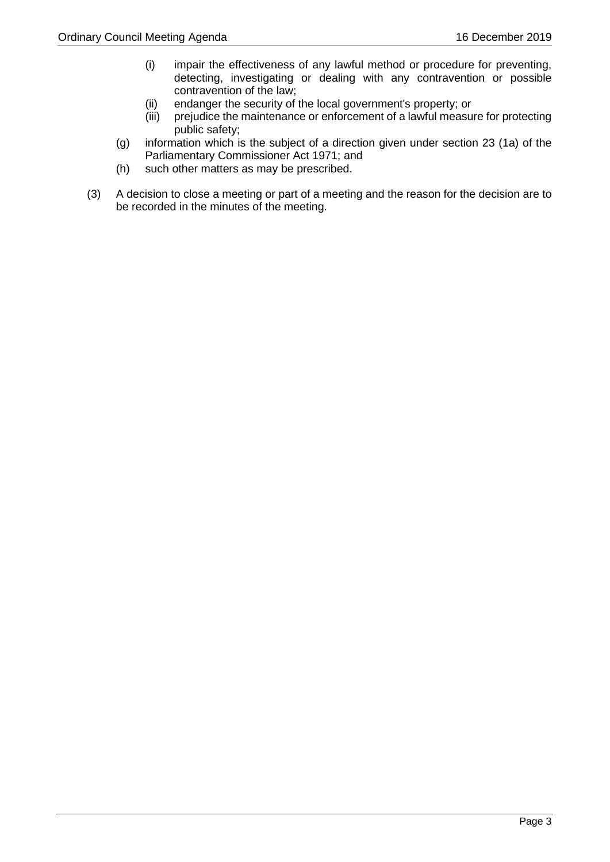- (i) impair the effectiveness of any lawful method or procedure for preventing, detecting, investigating or dealing with any contravention or possible contravention of the law;
- (ii) endanger the security of the local government's property; or
- (iii) prejudice the maintenance or enforcement of a lawful measure for protecting public safety;
- (g) information which is the subject of a direction given under section 23 (1a) of the Parliamentary Commissioner Act 1971; and
- (h) such other matters as may be prescribed.
- (3) A decision to close a meeting or part of a meeting and the reason for the decision are to be recorded in the minutes of the meeting.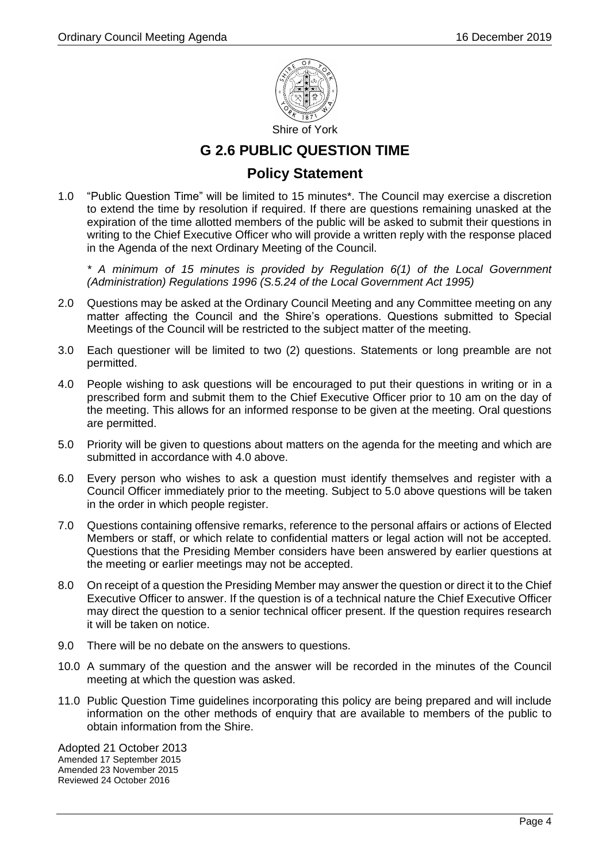

## **G 2.6 PUBLIC QUESTION TIME**

### **Policy Statement**

1.0 "Public Question Time" will be limited to 15 minutes\*. The Council may exercise a discretion to extend the time by resolution if required. If there are questions remaining unasked at the expiration of the time allotted members of the public will be asked to submit their questions in writing to the Chief Executive Officer who will provide a written reply with the response placed in the Agenda of the next Ordinary Meeting of the Council.

*\* A minimum of 15 minutes is provided by Regulation 6(1) of the Local Government (Administration) Regulations 1996 (S.5.24 of the Local Government Act 1995)*

- 2.0 Questions may be asked at the Ordinary Council Meeting and any Committee meeting on any matter affecting the Council and the Shire's operations. Questions submitted to Special Meetings of the Council will be restricted to the subject matter of the meeting.
- 3.0 Each questioner will be limited to two (2) questions. Statements or long preamble are not permitted.
- 4.0 People wishing to ask questions will be encouraged to put their questions in writing or in a prescribed form and submit them to the Chief Executive Officer prior to 10 am on the day of the meeting. This allows for an informed response to be given at the meeting. Oral questions are permitted.
- 5.0 Priority will be given to questions about matters on the agenda for the meeting and which are submitted in accordance with 4.0 above.
- 6.0 Every person who wishes to ask a question must identify themselves and register with a Council Officer immediately prior to the meeting. Subject to 5.0 above questions will be taken in the order in which people register.
- 7.0 Questions containing offensive remarks, reference to the personal affairs or actions of Elected Members or staff, or which relate to confidential matters or legal action will not be accepted. Questions that the Presiding Member considers have been answered by earlier questions at the meeting or earlier meetings may not be accepted.
- 8.0 On receipt of a question the Presiding Member may answer the question or direct it to the Chief Executive Officer to answer. If the question is of a technical nature the Chief Executive Officer may direct the question to a senior technical officer present. If the question requires research it will be taken on notice.
- 9.0 There will be no debate on the answers to questions.
- 10.0 A summary of the question and the answer will be recorded in the minutes of the Council meeting at which the question was asked.
- 11.0 Public Question Time guidelines incorporating this policy are being prepared and will include information on the other methods of enquiry that are available to members of the public to obtain information from the Shire.

Adopted 21 October 2013 Amended 17 September 2015 Amended 23 November 2015 Reviewed 24 October 2016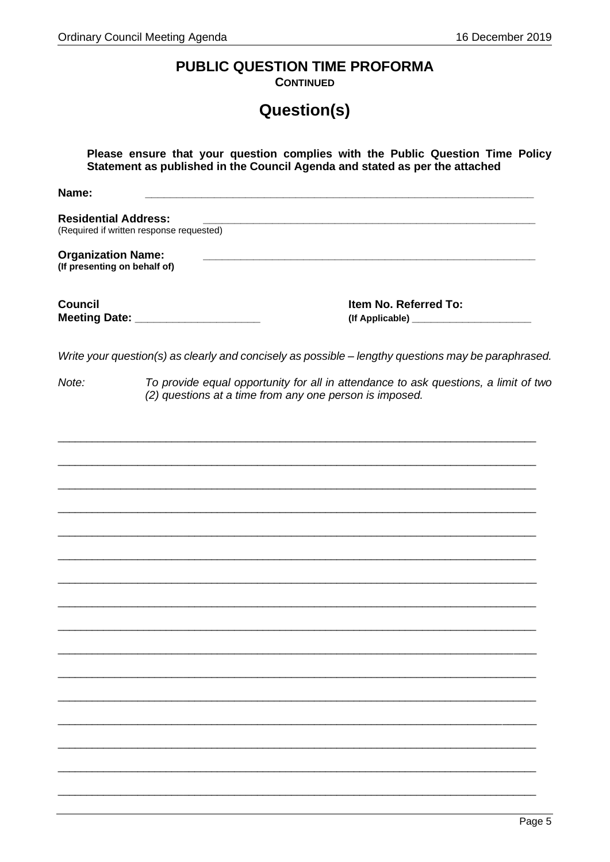# PUBLIC QUESTION TIME PROFORMA

**CONTINUED** 

# Question(s)

| Please ensure that your question complies with the Public Question Time Policy<br>Statement as published in the Council Agenda and stated as per the attached |                                                                                                                                                |  |
|---------------------------------------------------------------------------------------------------------------------------------------------------------------|------------------------------------------------------------------------------------------------------------------------------------------------|--|
| Name:                                                                                                                                                         |                                                                                                                                                |  |
| <b>Residential Address:</b>                                                                                                                                   | (Required if written response requested)                                                                                                       |  |
| <b>Organization Name:</b><br>(If presenting on behalf of)                                                                                                     | <u> 1989 - Johann Barn, amerikan berkema dalam berkema dalam berkema dalam berkema dalam berkema dalam berkema da</u>                          |  |
| <b>Council</b>                                                                                                                                                | Item No. Referred To:<br>Meeting Date: _____________________                                                                                   |  |
|                                                                                                                                                               | Write your question(s) as clearly and concisely as possible - lengthy questions may be paraphrased.                                            |  |
| Note:                                                                                                                                                         | To provide equal opportunity for all in attendance to ask questions, a limit of two<br>(2) questions at a time from any one person is imposed. |  |
|                                                                                                                                                               |                                                                                                                                                |  |
|                                                                                                                                                               |                                                                                                                                                |  |
|                                                                                                                                                               |                                                                                                                                                |  |
|                                                                                                                                                               |                                                                                                                                                |  |
|                                                                                                                                                               |                                                                                                                                                |  |
|                                                                                                                                                               |                                                                                                                                                |  |
|                                                                                                                                                               |                                                                                                                                                |  |
|                                                                                                                                                               |                                                                                                                                                |  |
|                                                                                                                                                               |                                                                                                                                                |  |
|                                                                                                                                                               |                                                                                                                                                |  |
|                                                                                                                                                               |                                                                                                                                                |  |
|                                                                                                                                                               |                                                                                                                                                |  |
|                                                                                                                                                               |                                                                                                                                                |  |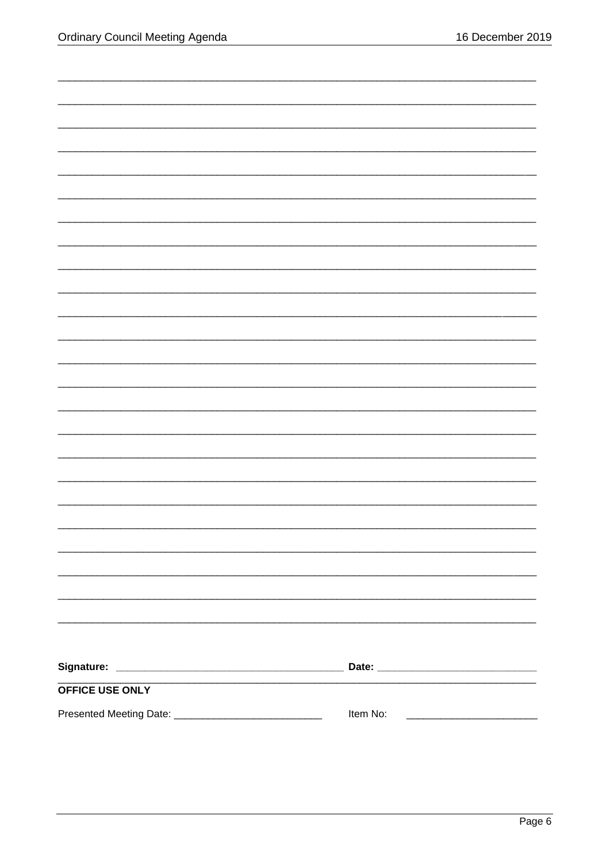| <b>OFFICE USE ONLY</b> |          |
|------------------------|----------|
|                        | Item No: |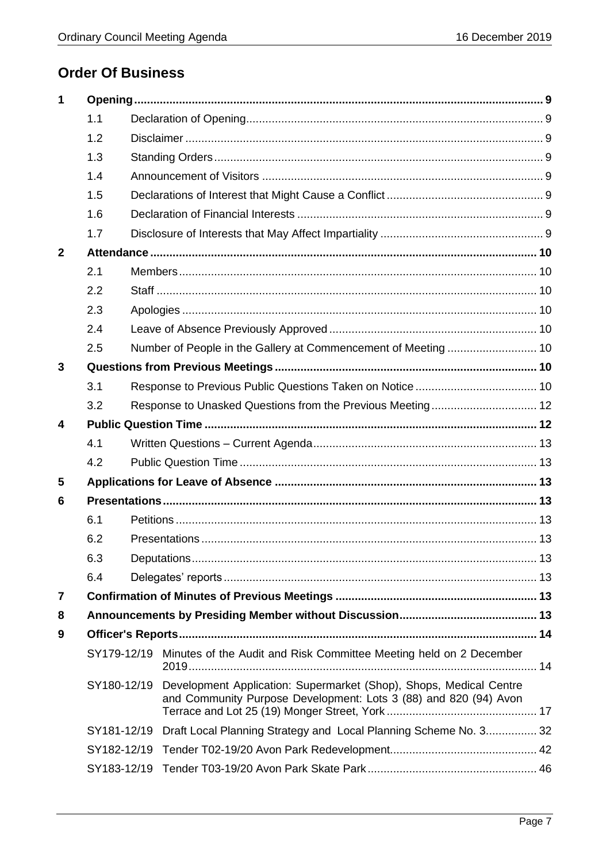# **Order Of Business**

| 1            |             |  |                                                                                                                                        |  |
|--------------|-------------|--|----------------------------------------------------------------------------------------------------------------------------------------|--|
|              | 1.1         |  |                                                                                                                                        |  |
|              | 1.2         |  |                                                                                                                                        |  |
|              | 1.3         |  |                                                                                                                                        |  |
|              | 1.4         |  |                                                                                                                                        |  |
|              | 1.5         |  |                                                                                                                                        |  |
|              | 1.6         |  |                                                                                                                                        |  |
|              | 1.7         |  |                                                                                                                                        |  |
| $\mathbf{2}$ |             |  |                                                                                                                                        |  |
|              | 2.1         |  |                                                                                                                                        |  |
|              | 2.2         |  |                                                                                                                                        |  |
|              | 2.3         |  |                                                                                                                                        |  |
|              | 2.4         |  |                                                                                                                                        |  |
|              | 2.5         |  | Number of People in the Gallery at Commencement of Meeting  10                                                                         |  |
| 3            |             |  |                                                                                                                                        |  |
|              | 3.1         |  |                                                                                                                                        |  |
|              | 3.2         |  |                                                                                                                                        |  |
| 4            |             |  |                                                                                                                                        |  |
|              | 4.1         |  |                                                                                                                                        |  |
|              | 4.2         |  |                                                                                                                                        |  |
| 5            |             |  |                                                                                                                                        |  |
| 6            |             |  |                                                                                                                                        |  |
|              | 6.1         |  |                                                                                                                                        |  |
|              | 6.2         |  |                                                                                                                                        |  |
|              | 6.3         |  |                                                                                                                                        |  |
|              | 6.4         |  |                                                                                                                                        |  |
| 7            |             |  |                                                                                                                                        |  |
| 8            |             |  |                                                                                                                                        |  |
| 9            |             |  |                                                                                                                                        |  |
|              |             |  | SY179-12/19 Minutes of the Audit and Risk Committee Meeting held on 2 December                                                         |  |
|              | SY180-12/19 |  | Development Application: Supermarket (Shop), Shops, Medical Centre<br>and Community Purpose Development: Lots 3 (88) and 820 (94) Avon |  |
|              |             |  | SY181-12/19 Draft Local Planning Strategy and Local Planning Scheme No. 3 32                                                           |  |
|              | SY182-12/19 |  |                                                                                                                                        |  |
|              | SY183-12/19 |  |                                                                                                                                        |  |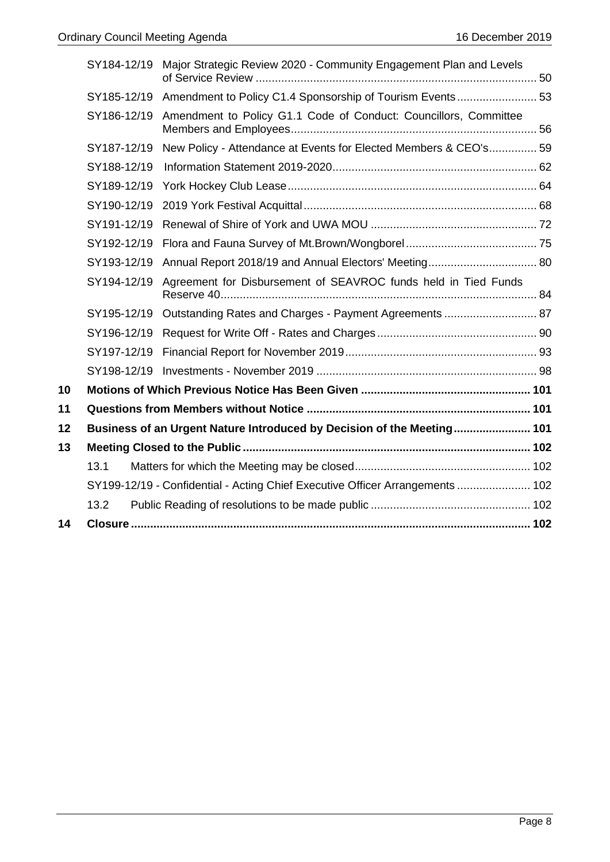|    | SY184-12/19 | Major Strategic Review 2020 - Community Engagement Plan and Levels            |  |
|----|-------------|-------------------------------------------------------------------------------|--|
|    | SY185-12/19 |                                                                               |  |
|    | SY186-12/19 | Amendment to Policy G1.1 Code of Conduct: Councillors, Committee              |  |
|    | SY187-12/19 | New Policy - Attendance at Events for Elected Members & CEO's 59              |  |
|    | SY188-12/19 |                                                                               |  |
|    | SY189-12/19 |                                                                               |  |
|    | SY190-12/19 |                                                                               |  |
|    | SY191-12/19 |                                                                               |  |
|    | SY192-12/19 |                                                                               |  |
|    | SY193-12/19 | Annual Report 2018/19 and Annual Electors' Meeting 80                         |  |
|    | SY194-12/19 | Agreement for Disbursement of SEAVROC funds held in Tied Funds                |  |
|    |             | SY195-12/19 Outstanding Rates and Charges - Payment Agreements  87            |  |
|    | SY196-12/19 |                                                                               |  |
|    | SY197-12/19 |                                                                               |  |
|    |             |                                                                               |  |
| 10 |             |                                                                               |  |
| 11 |             |                                                                               |  |
| 12 |             | Business of an Urgent Nature Introduced by Decision of the Meeting 101        |  |
| 13 |             |                                                                               |  |
|    | 13.1        |                                                                               |  |
|    |             | SY199-12/19 - Confidential - Acting Chief Executive Officer Arrangements  102 |  |
|    | 13.2        |                                                                               |  |
| 14 |             |                                                                               |  |
|    |             |                                                                               |  |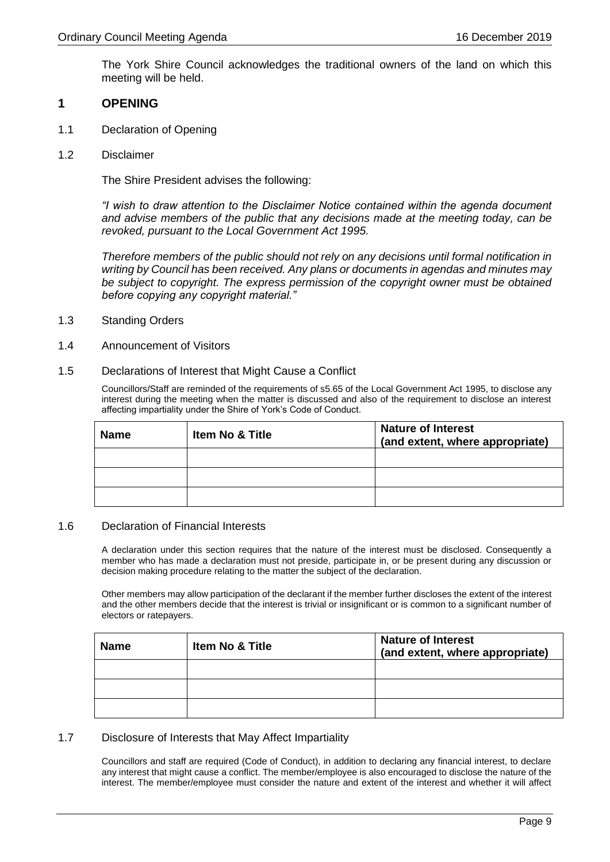The York Shire Council acknowledges the traditional owners of the land on which this meeting will be held.

#### <span id="page-8-0"></span>**1 OPENING**

- <span id="page-8-1"></span>1.1 Declaration of Opening
- <span id="page-8-2"></span>1.2 Disclaimer

The Shire President advises the following:

*"I wish to draw attention to the Disclaimer Notice contained within the agenda document and advise members of the public that any decisions made at the meeting today, can be revoked, pursuant to the Local Government Act 1995.*

*Therefore members of the public should not rely on any decisions until formal notification in writing by Council has been received. Any plans or documents in agendas and minutes may be subject to copyright. The express permission of the copyright owner must be obtained before copying any copyright material."*

- <span id="page-8-3"></span>1.3 Standing Orders
- <span id="page-8-4"></span>1.4 Announcement of Visitors
- <span id="page-8-5"></span>1.5 Declarations of Interest that Might Cause a Conflict

Councillors/Staff are reminded of the requirements of s5.65 of the Local Government Act 1995, to disclose any interest during the meeting when the matter is discussed and also of the requirement to disclose an interest affecting impartiality under the Shire of York's Code of Conduct.

| <b>Name</b> | <b>Item No &amp; Title</b> | <b>Nature of Interest</b><br>(and extent, where appropriate) |
|-------------|----------------------------|--------------------------------------------------------------|
|             |                            |                                                              |
|             |                            |                                                              |
|             |                            |                                                              |

### <span id="page-8-6"></span>1.6 Declaration of Financial Interests

A declaration under this section requires that the nature of the interest must be disclosed. Consequently a member who has made a declaration must not preside, participate in, or be present during any discussion or decision making procedure relating to the matter the subject of the declaration.

Other members may allow participation of the declarant if the member further discloses the extent of the interest and the other members decide that the interest is trivial or insignificant or is common to a significant number of electors or ratepayers.

| <b>Name</b> | <b>Item No &amp; Title</b> | <b>Nature of Interest</b><br>(and extent, where appropriate) |
|-------------|----------------------------|--------------------------------------------------------------|
|             |                            |                                                              |
|             |                            |                                                              |
|             |                            |                                                              |

### <span id="page-8-7"></span>1.7 Disclosure of Interests that May Affect Impartiality

Councillors and staff are required (Code of Conduct), in addition to declaring any financial interest, to declare any interest that might cause a conflict. The member/employee is also encouraged to disclose the nature of the interest. The member/employee must consider the nature and extent of the interest and whether it will affect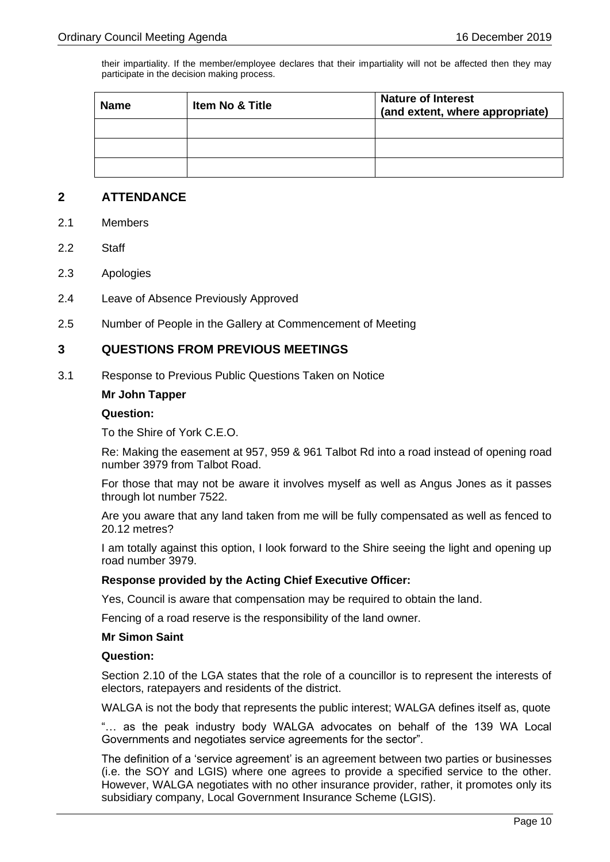their impartiality. If the member/employee declares that their impartiality will not be affected then they may participate in the decision making process.

| <b>Name</b> | <b>Item No &amp; Title</b> | <b>Nature of Interest</b><br>(and extent, where appropriate) |  |
|-------------|----------------------------|--------------------------------------------------------------|--|
|             |                            |                                                              |  |
|             |                            |                                                              |  |
|             |                            |                                                              |  |

### <span id="page-9-0"></span>**2 ATTENDANCE**

- <span id="page-9-1"></span>2.1 Members
- <span id="page-9-2"></span>2.2 Staff
- <span id="page-9-3"></span>2.3 Apologies
- <span id="page-9-4"></span>2.4 Leave of Absence Previously Approved
- <span id="page-9-5"></span>2.5 Number of People in the Gallery at Commencement of Meeting

### <span id="page-9-6"></span>**3 QUESTIONS FROM PREVIOUS MEETINGS**

<span id="page-9-7"></span>3.1 Response to Previous Public Questions Taken on Notice

### **Mr John Tapper**

### **Question:**

To the Shire of York C.E.O.

Re: Making the easement at 957, 959 & 961 Talbot Rd into a road instead of opening road number 3979 from Talbot Road.

For those that may not be aware it involves myself as well as Angus Jones as it passes through lot number 7522.

Are you aware that any land taken from me will be fully compensated as well as fenced to 20.12 metres?

I am totally against this option, I look forward to the Shire seeing the light and opening up road number 3979.

### **Response provided by the Acting Chief Executive Officer:**

Yes, Council is aware that compensation may be required to obtain the land.

Fencing of a road reserve is the responsibility of the land owner.

### **Mr Simon Saint**

### **Question:**

Section 2.10 of the LGA states that the role of a councillor is to represent the interests of electors, ratepayers and residents of the district.

WALGA is not the body that represents the public interest; WALGA defines itself as, quote

"… as the peak industry body WALGA advocates on behalf of the 139 WA Local Governments and negotiates service agreements for the sector".

The definition of a 'service agreement' is an agreement between two parties or businesses (i.e. the SOY and LGIS) where one agrees to provide a specified service to the other. However, WALGA negotiates with no other insurance provider, rather, it promotes only its subsidiary company, Local Government Insurance Scheme (LGIS).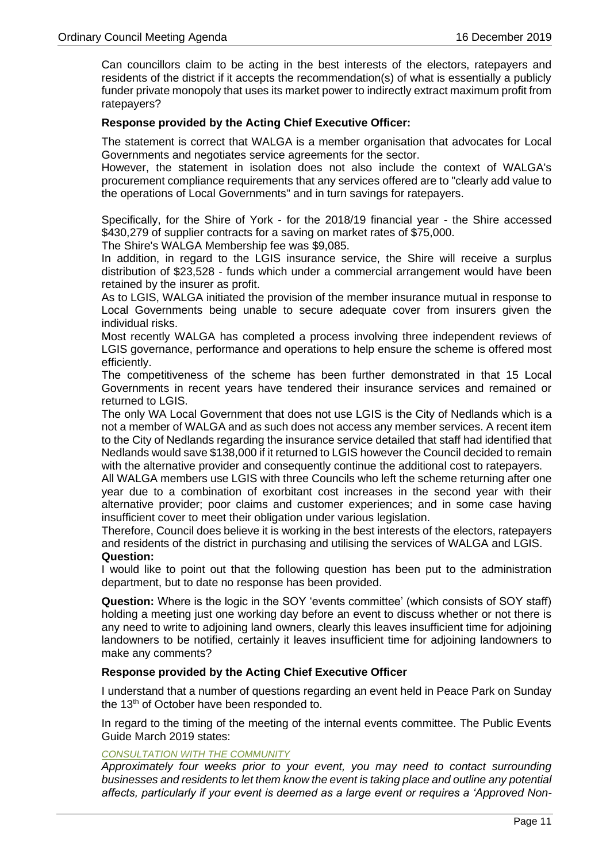Can councillors claim to be acting in the best interests of the electors, ratepayers and residents of the district if it accepts the recommendation(s) of what is essentially a publicly funder private monopoly that uses its market power to indirectly extract maximum profit from ratepayers?

### **Response provided by the Acting Chief Executive Officer:**

The statement is correct that WALGA is a member organisation that advocates for Local Governments and negotiates service agreements for the sector.

However, the statement in isolation does not also include the context of WALGA's procurement compliance requirements that any services offered are to "clearly add value to the operations of Local Governments" and in turn savings for ratepayers.

Specifically, for the Shire of York - for the 2018/19 financial year - the Shire accessed \$430,279 of supplier contracts for a saving on market rates of \$75,000.

The Shire's WALGA Membership fee was \$9,085.

In addition, in regard to the LGIS insurance service, the Shire will receive a surplus distribution of \$23,528 - funds which under a commercial arrangement would have been retained by the insurer as profit.

As to LGIS, WALGA initiated the provision of the member insurance mutual in response to Local Governments being unable to secure adequate cover from insurers given the individual risks.

Most recently WALGA has completed a process involving three independent reviews of LGIS governance, performance and operations to help ensure the scheme is offered most efficiently.

The competitiveness of the scheme has been further demonstrated in that 15 Local Governments in recent years have tendered their insurance services and remained or returned to LGIS.

The only WA Local Government that does not use LGIS is the City of Nedlands which is a not a member of WALGA and as such does not access any member services. A recent item to the City of Nedlands regarding the insurance service detailed that staff had identified that Nedlands would save \$138,000 if it returned to LGIS however the Council decided to remain with the alternative provider and consequently continue the additional cost to ratepayers.

All WALGA members use LGIS with three Councils who left the scheme returning after one year due to a combination of exorbitant cost increases in the second year with their alternative provider; poor claims and customer experiences; and in some case having insufficient cover to meet their obligation under various legislation.

Therefore, Council does believe it is working in the best interests of the electors, ratepayers and residents of the district in purchasing and utilising the services of WALGA and LGIS. **Question:**

I would like to point out that the following question has been put to the administration department, but to date no response has been provided.

**Question:** Where is the logic in the SOY 'events committee' (which consists of SOY staff) holding a meeting just one working day before an event to discuss whether or not there is any need to write to adjoining land owners, clearly this leaves insufficient time for adjoining landowners to be notified, certainly it leaves insufficient time for adjoining landowners to make any comments?

### **Response provided by the Acting Chief Executive Officer**

I understand that a number of questions regarding an event held in Peace Park on Sunday the 13<sup>th</sup> of October have been responded to.

In regard to the timing of the meeting of the internal events committee. The Public Events Guide March 2019 states:

### *CONSULTATION WITH THE COMMUNITY*

*Approximately four weeks prior to your event, you may need to contact surrounding businesses and residents to let them know the event is taking place and outline any potential affects, particularly if your event is deemed as a large event or requires a 'Approved Non-*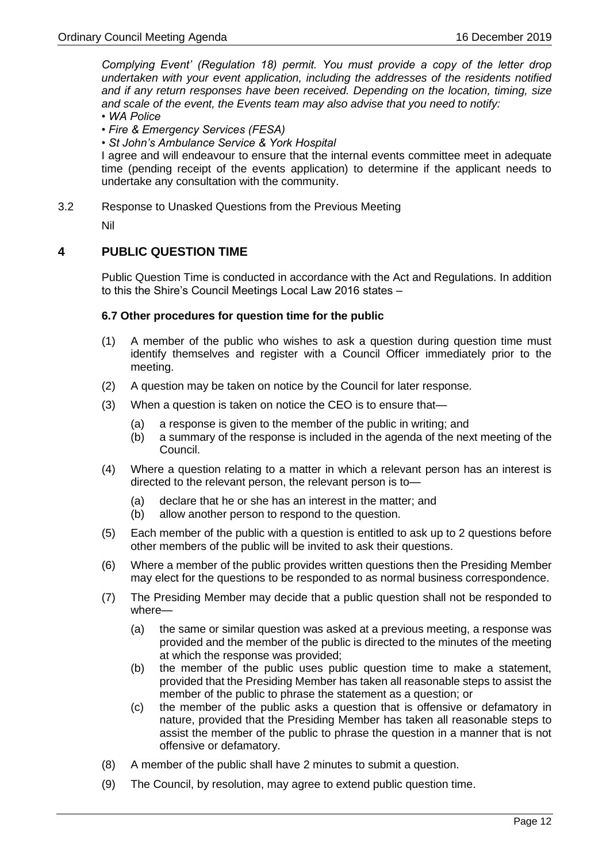*Complying Event' (Regulation 18) permit. You must provide a copy of the letter drop undertaken with your event application, including the addresses of the residents notified and if any return responses have been received. Depending on the location, timing, size and scale of the event, the Events team may also advise that you need to notify:*

- *WA Police*
- *Fire & Emergency Services (FESA)*
- *St John's Ambulance Service & York Hospital*

I agree and will endeavour to ensure that the internal events committee meet in adequate time (pending receipt of the events application) to determine if the applicant needs to undertake any consultation with the community.

<span id="page-11-0"></span>3.2 Response to Unasked Questions from the Previous Meeting

Nil

### <span id="page-11-1"></span>**4 PUBLIC QUESTION TIME**

Public Question Time is conducted in accordance with the Act and Regulations. In addition to this the Shire's Council Meetings Local Law 2016 states –

### **6.7 Other procedures for question time for the public**

- (1) A member of the public who wishes to ask a question during question time must identify themselves and register with a Council Officer immediately prior to the meeting.
- (2) A question may be taken on notice by the Council for later response.
- (3) When a question is taken on notice the CEO is to ensure that—
	- (a) a response is given to the member of the public in writing; and
	- (b) a summary of the response is included in the agenda of the next meeting of the Council.
- (4) Where a question relating to a matter in which a relevant person has an interest is directed to the relevant person, the relevant person is to—
	- (a) declare that he or she has an interest in the matter; and
	- (b) allow another person to respond to the question.
- (5) Each member of the public with a question is entitled to ask up to 2 questions before other members of the public will be invited to ask their questions.
- (6) Where a member of the public provides written questions then the Presiding Member may elect for the questions to be responded to as normal business correspondence.
- (7) The Presiding Member may decide that a public question shall not be responded to where—
	- (a) the same or similar question was asked at a previous meeting, a response was provided and the member of the public is directed to the minutes of the meeting at which the response was provided;
	- (b) the member of the public uses public question time to make a statement, provided that the Presiding Member has taken all reasonable steps to assist the member of the public to phrase the statement as a question; or
	- (c) the member of the public asks a question that is offensive or defamatory in nature, provided that the Presiding Member has taken all reasonable steps to assist the member of the public to phrase the question in a manner that is not offensive or defamatory.
- (8) A member of the public shall have 2 minutes to submit a question.
- (9) The Council, by resolution, may agree to extend public question time.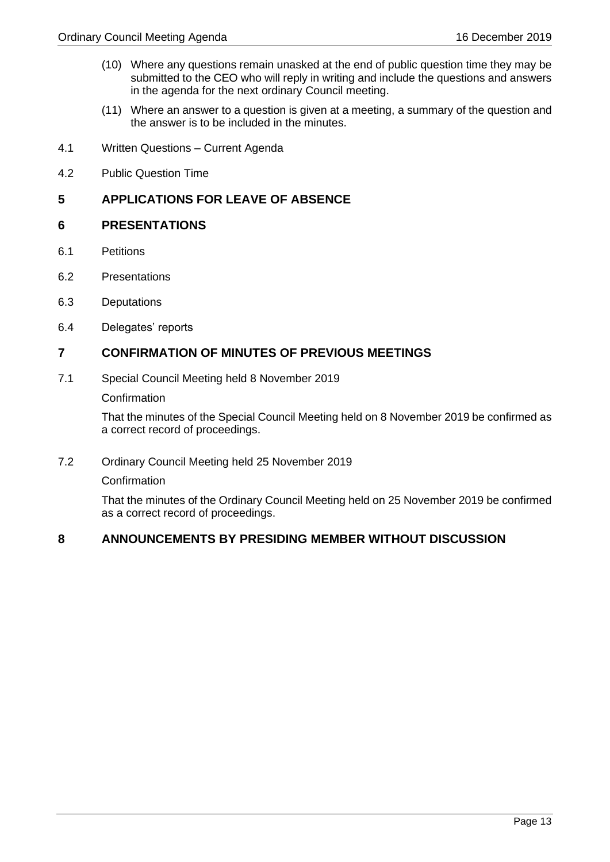- (10) Where any questions remain unasked at the end of public question time they may be submitted to the CEO who will reply in writing and include the questions and answers in the agenda for the next ordinary Council meeting.
- (11) Where an answer to a question is given at a meeting, a summary of the question and the answer is to be included in the minutes.
- <span id="page-12-0"></span>4.1 Written Questions – Current Agenda
- <span id="page-12-1"></span>4.2 Public Question Time

### <span id="page-12-2"></span>**5 APPLICATIONS FOR LEAVE OF ABSENCE**

### <span id="page-12-3"></span>**6 PRESENTATIONS**

- <span id="page-12-4"></span>6.1 Petitions
- <span id="page-12-5"></span>6.2 Presentations
- <span id="page-12-6"></span>6.3 Deputations
- <span id="page-12-7"></span>6.4 Delegates' reports

### <span id="page-12-8"></span>**7 CONFIRMATION OF MINUTES OF PREVIOUS MEETINGS**

7.1 Special Council Meeting held 8 November 2019

**Confirmation** 

That the minutes of the Special Council Meeting held on 8 November 2019 be confirmed as a correct record of proceedings.

7.2 Ordinary Council Meeting held 25 November 2019

**Confirmation** 

That the minutes of the Ordinary Council Meeting held on 25 November 2019 be confirmed as a correct record of proceedings.

### <span id="page-12-9"></span>**8 ANNOUNCEMENTS BY PRESIDING MEMBER WITHOUT DISCUSSION**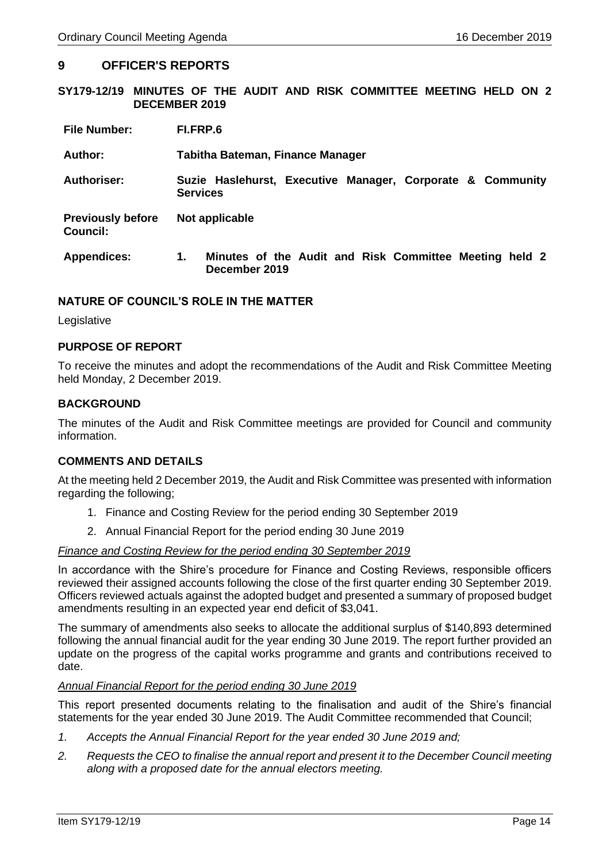### <span id="page-13-0"></span>**9 OFFICER'S REPORTS**

<span id="page-13-1"></span>**SY179-12/19 MINUTES OF THE AUDIT AND RISK COMMITTEE MEETING HELD ON 2 DECEMBER 2019**

| <b>File Number:</b>                         | FI.FRP.6                                                                      |  |  |
|---------------------------------------------|-------------------------------------------------------------------------------|--|--|
| Author:                                     | Tabitha Bateman, Finance Manager                                              |  |  |
| <b>Authoriser:</b>                          | Suzie Haslehurst, Executive Manager, Corporate & Community<br><b>Services</b> |  |  |
| <b>Previously before</b><br><b>Council:</b> | Not applicable                                                                |  |  |
| <b>Appendices:</b>                          | Minutes of the Audit and Risk Committee Meeting held 2<br>1.<br>December 2019 |  |  |

### **NATURE OF COUNCIL'S ROLE IN THE MATTER**

**Legislative** 

### **PURPOSE OF REPORT**

To receive the minutes and adopt the recommendations of the Audit and Risk Committee Meeting held Monday, 2 December 2019.

### **BACKGROUND**

The minutes of the Audit and Risk Committee meetings are provided for Council and community information.

### **COMMENTS AND DETAILS**

At the meeting held 2 December 2019, the Audit and Risk Committee was presented with information regarding the following;

- 1. Finance and Costing Review for the period ending 30 September 2019
- 2. Annual Financial Report for the period ending 30 June 2019

### *Finance and Costing Review for the period ending 30 September 2019*

In accordance with the Shire's procedure for Finance and Costing Reviews, responsible officers reviewed their assigned accounts following the close of the first quarter ending 30 September 2019. Officers reviewed actuals against the adopted budget and presented a summary of proposed budget amendments resulting in an expected year end deficit of \$3,041.

The summary of amendments also seeks to allocate the additional surplus of \$140,893 determined following the annual financial audit for the year ending 30 June 2019. The report further provided an update on the progress of the capital works programme and grants and contributions received to date.

### *Annual Financial Report for the period ending 30 June 2019*

This report presented documents relating to the finalisation and audit of the Shire's financial statements for the year ended 30 June 2019. The Audit Committee recommended that Council;

- *1. Accepts the Annual Financial Report for the year ended 30 June 2019 and;*
- *2. Requests the CEO to finalise the annual report and present it to the December Council meeting along with a proposed date for the annual electors meeting.*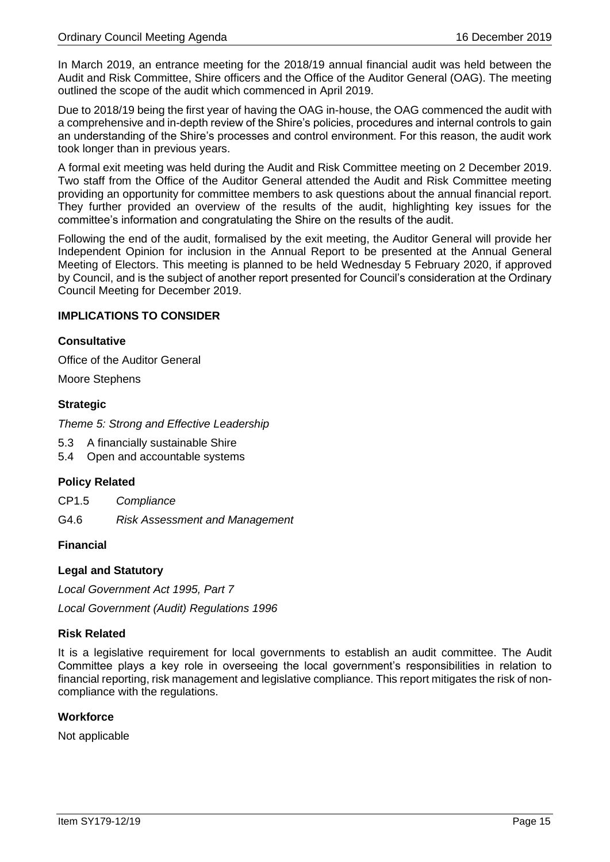In March 2019, an entrance meeting for the 2018/19 annual financial audit was held between the Audit and Risk Committee, Shire officers and the Office of the Auditor General (OAG). The meeting outlined the scope of the audit which commenced in April 2019.

Due to 2018/19 being the first year of having the OAG in-house, the OAG commenced the audit with a comprehensive and in-depth review of the Shire's policies, procedures and internal controls to gain an understanding of the Shire's processes and control environment. For this reason, the audit work took longer than in previous years.

A formal exit meeting was held during the Audit and Risk Committee meeting on 2 December 2019. Two staff from the Office of the Auditor General attended the Audit and Risk Committee meeting providing an opportunity for committee members to ask questions about the annual financial report. They further provided an overview of the results of the audit, highlighting key issues for the committee's information and congratulating the Shire on the results of the audit.

Following the end of the audit, formalised by the exit meeting, the Auditor General will provide her Independent Opinion for inclusion in the Annual Report to be presented at the Annual General Meeting of Electors. This meeting is planned to be held Wednesday 5 February 2020, if approved by Council, and is the subject of another report presented for Council's consideration at the Ordinary Council Meeting for December 2019.

### **IMPLICATIONS TO CONSIDER**

### **Consultative**

Office of the Auditor General

Moore Stephens

### **Strategic**

*Theme 5: Strong and Effective Leadership* 

- 5.3 A financially sustainable Shire
- 5.4 Open and accountable systems

### **Policy Related**

CP1.5 *Compliance*

G4.6 *Risk Assessment and Management*

### **Financial**

### **Legal and Statutory**

*Local Government Act 1995, Part 7*

*Local Government (Audit) Regulations 1996*

### **Risk Related**

It is a legislative requirement for local governments to establish an audit committee. The Audit Committee plays a key role in overseeing the local government's responsibilities in relation to financial reporting, risk management and legislative compliance. This report mitigates the risk of noncompliance with the regulations.

### **Workforce**

Not applicable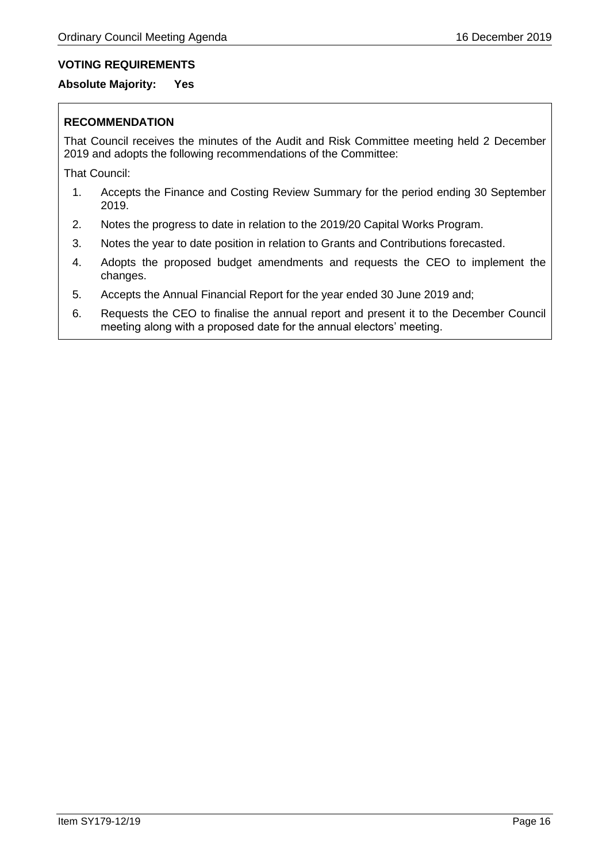### **VOTING REQUIREMENTS**

### **Absolute Majority: Yes**

### **RECOMMENDATION**

That Council receives the minutes of the Audit and Risk Committee meeting held 2 December 2019 and adopts the following recommendations of the Committee:

That Council:

- 1. Accepts the Finance and Costing Review Summary for the period ending 30 September 2019.
- 2. Notes the progress to date in relation to the 2019/20 Capital Works Program.
- 3. Notes the year to date position in relation to Grants and Contributions forecasted.
- 4. Adopts the proposed budget amendments and requests the CEO to implement the changes.
- 5. Accepts the Annual Financial Report for the year ended 30 June 2019 and;
- 6. Requests the CEO to finalise the annual report and present it to the December Council meeting along with a proposed date for the annual electors' meeting.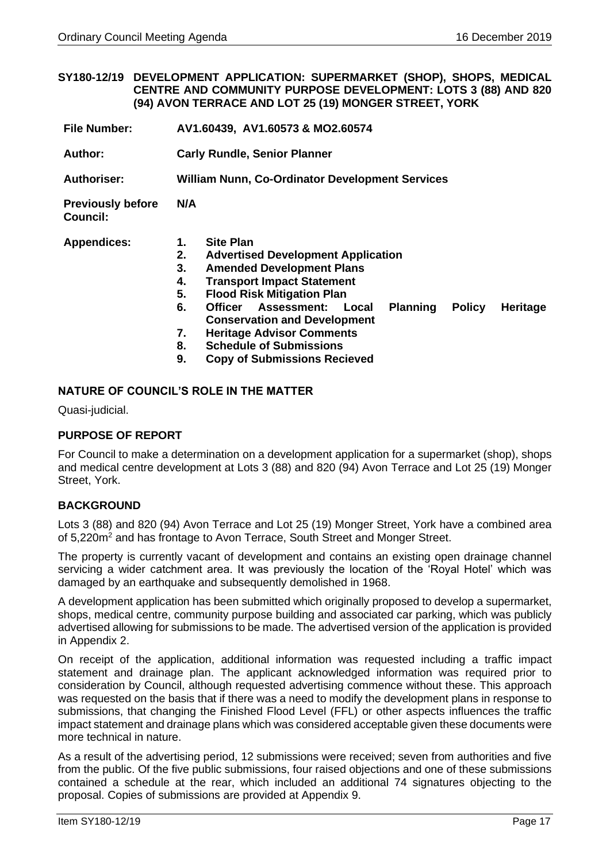### <span id="page-16-0"></span>**SY180-12/19 DEVELOPMENT APPLICATION: SUPERMARKET (SHOP), SHOPS, MEDICAL CENTRE AND COMMUNITY PURPOSE DEVELOPMENT: LOTS 3 (88) AND 820 (94) AVON TERRACE AND LOT 25 (19) MONGER STREET, YORK**

- **File Number: AV1.60439, AV1.60573 & MO2.60574**
- **Author: Carly Rundle, Senior Planner**

**Authoriser: William Nunn, Co-Ordinator Development Services**

**Previously before Council: N/A** 

**Appendices: 1. Site Plan** 

- **2. Advertised Development Application**
- **3. Amended Development Plans**
- **4. Transport Impact Statement**
- **5. Flood Risk Mitigation Plan**
- **6. Officer Assessment: Local Planning Policy Heritage Conservation and Development**
- **7. Heritage Advisor Comments**
- **8. Schedule of Submissions**
- **9. Copy of Submissions Recieved**

### **NATURE OF COUNCIL'S ROLE IN THE MATTER**

Quasi-judicial.

### **PURPOSE OF REPORT**

For Council to make a determination on a development application for a supermarket (shop), shops and medical centre development at Lots 3 (88) and 820 (94) Avon Terrace and Lot 25 (19) Monger Street, York.

### **BACKGROUND**

Lots 3 (88) and 820 (94) Avon Terrace and Lot 25 (19) Monger Street, York have a combined area of 5,220m<sup>2</sup> and has frontage to Avon Terrace, South Street and Monger Street.

The property is currently vacant of development and contains an existing open drainage channel servicing a wider catchment area. It was previously the location of the 'Royal Hotel' which was damaged by an earthquake and subsequently demolished in 1968.

A development application has been submitted which originally proposed to develop a supermarket, shops, medical centre, community purpose building and associated car parking, which was publicly advertised allowing for submissions to be made. The advertised version of the application is provided in Appendix 2.

On receipt of the application, additional information was requested including a traffic impact statement and drainage plan. The applicant acknowledged information was required prior to consideration by Council, although requested advertising commence without these. This approach was requested on the basis that if there was a need to modify the development plans in response to submissions, that changing the Finished Flood Level (FFL) or other aspects influences the traffic impact statement and drainage plans which was considered acceptable given these documents were more technical in nature.

As a result of the advertising period, 12 submissions were received; seven from authorities and five from the public. Of the five public submissions, four raised objections and one of these submissions contained a schedule at the rear, which included an additional 74 signatures objecting to the proposal. Copies of submissions are provided at Appendix 9.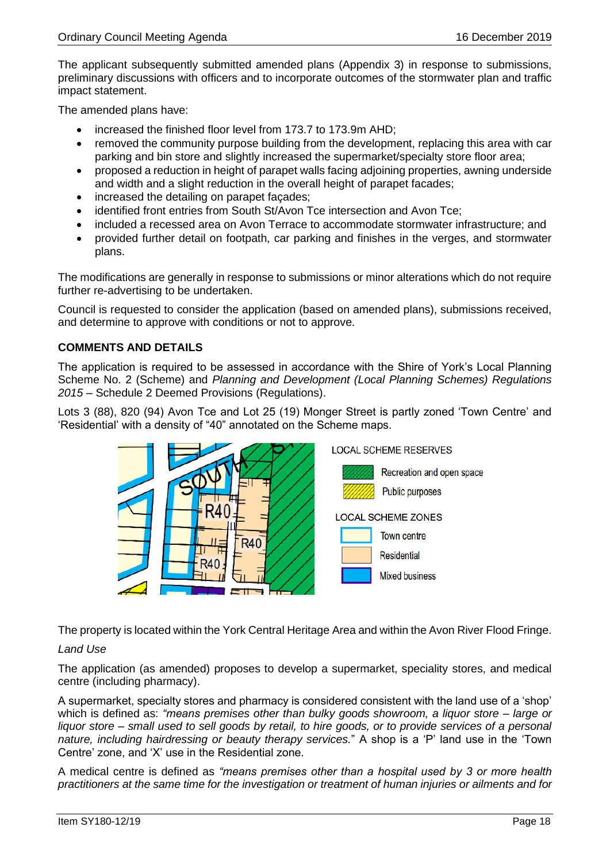The applicant subsequently submitted amended plans (Appendix 3) in response to submissions, preliminary discussions with officers and to incorporate outcomes of the stormwater plan and traffic impact statement.

The amended plans have:

- increased the finished floor level from 173.7 to 173.9m AHD;
- removed the community purpose building from the development, replacing this area with car parking and bin store and slightly increased the supermarket/specialty store floor area;
- proposed a reduction in height of parapet walls facing adjoining properties, awning underside and width and a slight reduction in the overall height of parapet facades;
- increased the detailing on parapet façades;
- identified front entries from South St/Avon Tce intersection and Avon Tce;
- included a recessed area on Avon Terrace to accommodate stormwater infrastructure; and
- provided further detail on footpath, car parking and finishes in the verges, and stormwater plans.

The modifications are generally in response to submissions or minor alterations which do not require further re-advertising to be undertaken.

Council is requested to consider the application (based on amended plans), submissions received, and determine to approve with conditions or not to approve.

### **COMMENTS AND DETAILS**

The application is required to be assessed in accordance with the Shire of York's Local Planning Scheme No. 2 (Scheme) and *Planning and Development (Local Planning Schemes) Regulations 2015* – Schedule 2 Deemed Provisions (Regulations).

Lots 3 (88), 820 (94) Avon Tce and Lot 25 (19) Monger Street is partly zoned 'Town Centre' and 'Residential' with a density of "40" annotated on the Scheme maps.



The property is located within the York Central Heritage Area and within the Avon River Flood Fringe.

### *Land Use*

The application (as amended) proposes to develop a supermarket, speciality stores, and medical centre (including pharmacy).

A supermarket, specialty stores and pharmacy is considered consistent with the land use of a 'shop' which is defined as: *"means premises other than bulky goods showroom, a liquor store – large or liquor store – small used to sell goods by retail, to hire goods, or to provide services of a personal nature, including hairdressing or beauty therapy services.*" A shop is a 'P' land use in the 'Town Centre' zone, and 'X' use in the Residential zone.

A medical centre is defined as *"means premises other than a hospital used by 3 or more health practitioners at the same time for the investigation or treatment of human injuries or ailments and for*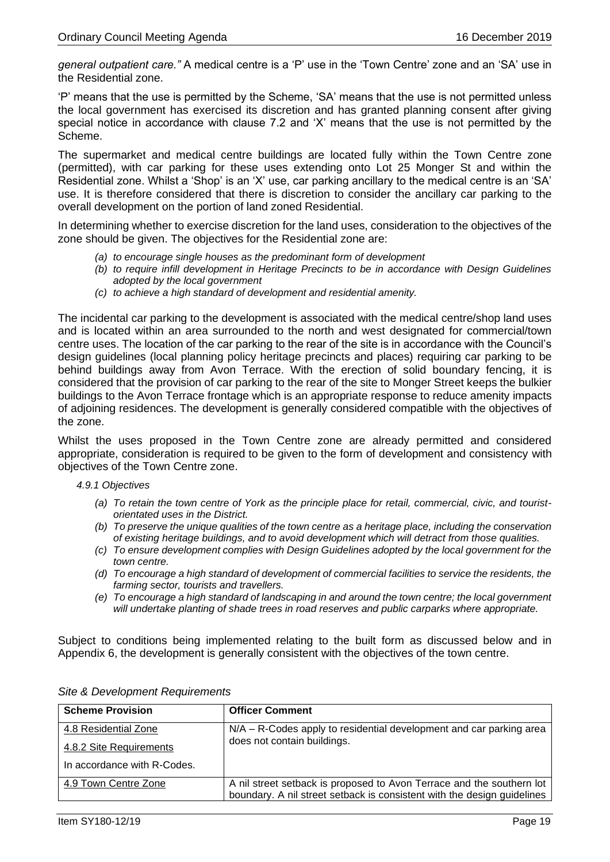*general outpatient care."* A medical centre is a 'P' use in the 'Town Centre' zone and an 'SA' use in the Residential zone.

'P' means that the use is permitted by the Scheme, 'SA' means that the use is not permitted unless the local government has exercised its discretion and has granted planning consent after giving special notice in accordance with clause 7.2 and 'X' means that the use is not permitted by the Scheme.

The supermarket and medical centre buildings are located fully within the Town Centre zone (permitted), with car parking for these uses extending onto Lot 25 Monger St and within the Residential zone. Whilst a 'Shop' is an 'X' use, car parking ancillary to the medical centre is an 'SA' use. It is therefore considered that there is discretion to consider the ancillary car parking to the overall development on the portion of land zoned Residential.

In determining whether to exercise discretion for the land uses, consideration to the objectives of the zone should be given. The objectives for the Residential zone are:

- *(a) to encourage single houses as the predominant form of development*
- *(b) to require infill development in Heritage Precincts to be in accordance with Design Guidelines adopted by the local government*
- *(c) to achieve a high standard of development and residential amenity.*

The incidental car parking to the development is associated with the medical centre/shop land uses and is located within an area surrounded to the north and west designated for commercial/town centre uses. The location of the car parking to the rear of the site is in accordance with the Council's design guidelines (local planning policy heritage precincts and places) requiring car parking to be behind buildings away from Avon Terrace. With the erection of solid boundary fencing, it is considered that the provision of car parking to the rear of the site to Monger Street keeps the bulkier buildings to the Avon Terrace frontage which is an appropriate response to reduce amenity impacts of adjoining residences. The development is generally considered compatible with the objectives of the zone.

Whilst the uses proposed in the Town Centre zone are already permitted and considered appropriate, consideration is required to be given to the form of development and consistency with objectives of the Town Centre zone.

### *4.9.1 Objectives*

- *(a) To retain the town centre of York as the principle place for retail, commercial, civic, and touristorientated uses in the District.*
- *(b) To preserve the unique qualities of the town centre as a heritage place, including the conservation of existing heritage buildings, and to avoid development which will detract from those qualities.*
- *(c) To ensure development complies with Design Guidelines adopted by the local government for the town centre.*
- *(d) To encourage a high standard of development of commercial facilities to service the residents, the farming sector, tourists and travellers.*
- *(e) To encourage a high standard of landscaping in and around the town centre; the local government will undertake planting of shade trees in road reserves and public carparks where appropriate.*

Subject to conditions being implemented relating to the built form as discussed below and in Appendix 6, the development is generally consistent with the objectives of the town centre.

| <b>Scheme Provision</b>     | <b>Officer Comment</b>                                                                                                                           |  |
|-----------------------------|--------------------------------------------------------------------------------------------------------------------------------------------------|--|
| 4.8 Residential Zone        | $N/A - R$ -Codes apply to residential development and car parking area                                                                           |  |
| 4.8.2 Site Requirements     | does not contain buildings.                                                                                                                      |  |
| In accordance with R-Codes. |                                                                                                                                                  |  |
| 4.9 Town Centre Zone        | A nil street setback is proposed to Avon Terrace and the southern lot<br>boundary. A nil street setback is consistent with the design guidelines |  |

|  |  |  |  | Site & Development Requirements |
|--|--|--|--|---------------------------------|
|--|--|--|--|---------------------------------|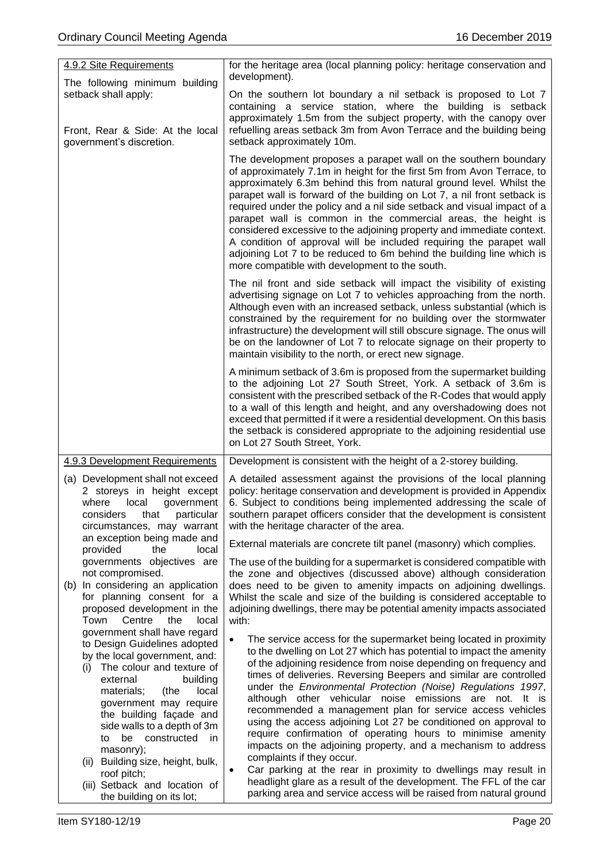| 4.9.2 Site Requirements                                                                                                                                                                                                                                                                                                                  | for the heritage area (local planning policy: heritage conservation and<br>development).                                                                                                                                                                                                                                                                                                                                                                                                                                                                                                                                                                                                                                                                                                       |
|------------------------------------------------------------------------------------------------------------------------------------------------------------------------------------------------------------------------------------------------------------------------------------------------------------------------------------------|------------------------------------------------------------------------------------------------------------------------------------------------------------------------------------------------------------------------------------------------------------------------------------------------------------------------------------------------------------------------------------------------------------------------------------------------------------------------------------------------------------------------------------------------------------------------------------------------------------------------------------------------------------------------------------------------------------------------------------------------------------------------------------------------|
| The following minimum building<br>setback shall apply:<br>Front, Rear & Side: At the local<br>government's discretion.                                                                                                                                                                                                                   | On the southern lot boundary a nil setback is proposed to Lot 7<br>containing a service station, where the building is setback<br>approximately 1.5m from the subject property, with the canopy over<br>refuelling areas setback 3m from Avon Terrace and the building being<br>setback approximately 10m.                                                                                                                                                                                                                                                                                                                                                                                                                                                                                     |
|                                                                                                                                                                                                                                                                                                                                          | The development proposes a parapet wall on the southern boundary<br>of approximately 7.1m in height for the first 5m from Avon Terrace, to<br>approximately 6.3m behind this from natural ground level. Whilst the<br>parapet wall is forward of the building on Lot 7, a nil front setback is<br>required under the policy and a nil side setback and visual impact of a<br>parapet wall is common in the commercial areas, the height is<br>considered excessive to the adjoining property and immediate context.<br>A condition of approval will be included requiring the parapet wall<br>adjoining Lot 7 to be reduced to 6m behind the building line which is<br>more compatible with development to the south.                                                                          |
|                                                                                                                                                                                                                                                                                                                                          | The nil front and side setback will impact the visibility of existing<br>advertising signage on Lot 7 to vehicles approaching from the north.<br>Although even with an increased setback, unless substantial (which is<br>constrained by the requirement for no building over the stormwater<br>infrastructure) the development will still obscure signage. The onus will<br>be on the landowner of Lot 7 to relocate signage on their property to<br>maintain visibility to the north, or erect new signage.                                                                                                                                                                                                                                                                                  |
|                                                                                                                                                                                                                                                                                                                                          | A minimum setback of 3.6m is proposed from the supermarket building<br>to the adjoining Lot 27 South Street, York. A setback of 3.6m is<br>consistent with the prescribed setback of the R-Codes that would apply<br>to a wall of this length and height, and any overshadowing does not<br>exceed that permitted if it were a residential development. On this basis<br>the setback is considered appropriate to the adjoining residential use<br>on Lot 27 South Street, York.                                                                                                                                                                                                                                                                                                               |
| 4.9.3 Development Requirements                                                                                                                                                                                                                                                                                                           | Development is consistent with the height of a 2-storey building.                                                                                                                                                                                                                                                                                                                                                                                                                                                                                                                                                                                                                                                                                                                              |
| (a) Development shall not exceed<br>2 storeys in height except<br>local<br>where<br>government<br>that<br>particular<br>considers<br>circumstances, may warrant                                                                                                                                                                          | A detailed assessment against the provisions of the local planning<br>policy: heritage conservation and development is provided in Appendix<br>6. Subject to conditions being implemented addressing the scale of<br>southern parapet officers consider that the development is consistent<br>with the heritage character of the area.                                                                                                                                                                                                                                                                                                                                                                                                                                                         |
| an exception being made and<br>provided<br>the<br>local                                                                                                                                                                                                                                                                                  | External materials are concrete tilt panel (masonry) which complies.                                                                                                                                                                                                                                                                                                                                                                                                                                                                                                                                                                                                                                                                                                                           |
| governments objectives are<br>not compromised.<br>(b) In considering an application<br>for planning consent for a<br>proposed development in the<br>Centre<br>Town<br>the<br>local<br>government shall have regard                                                                                                                       | The use of the building for a supermarket is considered compatible with<br>the zone and objectives (discussed above) although consideration<br>does need to be given to amenity impacts on adjoining dwellings.<br>Whilst the scale and size of the building is considered acceptable to<br>adjoining dwellings, there may be potential amenity impacts associated<br>with:                                                                                                                                                                                                                                                                                                                                                                                                                    |
| to Design Guidelines adopted<br>by the local government, and:<br>The colour and texture of<br>(i)<br>external<br>building<br>materials;<br>(the<br>local<br>government may require<br>the building façade and<br>side walls to a depth of 3m<br>to be constructed<br>in<br>masonry);<br>(ii) Building size, height, bulk,<br>roof pitch; | The service access for the supermarket being located in proximity<br>$\bullet$<br>to the dwelling on Lot 27 which has potential to impact the amenity<br>of the adjoining residence from noise depending on frequency and<br>times of deliveries. Reversing Beepers and similar are controlled<br>under the Environmental Protection (Noise) Regulations 1997,<br>although other vehicular noise emissions are not. It is<br>recommended a management plan for service access vehicles<br>using the access adjoining Lot 27 be conditioned on approval to<br>require confirmation of operating hours to minimise amenity<br>impacts on the adjoining property, and a mechanism to address<br>complaints if they occur.<br>Car parking at the rear in proximity to dwellings may result in<br>٠ |
| (iii) Setback and location of<br>the building on its lot;                                                                                                                                                                                                                                                                                | headlight glare as a result of the development. The FFL of the car<br>parking area and service access will be raised from natural ground                                                                                                                                                                                                                                                                                                                                                                                                                                                                                                                                                                                                                                                       |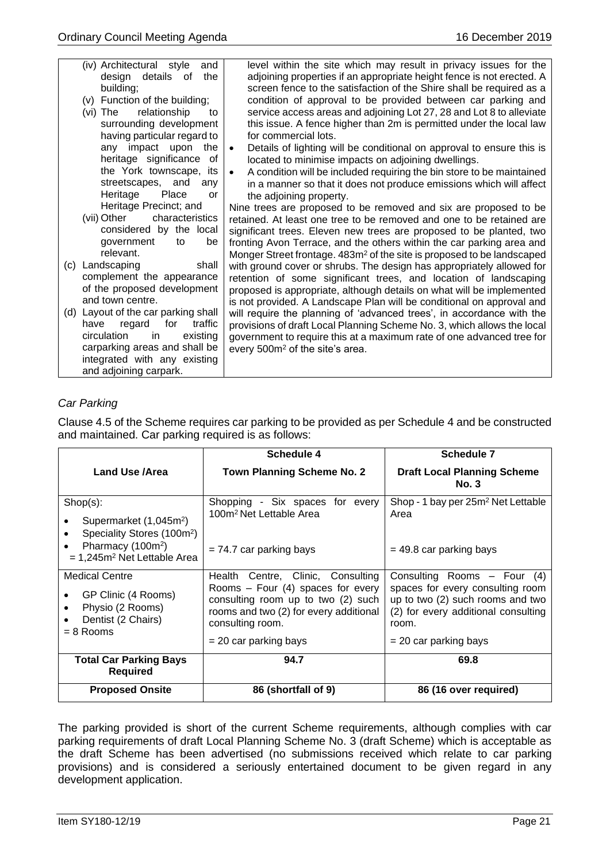|     | (iv) Architectural style<br>and<br>design details of<br>the<br>building;<br>(v) Function of the building;<br>relationship<br>(vi) The<br>to<br>surrounding development<br>having particular regard to | level within the site which may result in privacy issues for the<br>adjoining properties if an appropriate height fence is not erected. A<br>screen fence to the satisfaction of the Shire shall be required as a<br>condition of approval to be provided between car parking and<br>service access areas and adjoining Lot 27, 28 and Lot 8 to alleviate<br>this issue. A fence higher than 2m is permitted under the local law<br>for commercial lots. |
|-----|-------------------------------------------------------------------------------------------------------------------------------------------------------------------------------------------------------|----------------------------------------------------------------------------------------------------------------------------------------------------------------------------------------------------------------------------------------------------------------------------------------------------------------------------------------------------------------------------------------------------------------------------------------------------------|
|     | any impact upon<br>the<br>heritage significance of                                                                                                                                                    | Details of lighting will be conditional on approval to ensure this is<br>$\bullet$<br>located to minimise impacts on adjoining dwellings.                                                                                                                                                                                                                                                                                                                |
|     | the York townscape, its<br>streetscapes, and<br>any<br>Heritage<br>Place<br>or                                                                                                                        | A condition will be included requiring the bin store to be maintained<br>$\bullet$<br>in a manner so that it does not produce emissions which will affect<br>the adjoining property.                                                                                                                                                                                                                                                                     |
|     | Heritage Precinct; and                                                                                                                                                                                | Nine trees are proposed to be removed and six are proposed to be                                                                                                                                                                                                                                                                                                                                                                                         |
|     | (vii) Other<br>characteristics<br>considered by the local<br>government<br>be<br>to<br>relevant.                                                                                                      | retained. At least one tree to be removed and one to be retained are<br>significant trees. Eleven new trees are proposed to be planted, two<br>fronting Avon Terrace, and the others within the car parking area and<br>Monger Street frontage. 483m <sup>2</sup> of the site is proposed to be landscaped                                                                                                                                               |
| (c) | Landscaping<br>shall                                                                                                                                                                                  | with ground cover or shrubs. The design has appropriately allowed for                                                                                                                                                                                                                                                                                                                                                                                    |
|     | complement the appearance<br>of the proposed development<br>and town centre.                                                                                                                          | retention of some significant trees, and location of landscaping<br>proposed is appropriate, although details on what will be implemented<br>is not provided. A Landscape Plan will be conditional on approval and                                                                                                                                                                                                                                       |
|     | (d) Layout of the car parking shall                                                                                                                                                                   | will require the planning of 'advanced trees', in accordance with the                                                                                                                                                                                                                                                                                                                                                                                    |
|     | traffic<br>for<br>have<br>regard<br>circulation<br>existing<br>in                                                                                                                                     | provisions of draft Local Planning Scheme No. 3, which allows the local<br>government to require this at a maximum rate of one advanced tree for                                                                                                                                                                                                                                                                                                         |
|     | carparking areas and shall be                                                                                                                                                                         | every 500m <sup>2</sup> of the site's area.                                                                                                                                                                                                                                                                                                                                                                                                              |
|     | integrated with any existing                                                                                                                                                                          |                                                                                                                                                                                                                                                                                                                                                                                                                                                          |
|     | and adjoining carpark.                                                                                                                                                                                |                                                                                                                                                                                                                                                                                                                                                                                                                                                          |

### *Car Parking*

Clause 4.5 of the Scheme requires car parking to be provided as per Schedule 4 and be constructed and maintained. Car parking required is as follows:

|                                                                                                                                                                                              | Schedule 4                                                                                                                                                                                              | Schedule 7                                                                                                                                                                       |  |
|----------------------------------------------------------------------------------------------------------------------------------------------------------------------------------------------|---------------------------------------------------------------------------------------------------------------------------------------------------------------------------------------------------------|----------------------------------------------------------------------------------------------------------------------------------------------------------------------------------|--|
| Land Use /Area                                                                                                                                                                               | <b>Town Planning Scheme No. 2</b>                                                                                                                                                                       | <b>Draft Local Planning Scheme</b><br>No. 3                                                                                                                                      |  |
| $Shop(s)$ :<br>Supermarket (1,045m <sup>2</sup> )<br>٠<br>Speciality Stores (100m <sup>2</sup> )<br>$\bullet$<br>Pharmacy (100m <sup>2</sup> )<br>$\bullet$<br>$= 1,245m2$ Net Lettable Area | Shopping - Six spaces for every<br>100m <sup>2</sup> Net Lettable Area<br>$= 74.7$ car parking bays                                                                                                     | Shop - 1 bay per 25m <sup>2</sup> Net Lettable<br>Area<br>$=$ 49.8 car parking bays                                                                                              |  |
| <b>Medical Centre</b><br>GP Clinic (4 Rooms)<br>$\bullet$<br>Physio (2 Rooms)<br>$\bullet$<br>Dentist (2 Chairs)<br>$= 8$ Rooms                                                              | Health Centre, Clinic, Consulting<br>Rooms $-$ Four (4) spaces for every<br>consulting room up to two (2) such<br>rooms and two (2) for every additional<br>consulting room.<br>$= 20$ car parking bays | Consulting Rooms $-$ Four (4)<br>spaces for every consulting room<br>up to two (2) such rooms and two<br>(2) for every additional consulting<br>room.<br>$= 20$ car parking bays |  |
| <b>Total Car Parking Bays</b><br><b>Required</b>                                                                                                                                             | 94.7                                                                                                                                                                                                    | 69.8                                                                                                                                                                             |  |
| <b>Proposed Onsite</b>                                                                                                                                                                       | 86 (shortfall of 9)                                                                                                                                                                                     | 86 (16 over required)                                                                                                                                                            |  |

The parking provided is short of the current Scheme requirements, although complies with car parking requirements of draft Local Planning Scheme No. 3 (draft Scheme) which is acceptable as the draft Scheme has been advertised (no submissions received which relate to car parking provisions) and is considered a seriously entertained document to be given regard in any development application.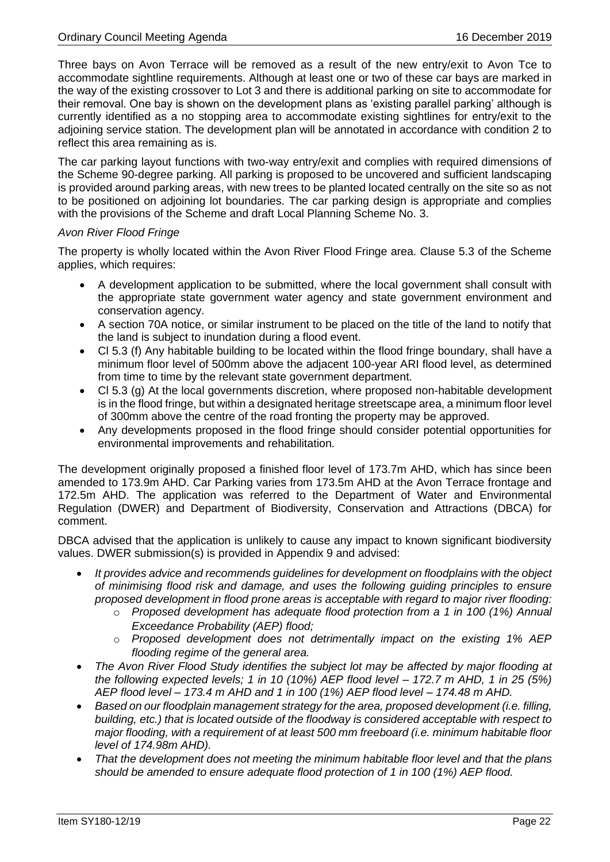Three bays on Avon Terrace will be removed as a result of the new entry/exit to Avon Tce to accommodate sightline requirements. Although at least one or two of these car bays are marked in the way of the existing crossover to Lot 3 and there is additional parking on site to accommodate for their removal. One bay is shown on the development plans as 'existing parallel parking' although is currently identified as a no stopping area to accommodate existing sightlines for entry/exit to the adjoining service station. The development plan will be annotated in accordance with condition 2 to reflect this area remaining as is.

The car parking layout functions with two-way entry/exit and complies with required dimensions of the Scheme 90-degree parking. All parking is proposed to be uncovered and sufficient landscaping is provided around parking areas, with new trees to be planted located centrally on the site so as not to be positioned on adjoining lot boundaries. The car parking design is appropriate and complies with the provisions of the Scheme and draft Local Planning Scheme No. 3.

### *Avon River Flood Fringe*

The property is wholly located within the Avon River Flood Fringe area. Clause 5.3 of the Scheme applies, which requires:

- A development application to be submitted, where the local government shall consult with the appropriate state government water agency and state government environment and conservation agency.
- A section 70A notice, or similar instrument to be placed on the title of the land to notify that the land is subject to inundation during a flood event.
- Cl 5.3 (f) Any habitable building to be located within the flood fringe boundary, shall have a minimum floor level of 500mm above the adjacent 100-year ARI flood level, as determined from time to time by the relevant state government department.
- Cl 5.3 (g) At the local governments discretion, where proposed non-habitable development is in the flood fringe, but within a designated heritage streetscape area, a minimum floor level of 300mm above the centre of the road fronting the property may be approved.
- Any developments proposed in the flood fringe should consider potential opportunities for environmental improvements and rehabilitation.

The development originally proposed a finished floor level of 173.7m AHD, which has since been amended to 173.9m AHD. Car Parking varies from 173.5m AHD at the Avon Terrace frontage and 172.5m AHD. The application was referred to the Department of Water and Environmental Regulation (DWER) and Department of Biodiversity, Conservation and Attractions (DBCA) for comment.

DBCA advised that the application is unlikely to cause any impact to known significant biodiversity values. DWER submission(s) is provided in Appendix 9 and advised:

- *It provides advice and recommends guidelines for development on floodplains with the object of minimising flood risk and damage, and uses the following guiding principles to ensure proposed development in flood prone areas is acceptable with regard to major river flooding:*
	- o *Proposed development has adequate flood protection from a 1 in 100 (1%) Annual Exceedance Probability (AEP) flood;*
	- o *Proposed development does not detrimentally impact on the existing 1% AEP flooding regime of the general area.*
- *The Avon River Flood Study identifies the subject lot may be affected by major flooding at the following expected levels; 1 in 10 (10%) AEP flood level – 172.7 m AHD, 1 in 25 (5%) AEP flood level – 173.4 m AHD and 1 in 100 (1%) AEP flood level – 174.48 m AHD.*
- *Based on our floodplain management strategy for the area, proposed development (i.e. filling, building, etc.) that is located outside of the floodway is considered acceptable with respect to major flooding, with a requirement of at least 500 mm freeboard (i.e. minimum habitable floor level of 174.98m AHD).*
- *That the development does not meeting the minimum habitable floor level and that the plans should be amended to ensure adequate flood protection of 1 in 100 (1%) AEP flood.*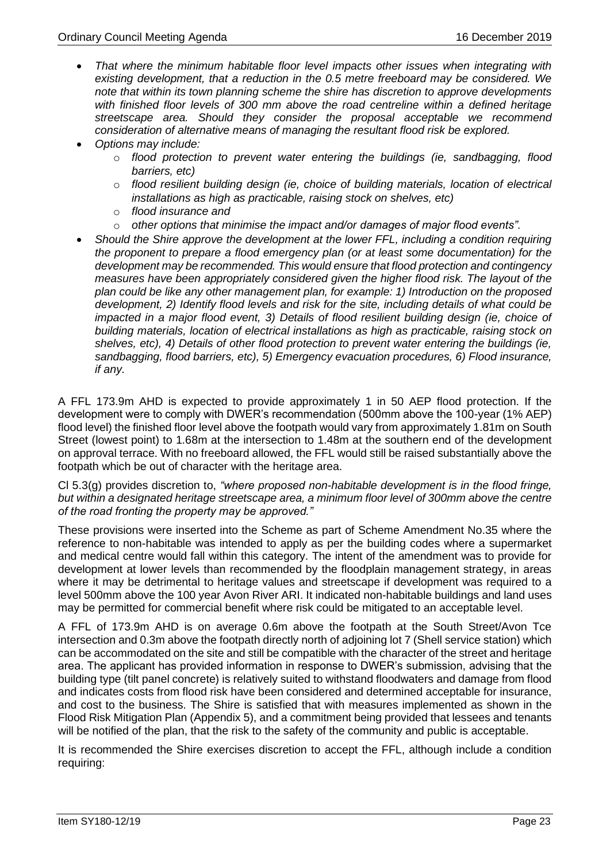- *That where the minimum habitable floor level impacts other issues when integrating with existing development, that a reduction in the 0.5 metre freeboard may be considered. We note that within its town planning scheme the shire has discretion to approve developments with finished floor levels of 300 mm above the road centreline within a defined heritage streetscape area. Should they consider the proposal acceptable we recommend consideration of alternative means of managing the resultant flood risk be explored.*
- *Options may include:*
	- o *flood protection to prevent water entering the buildings (ie, sandbagging, flood barriers, etc)*
	- o *flood resilient building design (ie, choice of building materials, location of electrical installations as high as practicable, raising stock on shelves, etc)*
	- o *flood insurance and*
	- o *other options that minimise the impact and/or damages of major flood events".*
- *Should the Shire approve the development at the lower FFL, including a condition requiring the proponent to prepare a flood emergency plan (or at least some documentation) for the development may be recommended. This would ensure that flood protection and contingency measures have been appropriately considered given the higher flood risk. The layout of the plan could be like any other management plan, for example: 1) Introduction on the proposed development, 2) Identify flood levels and risk for the site, including details of what could be impacted in a major flood event, 3) Details of flood resilient building design (ie, choice of building materials, location of electrical installations as high as practicable, raising stock on shelves, etc), 4) Details of other flood protection to prevent water entering the buildings (ie, sandbagging, flood barriers, etc), 5) Emergency evacuation procedures, 6) Flood insurance, if any.*

A FFL 173.9m AHD is expected to provide approximately 1 in 50 AEP flood protection. If the development were to comply with DWER's recommendation (500mm above the 100-year (1% AEP) flood level) the finished floor level above the footpath would vary from approximately 1.81m on South Street (lowest point) to 1.68m at the intersection to 1.48m at the southern end of the development on approval terrace. With no freeboard allowed, the FFL would still be raised substantially above the footpath which be out of character with the heritage area.

Cl 5.3(g) provides discretion to, *"where proposed non-habitable development is in the flood fringe, but within a designated heritage streetscape area, a minimum floor level of 300mm above the centre of the road fronting the property may be approved."*

These provisions were inserted into the Scheme as part of Scheme Amendment No.35 where the reference to non-habitable was intended to apply as per the building codes where a supermarket and medical centre would fall within this category. The intent of the amendment was to provide for development at lower levels than recommended by the floodplain management strategy, in areas where it may be detrimental to heritage values and streetscape if development was required to a level 500mm above the 100 year Avon River ARI. It indicated non-habitable buildings and land uses may be permitted for commercial benefit where risk could be mitigated to an acceptable level.

A FFL of 173.9m AHD is on average 0.6m above the footpath at the South Street/Avon Tce intersection and 0.3m above the footpath directly north of adjoining lot 7 (Shell service station) which can be accommodated on the site and still be compatible with the character of the street and heritage area. The applicant has provided information in response to DWER's submission, advising that the building type (tilt panel concrete) is relatively suited to withstand floodwaters and damage from flood and indicates costs from flood risk have been considered and determined acceptable for insurance, and cost to the business. The Shire is satisfied that with measures implemented as shown in the Flood Risk Mitigation Plan (Appendix 5), and a commitment being provided that lessees and tenants will be notified of the plan, that the risk to the safety of the community and public is acceptable.

It is recommended the Shire exercises discretion to accept the FFL, although include a condition requiring: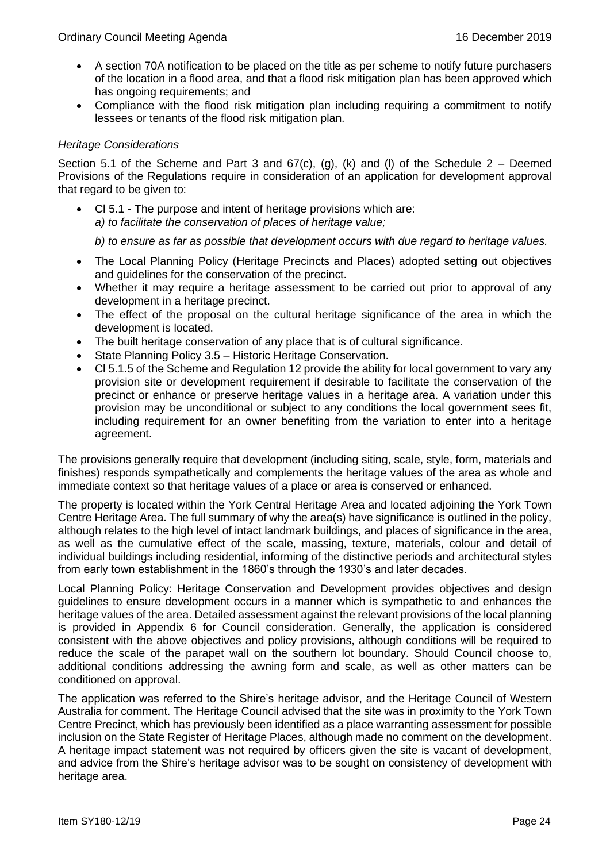- A section 70A notification to be placed on the title as per scheme to notify future purchasers of the location in a flood area, and that a flood risk mitigation plan has been approved which has ongoing requirements; and
- Compliance with the flood risk mitigation plan including requiring a commitment to notify lessees or tenants of the flood risk mitigation plan.

### *Heritage Considerations*

Section 5.1 of the Scheme and Part 3 and  $67(c)$ , (g), (k) and (l) of the Schedule 2 – Deemed Provisions of the Regulations require in consideration of an application for development approval that regard to be given to:

• Cl 5.1 - The purpose and intent of heritage provisions which are: *a) to facilitate the conservation of places of heritage value;*

*b) to ensure as far as possible that development occurs with due regard to heritage values.* 

- The Local Planning Policy (Heritage Precincts and Places) adopted setting out objectives and guidelines for the conservation of the precinct.
- Whether it may require a heritage assessment to be carried out prior to approval of any development in a heritage precinct.
- The effect of the proposal on the cultural heritage significance of the area in which the development is located.
- The built heritage conservation of any place that is of cultural significance.
- State Planning Policy 3.5 Historic Heritage Conservation.
- Cl 5.1.5 of the Scheme and Regulation 12 provide the ability for local government to vary any provision site or development requirement if desirable to facilitate the conservation of the precinct or enhance or preserve heritage values in a heritage area. A variation under this provision may be unconditional or subject to any conditions the local government sees fit, including requirement for an owner benefiting from the variation to enter into a heritage agreement.

The provisions generally require that development (including siting, scale, style, form, materials and finishes) responds sympathetically and complements the heritage values of the area as whole and immediate context so that heritage values of a place or area is conserved or enhanced.

The property is located within the York Central Heritage Area and located adjoining the York Town Centre Heritage Area. The full summary of why the area(s) have significance is outlined in the policy, although relates to the high level of intact landmark buildings, and places of significance in the area, as well as the cumulative effect of the scale, massing, texture, materials, colour and detail of individual buildings including residential, informing of the distinctive periods and architectural styles from early town establishment in the 1860's through the 1930's and later decades.

Local Planning Policy: Heritage Conservation and Development provides objectives and design guidelines to ensure development occurs in a manner which is sympathetic to and enhances the heritage values of the area. Detailed assessment against the relevant provisions of the local planning is provided in Appendix 6 for Council consideration. Generally, the application is considered consistent with the above objectives and policy provisions, although conditions will be required to reduce the scale of the parapet wall on the southern lot boundary. Should Council choose to, additional conditions addressing the awning form and scale, as well as other matters can be conditioned on approval.

The application was referred to the Shire's heritage advisor, and the Heritage Council of Western Australia for comment. The Heritage Council advised that the site was in proximity to the York Town Centre Precinct, which has previously been identified as a place warranting assessment for possible inclusion on the State Register of Heritage Places, although made no comment on the development. A heritage impact statement was not required by officers given the site is vacant of development, and advice from the Shire's heritage advisor was to be sought on consistency of development with heritage area.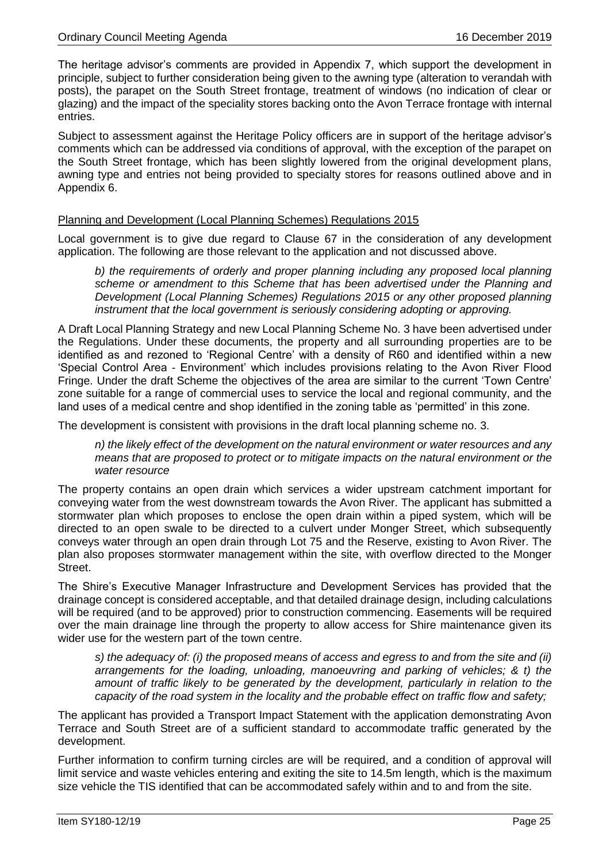The heritage advisor's comments are provided in Appendix 7, which support the development in principle, subject to further consideration being given to the awning type (alteration to verandah with posts), the parapet on the South Street frontage, treatment of windows (no indication of clear or glazing) and the impact of the speciality stores backing onto the Avon Terrace frontage with internal entries.

Subject to assessment against the Heritage Policy officers are in support of the heritage advisor's comments which can be addressed via conditions of approval, with the exception of the parapet on the South Street frontage, which has been slightly lowered from the original development plans, awning type and entries not being provided to specialty stores for reasons outlined above and in Appendix 6.

### Planning and Development (Local Planning Schemes) Regulations 2015

Local government is to give due regard to Clause 67 in the consideration of any development application. The following are those relevant to the application and not discussed above.

*b) the requirements of orderly and proper planning including any proposed local planning scheme or amendment to this Scheme that has been advertised under the Planning and Development (Local Planning Schemes) Regulations 2015 or any other proposed planning instrument that the local government is seriously considering adopting or approving.* 

A Draft Local Planning Strategy and new Local Planning Scheme No. 3 have been advertised under the Regulations. Under these documents, the property and all surrounding properties are to be identified as and rezoned to 'Regional Centre' with a density of R60 and identified within a new 'Special Control Area - Environment' which includes provisions relating to the Avon River Flood Fringe. Under the draft Scheme the objectives of the area are similar to the current 'Town Centre' zone suitable for a range of commercial uses to service the local and regional community, and the land uses of a medical centre and shop identified in the zoning table as 'permitted' in this zone.

The development is consistent with provisions in the draft local planning scheme no. 3.

*n) the likely effect of the development on the natural environment or water resources and any means that are proposed to protect or to mitigate impacts on the natural environment or the water resource*

The property contains an open drain which services a wider upstream catchment important for conveying water from the west downstream towards the Avon River. The applicant has submitted a stormwater plan which proposes to enclose the open drain within a piped system, which will be directed to an open swale to be directed to a culvert under Monger Street, which subsequently conveys water through an open drain through Lot 75 and the Reserve, existing to Avon River. The plan also proposes stormwater management within the site, with overflow directed to the Monger Street.

The Shire's Executive Manager Infrastructure and Development Services has provided that the drainage concept is considered acceptable, and that detailed drainage design, including calculations will be required (and to be approved) prior to construction commencing. Easements will be required over the main drainage line through the property to allow access for Shire maintenance given its wider use for the western part of the town centre.

*s) the adequacy of: (i) the proposed means of access and egress to and from the site and (ii) arrangements for the loading, unloading, manoeuvring and parking of vehicles; & t) the amount of traffic likely to be generated by the development, particularly in relation to the capacity of the road system in the locality and the probable effect on traffic flow and safety;* 

The applicant has provided a Transport Impact Statement with the application demonstrating Avon Terrace and South Street are of a sufficient standard to accommodate traffic generated by the development.

Further information to confirm turning circles are will be required, and a condition of approval will limit service and waste vehicles entering and exiting the site to 14.5m length, which is the maximum size vehicle the TIS identified that can be accommodated safely within and to and from the site.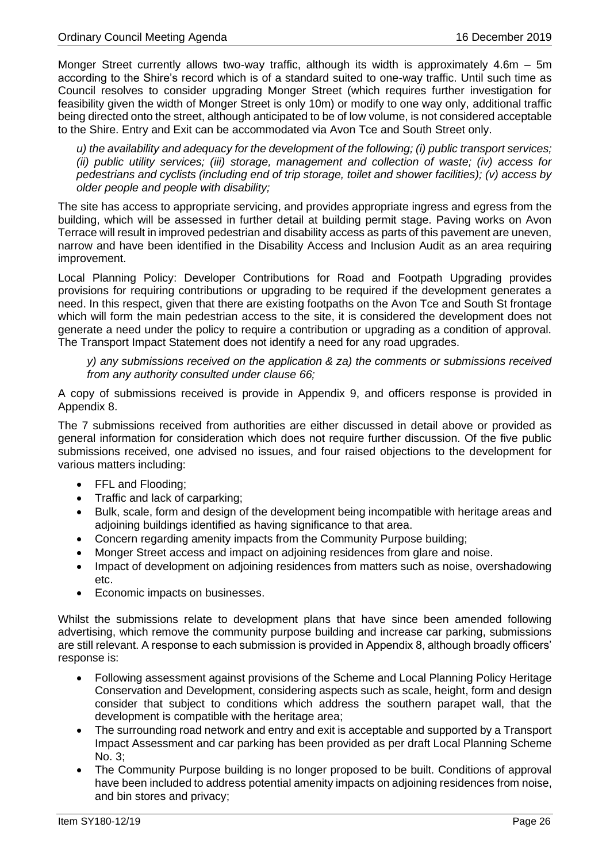Monger Street currently allows two-way traffic, although its width is approximately 4.6m – 5m according to the Shire's record which is of a standard suited to one-way traffic. Until such time as Council resolves to consider upgrading Monger Street (which requires further investigation for feasibility given the width of Monger Street is only 10m) or modify to one way only, additional traffic being directed onto the street, although anticipated to be of low volume, is not considered acceptable to the Shire. Entry and Exit can be accommodated via Avon Tce and South Street only.

*u) the availability and adequacy for the development of the following; (i) public transport services; (ii) public utility services; (iii) storage, management and collection of waste; (iv) access for pedestrians and cyclists (including end of trip storage, toilet and shower facilities); (v) access by older people and people with disability;*

The site has access to appropriate servicing, and provides appropriate ingress and egress from the building, which will be assessed in further detail at building permit stage. Paving works on Avon Terrace will result in improved pedestrian and disability access as parts of this pavement are uneven, narrow and have been identified in the Disability Access and Inclusion Audit as an area requiring improvement.

Local Planning Policy: Developer Contributions for Road and Footpath Upgrading provides provisions for requiring contributions or upgrading to be required if the development generates a need. In this respect, given that there are existing footpaths on the Avon Tce and South St frontage which will form the main pedestrian access to the site, it is considered the development does not generate a need under the policy to require a contribution or upgrading as a condition of approval. The Transport Impact Statement does not identify a need for any road upgrades.

*y) any submissions received on the application & za) the comments or submissions received from any authority consulted under clause 66;*

A copy of submissions received is provide in Appendix 9, and officers response is provided in Appendix 8.

The 7 submissions received from authorities are either discussed in detail above or provided as general information for consideration which does not require further discussion. Of the five public submissions received, one advised no issues, and four raised objections to the development for various matters including:

- FFL and Flooding:
- Traffic and lack of carparking;
- Bulk, scale, form and design of the development being incompatible with heritage areas and adjoining buildings identified as having significance to that area.
- Concern regarding amenity impacts from the Community Purpose building;
- Monger Street access and impact on adjoining residences from glare and noise.
- Impact of development on adjoining residences from matters such as noise, overshadowing etc.
- Economic impacts on businesses.

Whilst the submissions relate to development plans that have since been amended following advertising, which remove the community purpose building and increase car parking, submissions are still relevant. A response to each submission is provided in Appendix 8, although broadly officers' response is:

- Following assessment against provisions of the Scheme and Local Planning Policy Heritage Conservation and Development, considering aspects such as scale, height, form and design consider that subject to conditions which address the southern parapet wall, that the development is compatible with the heritage area;
- The surrounding road network and entry and exit is acceptable and supported by a Transport Impact Assessment and car parking has been provided as per draft Local Planning Scheme No. 3;
- The Community Purpose building is no longer proposed to be built. Conditions of approval have been included to address potential amenity impacts on adjoining residences from noise, and bin stores and privacy;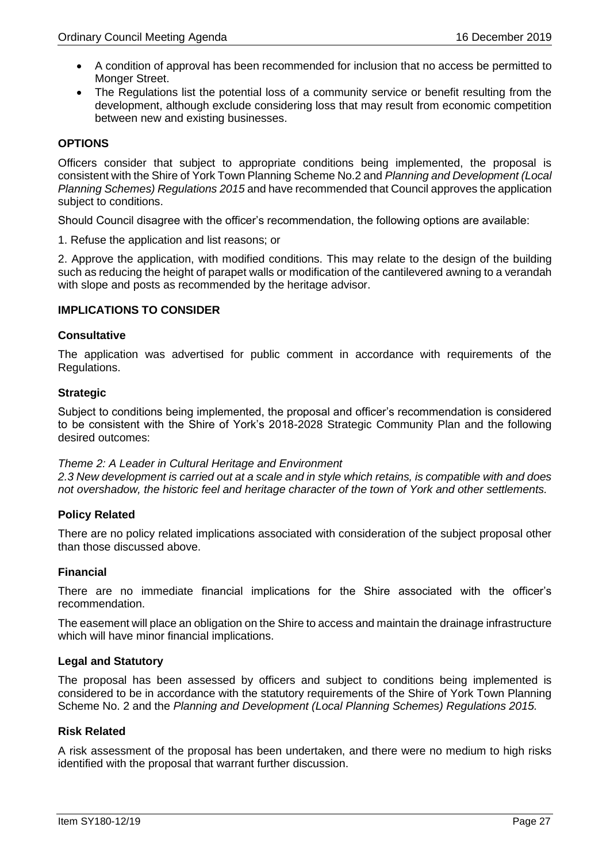- A condition of approval has been recommended for inclusion that no access be permitted to Monger Street.
- The Regulations list the potential loss of a community service or benefit resulting from the development, although exclude considering loss that may result from economic competition between new and existing businesses.

### **OPTIONS**

Officers consider that subject to appropriate conditions being implemented, the proposal is consistent with the Shire of York Town Planning Scheme No.2 and *Planning and Development (Local Planning Schemes) Regulations 2015* and have recommended that Council approves the application subject to conditions.

Should Council disagree with the officer's recommendation, the following options are available:

1. Refuse the application and list reasons; or

2. Approve the application, with modified conditions. This may relate to the design of the building such as reducing the height of parapet walls or modification of the cantilevered awning to a verandah with slope and posts as recommended by the heritage advisor.

### **IMPLICATIONS TO CONSIDER**

### **Consultative**

The application was advertised for public comment in accordance with requirements of the Regulations.

### **Strategic**

Subject to conditions being implemented, the proposal and officer's recommendation is considered to be consistent with the Shire of York's 2018-2028 Strategic Community Plan and the following desired outcomes:

### *Theme 2: A Leader in Cultural Heritage and Environment*

*2.3 New development is carried out at a scale and in style which retains, is compatible with and does not overshadow, the historic feel and heritage character of the town of York and other settlements.*

### **Policy Related**

There are no policy related implications associated with consideration of the subject proposal other than those discussed above.

### **Financial**

There are no immediate financial implications for the Shire associated with the officer's recommendation.

The easement will place an obligation on the Shire to access and maintain the drainage infrastructure which will have minor financial implications.

### **Legal and Statutory**

The proposal has been assessed by officers and subject to conditions being implemented is considered to be in accordance with the statutory requirements of the Shire of York Town Planning Scheme No. 2 and the *Planning and Development (Local Planning Schemes) Regulations 2015.*

### **Risk Related**

A risk assessment of the proposal has been undertaken, and there were no medium to high risks identified with the proposal that warrant further discussion.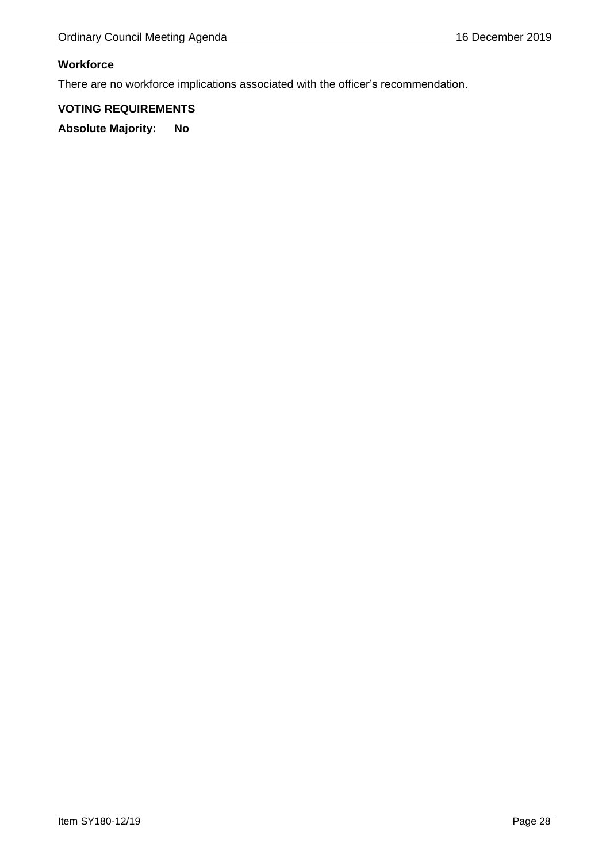### **Workforce**

There are no workforce implications associated with the officer's recommendation.

### **VOTING REQUIREMENTS**

**Absolute Majority: No**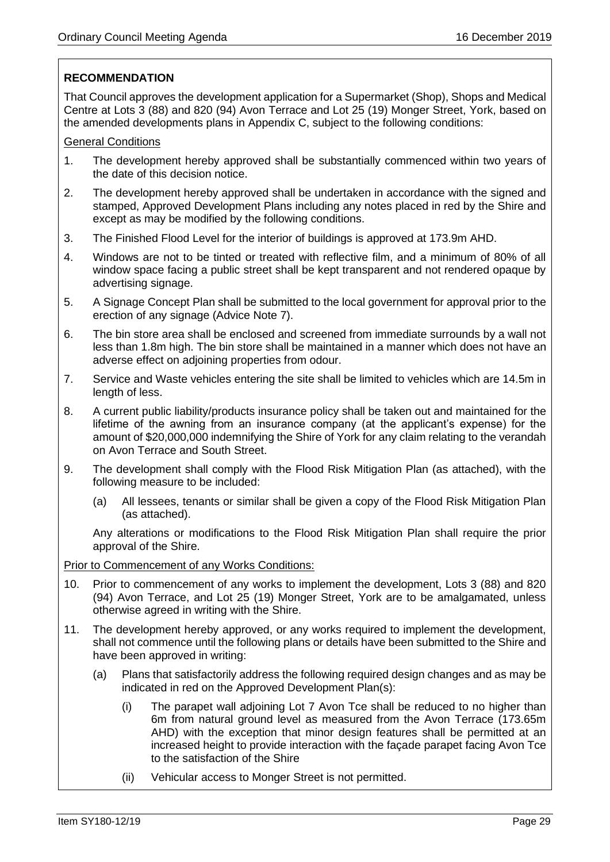### **RECOMMENDATION**

That Council approves the development application for a Supermarket (Shop), Shops and Medical Centre at Lots 3 (88) and 820 (94) Avon Terrace and Lot 25 (19) Monger Street, York, based on the amended developments plans in Appendix C, subject to the following conditions:

### General Conditions

- 1. The development hereby approved shall be substantially commenced within two years of the date of this decision notice.
- 2. The development hereby approved shall be undertaken in accordance with the signed and stamped, Approved Development Plans including any notes placed in red by the Shire and except as may be modified by the following conditions.
- 3. The Finished Flood Level for the interior of buildings is approved at 173.9m AHD.
- 4. Windows are not to be tinted or treated with reflective film, and a minimum of 80% of all window space facing a public street shall be kept transparent and not rendered opaque by advertising signage.
- 5. A Signage Concept Plan shall be submitted to the local government for approval prior to the erection of any signage (Advice Note 7).
- 6. The bin store area shall be enclosed and screened from immediate surrounds by a wall not less than 1.8m high. The bin store shall be maintained in a manner which does not have an adverse effect on adjoining properties from odour.
- 7. Service and Waste vehicles entering the site shall be limited to vehicles which are 14.5m in length of less.
- 8. A current public liability/products insurance policy shall be taken out and maintained for the lifetime of the awning from an insurance company (at the applicant's expense) for the amount of \$20,000,000 indemnifying the Shire of York for any claim relating to the verandah on Avon Terrace and South Street.
- 9. The development shall comply with the Flood Risk Mitigation Plan (as attached), with the following measure to be included:
	- (a) All lessees, tenants or similar shall be given a copy of the Flood Risk Mitigation Plan (as attached).

Any alterations or modifications to the Flood Risk Mitigation Plan shall require the prior approval of the Shire.

### Prior to Commencement of any Works Conditions:

- 10. Prior to commencement of any works to implement the development, Lots 3 (88) and 820 (94) Avon Terrace, and Lot 25 (19) Monger Street, York are to be amalgamated, unless otherwise agreed in writing with the Shire.
- 11. The development hereby approved, or any works required to implement the development, shall not commence until the following plans or details have been submitted to the Shire and have been approved in writing:
	- (a) Plans that satisfactorily address the following required design changes and as may be indicated in red on the Approved Development Plan(s):
		- (i) The parapet wall adjoining Lot 7 Avon Tce shall be reduced to no higher than 6m from natural ground level as measured from the Avon Terrace (173.65m AHD) with the exception that minor design features shall be permitted at an increased height to provide interaction with the façade parapet facing Avon Tce to the satisfaction of the Shire
		- (ii) Vehicular access to Monger Street is not permitted.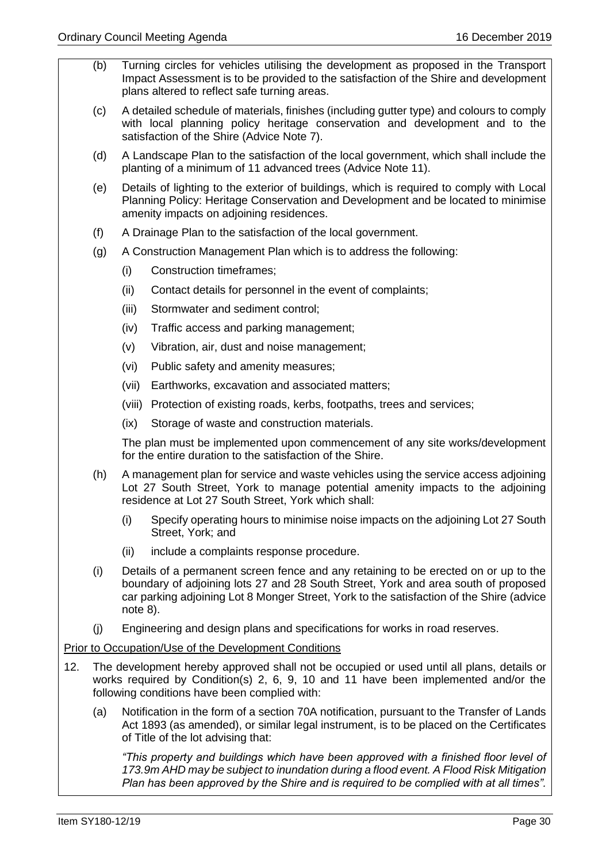- (b) Turning circles for vehicles utilising the development as proposed in the Transport Impact Assessment is to be provided to the satisfaction of the Shire and development plans altered to reflect safe turning areas.
- (c) A detailed schedule of materials, finishes (including gutter type) and colours to comply with local planning policy heritage conservation and development and to the satisfaction of the Shire (Advice Note 7).
- (d) A Landscape Plan to the satisfaction of the local government, which shall include the planting of a minimum of 11 advanced trees (Advice Note 11).
- (e) Details of lighting to the exterior of buildings, which is required to comply with Local Planning Policy: Heritage Conservation and Development and be located to minimise amenity impacts on adjoining residences.
- (f) A Drainage Plan to the satisfaction of the local government.
- (g) A Construction Management Plan which is to address the following:
	- (i) Construction timeframes;
	- (ii) Contact details for personnel in the event of complaints;
	- (iii) Stormwater and sediment control;
	- (iv) Traffic access and parking management;
	- (v) Vibration, air, dust and noise management;
	- (vi) Public safety and amenity measures;
	- (vii) Earthworks, excavation and associated matters;
	- (viii) Protection of existing roads, kerbs, footpaths, trees and services;
	- (ix) Storage of waste and construction materials.

The plan must be implemented upon commencement of any site works/development for the entire duration to the satisfaction of the Shire.

- (h) A management plan for service and waste vehicles using the service access adjoining Lot 27 South Street, York to manage potential amenity impacts to the adjoining residence at Lot 27 South Street, York which shall:
	- (i) Specify operating hours to minimise noise impacts on the adjoining Lot 27 South Street, York; and
	- (ii) include a complaints response procedure.
- (i) Details of a permanent screen fence and any retaining to be erected on or up to the boundary of adjoining lots 27 and 28 South Street, York and area south of proposed car parking adjoining Lot 8 Monger Street, York to the satisfaction of the Shire (advice note 8).
- (j) Engineering and design plans and specifications for works in road reserves.

### Prior to Occupation/Use of the Development Conditions

- 12. The development hereby approved shall not be occupied or used until all plans, details or works required by Condition(s) 2, 6, 9, 10 and 11 have been implemented and/or the following conditions have been complied with:
	- (a) Notification in the form of a section 70A notification, pursuant to the Transfer of Lands Act 1893 (as amended), or similar legal instrument, is to be placed on the Certificates of Title of the lot advising that:

*"This property and buildings which have been approved with a finished floor level of 173.9m AHD may be subject to inundation during a flood event. A Flood Risk Mitigation Plan has been approved by the Shire and is required to be complied with at all times".*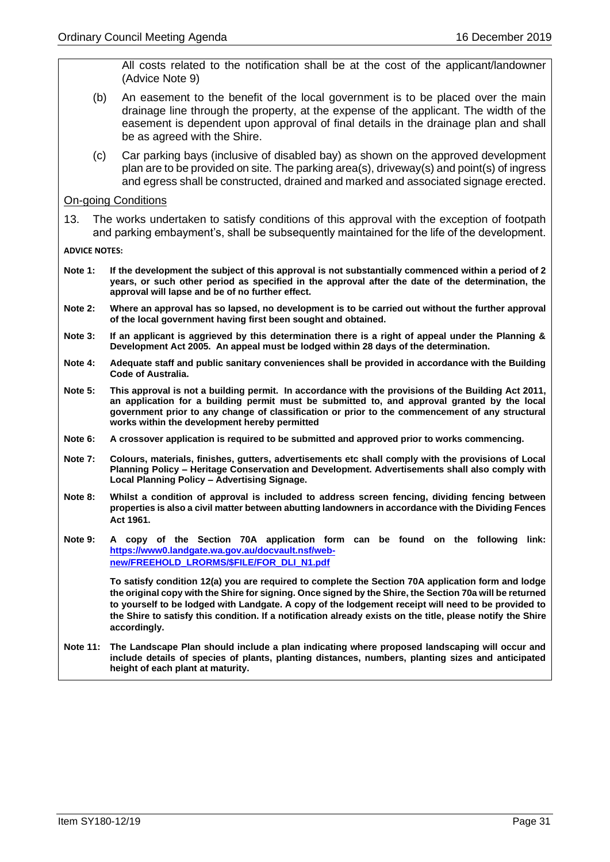All costs related to the notification shall be at the cost of the applicant/landowner (Advice Note 9)

- (b) An easement to the benefit of the local government is to be placed over the main drainage line through the property, at the expense of the applicant. The width of the easement is dependent upon approval of final details in the drainage plan and shall be as agreed with the Shire.
- (c) Car parking bays (inclusive of disabled bay) as shown on the approved development plan are to be provided on site. The parking area(s), driveway(s) and point(s) of ingress and egress shall be constructed, drained and marked and associated signage erected.

On-going Conditions

13. The works undertaken to satisfy conditions of this approval with the exception of footpath and parking embayment's, shall be subsequently maintained for the life of the development.

**ADVICE NOTES:**

- **Note 1: If the development the subject of this approval is not substantially commenced within a period of 2 years, or such other period as specified in the approval after the date of the determination, the approval will lapse and be of no further effect.**
- **Note 2: Where an approval has so lapsed, no development is to be carried out without the further approval of the local government having first been sought and obtained.**
- **Note 3: If an applicant is aggrieved by this determination there is a right of appeal under the Planning & Development Act 2005. An appeal must be lodged within 28 days of the determination.**
- **Note 4: Adequate staff and public sanitary conveniences shall be provided in accordance with the Building Code of Australia.**
- **Note 5: This approval is not a building permit. In accordance with the provisions of the Building Act 2011, an application for a building permit must be submitted to, and approval granted by the local government prior to any change of classification or prior to the commencement of any structural works within the development hereby permitted**
- **Note 6: A crossover application is required to be submitted and approved prior to works commencing.**
- **Note 7: Colours, materials, finishes, gutters, advertisements etc shall comply with the provisions of Local Planning Policy – Heritage Conservation and Development. Advertisements shall also comply with Local Planning Policy – Advertising Signage.**
- **Note 8: Whilst a condition of approval is included to address screen fencing, dividing fencing between properties is also a civil matter between abutting landowners in accordance with the Dividing Fences Act 1961.**
- **Note 9: A copy of the Section 70A application form can be found on the following link: [https://www0.landgate.wa.gov.au/docvault.nsf/web](https://www0.landgate.wa.gov.au/docvault.nsf/web-new/FREEHOLD_LRORMS/$FILE/FOR_DLI_N1.pdf)[new/FREEHOLD\\_LRORMS/\\$FILE/FOR\\_DLI\\_N1.pdf](https://www0.landgate.wa.gov.au/docvault.nsf/web-new/FREEHOLD_LRORMS/$FILE/FOR_DLI_N1.pdf)**

**To satisfy condition 12(a) you are required to complete the Section 70A application form and lodge the original copy with the Shire for signing. Once signed by the Shire, the Section 70a will be returned to yourself to be lodged with Landgate. A copy of the lodgement receipt will need to be provided to the Shire to satisfy this condition. If a notification already exists on the title, please notify the Shire accordingly.** 

**Note 11: The Landscape Plan should include a plan indicating where proposed landscaping will occur and include details of species of plants, planting distances, numbers, planting sizes and anticipated height of each plant at maturity.**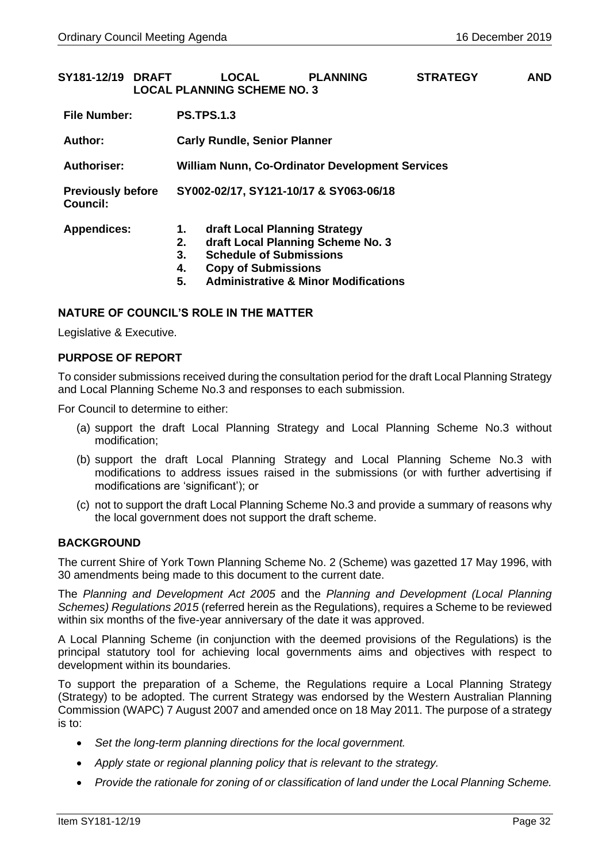<span id="page-31-0"></span>

| SY181-12/19 DRAFT                           |  |                                                        | <b>LOCAL</b><br><b>LOCAL PLANNING SCHEME NO. 3</b>                                            | <b>PLANNING</b>                                                                      | <b>STRATEGY</b> | <b>AND</b> |  |  |
|---------------------------------------------|--|--------------------------------------------------------|-----------------------------------------------------------------------------------------------|--------------------------------------------------------------------------------------|-----------------|------------|--|--|
| <b>File Number:</b>                         |  | <b>PS.TPS.1.3</b>                                      |                                                                                               |                                                                                      |                 |            |  |  |
| Author:                                     |  |                                                        |                                                                                               |                                                                                      |                 |            |  |  |
| Authoriser:                                 |  | <b>William Nunn, Co-Ordinator Development Services</b> |                                                                                               |                                                                                      |                 |            |  |  |
| <b>Previously before</b><br><b>Council:</b> |  |                                                        |                                                                                               | SY002-02/17, SY121-10/17 & SY063-06/18                                               |                 |            |  |  |
| <b>Appendices:</b>                          |  | 1.<br>2.<br>3.<br>4.<br>5.                             | draft Local Planning Strategy<br><b>Schedule of Submissions</b><br><b>Copy of Submissions</b> | draft Local Planning Scheme No. 3<br><b>Administrative &amp; Minor Modifications</b> |                 |            |  |  |

### **NATURE OF COUNCIL'S ROLE IN THE MATTER**

Legislative & Executive.

### **PURPOSE OF REPORT**

To consider submissions received during the consultation period for the draft Local Planning Strategy and Local Planning Scheme No.3 and responses to each submission.

For Council to determine to either:

- (a) support the draft Local Planning Strategy and Local Planning Scheme No.3 without modification;
- (b) support the draft Local Planning Strategy and Local Planning Scheme No.3 with modifications to address issues raised in the submissions (or with further advertising if modifications are 'significant'); or
- (c) not to support the draft Local Planning Scheme No.3 and provide a summary of reasons why the local government does not support the draft scheme.

### **BACKGROUND**

The current Shire of York Town Planning Scheme No. 2 (Scheme) was gazetted 17 May 1996, with 30 amendments being made to this document to the current date.

The *Planning and Development Act 2005* and the *Planning and Development (Local Planning Schemes) Regulations 2015* (referred herein as the Regulations), requires a Scheme to be reviewed within six months of the five-year anniversary of the date it was approved.

A Local Planning Scheme (in conjunction with the deemed provisions of the Regulations) is the principal statutory tool for achieving local governments aims and objectives with respect to development within its boundaries.

To support the preparation of a Scheme, the Regulations require a Local Planning Strategy (Strategy) to be adopted. The current Strategy was endorsed by the Western Australian Planning Commission (WAPC) 7 August 2007 and amended once on 18 May 2011. The purpose of a strategy is to:

- *Set the long-term planning directions for the local government.*
- *Apply state or regional planning policy that is relevant to the strategy.*
- *Provide the rationale for zoning of or classification of land under the Local Planning Scheme.*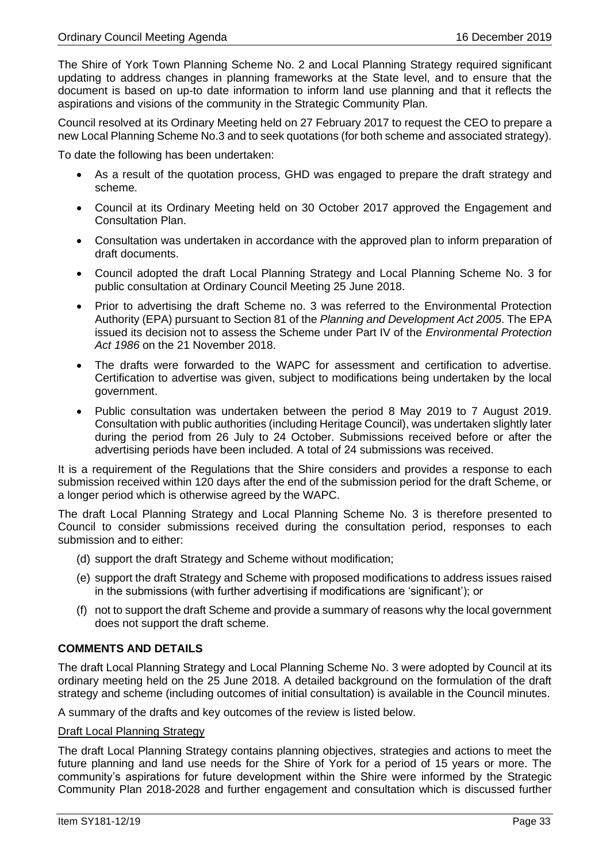The Shire of York Town Planning Scheme No. 2 and Local Planning Strategy required significant updating to address changes in planning frameworks at the State level, and to ensure that the document is based on up-to date information to inform land use planning and that it reflects the aspirations and visions of the community in the Strategic Community Plan.

Council resolved at its Ordinary Meeting held on 27 February 2017 to request the CEO to prepare a new Local Planning Scheme No.3 and to seek quotations (for both scheme and associated strategy).

To date the following has been undertaken:

- As a result of the quotation process, GHD was engaged to prepare the draft strategy and scheme.
- Council at its Ordinary Meeting held on 30 October 2017 approved the Engagement and Consultation Plan.
- Consultation was undertaken in accordance with the approved plan to inform preparation of draft documents.
- Council adopted the draft Local Planning Strategy and Local Planning Scheme No. 3 for public consultation at Ordinary Council Meeting 25 June 2018.
- Prior to advertising the draft Scheme no. 3 was referred to the Environmental Protection Authority (EPA) pursuant to Section 81 of the *Planning and Development Act 2005*. The EPA issued its decision not to assess the Scheme under Part IV of the *Environmental Protection Act 1986* on the 21 November 2018.
- The drafts were forwarded to the WAPC for assessment and certification to advertise. Certification to advertise was given, subject to modifications being undertaken by the local government.
- Public consultation was undertaken between the period 8 May 2019 to 7 August 2019. Consultation with public authorities (including Heritage Council), was undertaken slightly later during the period from 26 July to 24 October. Submissions received before or after the advertising periods have been included. A total of 24 submissions was received.

It is a requirement of the Regulations that the Shire considers and provides a response to each submission received within 120 days after the end of the submission period for the draft Scheme, or a longer period which is otherwise agreed by the WAPC.

The draft Local Planning Strategy and Local Planning Scheme No. 3 is therefore presented to Council to consider submissions received during the consultation period, responses to each submission and to either:

- (d) support the draft Strategy and Scheme without modification;
- (e) support the draft Strategy and Scheme with proposed modifications to address issues raised in the submissions (with further advertising if modifications are 'significant'); or
- (f) not to support the draft Scheme and provide a summary of reasons why the local government does not support the draft scheme.

### **COMMENTS AND DETAILS**

The draft Local Planning Strategy and Local Planning Scheme No. 3 were adopted by Council at its ordinary meeting held on the 25 June 2018. A detailed background on the formulation of the draft strategy and scheme (including outcomes of initial consultation) is available in the Council minutes.

A summary of the drafts and key outcomes of the review is listed below.

### Draft Local Planning Strategy

The draft Local Planning Strategy contains planning objectives, strategies and actions to meet the future planning and land use needs for the Shire of York for a period of 15 years or more. The community's aspirations for future development within the Shire were informed by the Strategic Community Plan 2018-2028 and further engagement and consultation which is discussed further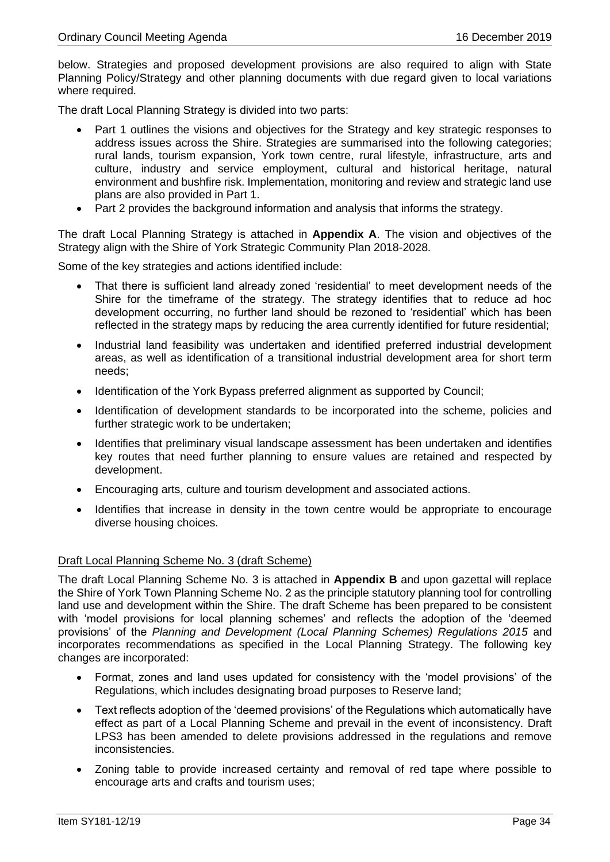below. Strategies and proposed development provisions are also required to align with State Planning Policy/Strategy and other planning documents with due regard given to local variations where required.

The draft Local Planning Strategy is divided into two parts:

- Part 1 outlines the visions and objectives for the Strategy and key strategic responses to address issues across the Shire. Strategies are summarised into the following categories; rural lands, tourism expansion, York town centre, rural lifestyle, infrastructure, arts and culture, industry and service employment, cultural and historical heritage, natural environment and bushfire risk. Implementation, monitoring and review and strategic land use plans are also provided in Part 1.
- Part 2 provides the background information and analysis that informs the strategy.

The draft Local Planning Strategy is attached in **Appendix A**. The vision and objectives of the Strategy align with the Shire of York Strategic Community Plan 2018-2028.

Some of the key strategies and actions identified include:

- That there is sufficient land already zoned 'residential' to meet development needs of the Shire for the timeframe of the strategy. The strategy identifies that to reduce ad hoc development occurring, no further land should be rezoned to 'residential' which has been reflected in the strategy maps by reducing the area currently identified for future residential;
- Industrial land feasibility was undertaken and identified preferred industrial development areas, as well as identification of a transitional industrial development area for short term needs;
- Identification of the York Bypass preferred alignment as supported by Council;
- Identification of development standards to be incorporated into the scheme, policies and further strategic work to be undertaken;
- Identifies that preliminary visual landscape assessment has been undertaken and identifies key routes that need further planning to ensure values are retained and respected by development.
- Encouraging arts, culture and tourism development and associated actions.
- Identifies that increase in density in the town centre would be appropriate to encourage diverse housing choices.

### Draft Local Planning Scheme No. 3 (draft Scheme)

The draft Local Planning Scheme No. 3 is attached in **Appendix B** and upon gazettal will replace the Shire of York Town Planning Scheme No. 2 as the principle statutory planning tool for controlling land use and development within the Shire. The draft Scheme has been prepared to be consistent with 'model provisions for local planning schemes' and reflects the adoption of the 'deemed provisions' of the *Planning and Development (Local Planning Schemes) Regulations 2015* and incorporates recommendations as specified in the Local Planning Strategy. The following key changes are incorporated:

- Format, zones and land uses updated for consistency with the 'model provisions' of the Regulations, which includes designating broad purposes to Reserve land;
- Text reflects adoption of the 'deemed provisions' of the Regulations which automatically have effect as part of a Local Planning Scheme and prevail in the event of inconsistency. Draft LPS3 has been amended to delete provisions addressed in the regulations and remove inconsistencies.
- Zoning table to provide increased certainty and removal of red tape where possible to encourage arts and crafts and tourism uses;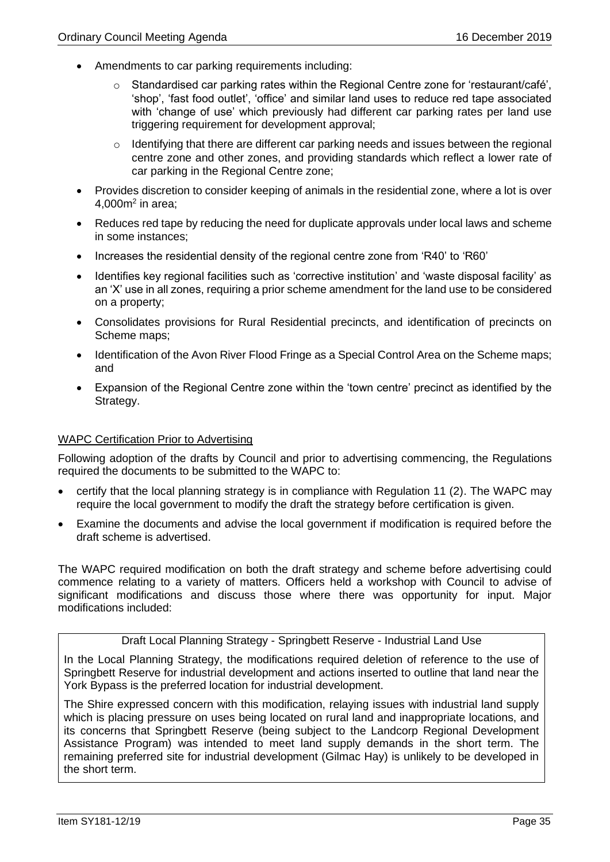- Amendments to car parking requirements including:
	- $\circ$  Standardised car parking rates within the Regional Centre zone for 'restaurant/café', 'shop', 'fast food outlet', 'office' and similar land uses to reduce red tape associated with 'change of use' which previously had different car parking rates per land use triggering requirement for development approval;
	- o Identifying that there are different car parking needs and issues between the regional centre zone and other zones, and providing standards which reflect a lower rate of car parking in the Regional Centre zone;
- Provides discretion to consider keeping of animals in the residential zone, where a lot is over  $4,000$ m<sup>2</sup> in area;
- Reduces red tape by reducing the need for duplicate approvals under local laws and scheme in some instances;
- Increases the residential density of the regional centre zone from 'R40' to 'R60'
- Identifies key regional facilities such as 'corrective institution' and 'waste disposal facility' as an 'X' use in all zones, requiring a prior scheme amendment for the land use to be considered on a property;
- Consolidates provisions for Rural Residential precincts, and identification of precincts on Scheme maps;
- Identification of the Avon River Flood Fringe as a Special Control Area on the Scheme maps; and
- Expansion of the Regional Centre zone within the 'town centre' precinct as identified by the Strategy.

### WAPC Certification Prior to Advertising

Following adoption of the drafts by Council and prior to advertising commencing, the Regulations required the documents to be submitted to the WAPC to:

- certify that the local planning strategy is in compliance with Regulation 11 (2). The WAPC may require the local government to modify the draft the strategy before certification is given.
- Examine the documents and advise the local government if modification is required before the draft scheme is advertised.

The WAPC required modification on both the draft strategy and scheme before advertising could commence relating to a variety of matters. Officers held a workshop with Council to advise of significant modifications and discuss those where there was opportunity for input. Major modifications included:

Draft Local Planning Strategy - Springbett Reserve - Industrial Land Use

In the Local Planning Strategy, the modifications required deletion of reference to the use of Springbett Reserve for industrial development and actions inserted to outline that land near the York Bypass is the preferred location for industrial development.

The Shire expressed concern with this modification, relaying issues with industrial land supply which is placing pressure on uses being located on rural land and inappropriate locations, and its concerns that Springbett Reserve (being subject to the Landcorp Regional Development Assistance Program) was intended to meet land supply demands in the short term. The remaining preferred site for industrial development (Gilmac Hay) is unlikely to be developed in the short term.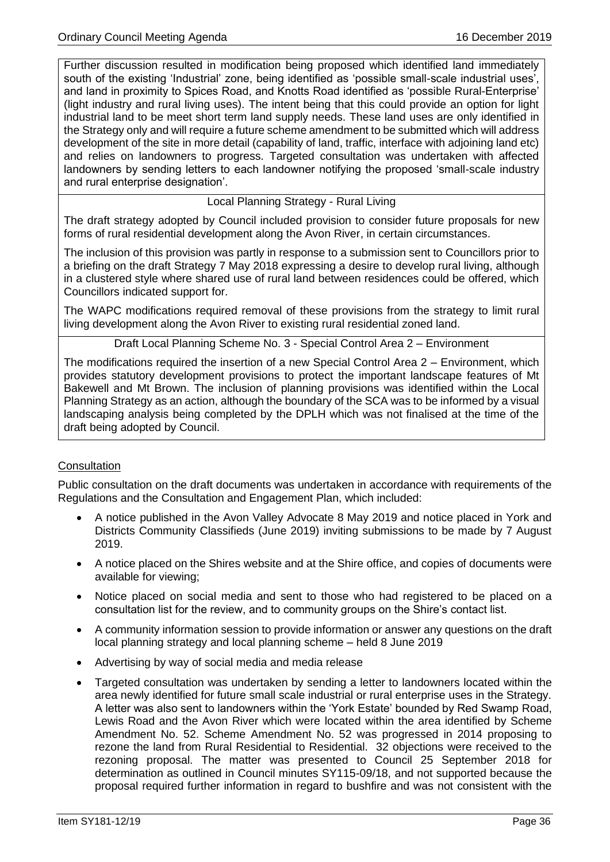Further discussion resulted in modification being proposed which identified land immediately south of the existing 'Industrial' zone, being identified as 'possible small-scale industrial uses', and land in proximity to Spices Road, and Knotts Road identified as 'possible Rural-Enterprise' (light industry and rural living uses). The intent being that this could provide an option for light industrial land to be meet short term land supply needs. These land uses are only identified in the Strategy only and will require a future scheme amendment to be submitted which will address development of the site in more detail (capability of land, traffic, interface with adjoining land etc) and relies on landowners to progress. Targeted consultation was undertaken with affected landowners by sending letters to each landowner notifying the proposed 'small-scale industry and rural enterprise designation'.

### Local Planning Strategy - Rural Living

The draft strategy adopted by Council included provision to consider future proposals for new forms of rural residential development along the Avon River, in certain circumstances.

The inclusion of this provision was partly in response to a submission sent to Councillors prior to a briefing on the draft Strategy 7 May 2018 expressing a desire to develop rural living, although in a clustered style where shared use of rural land between residences could be offered, which Councillors indicated support for.

The WAPC modifications required removal of these provisions from the strategy to limit rural living development along the Avon River to existing rural residential zoned land.

Draft Local Planning Scheme No. 3 - Special Control Area 2 – Environment

The modifications required the insertion of a new Special Control Area 2 – Environment, which provides statutory development provisions to protect the important landscape features of Mt Bakewell and Mt Brown. The inclusion of planning provisions was identified within the Local Planning Strategy as an action, although the boundary of the SCA was to be informed by a visual landscaping analysis being completed by the DPLH which was not finalised at the time of the draft being adopted by Council.

### **Consultation**

Public consultation on the draft documents was undertaken in accordance with requirements of the Regulations and the Consultation and Engagement Plan, which included:

- A notice published in the Avon Valley Advocate 8 May 2019 and notice placed in York and Districts Community Classifieds (June 2019) inviting submissions to be made by 7 August 2019.
- A notice placed on the Shires website and at the Shire office, and copies of documents were available for viewing;
- Notice placed on social media and sent to those who had registered to be placed on a consultation list for the review, and to community groups on the Shire's contact list.
- A community information session to provide information or answer any questions on the draft local planning strategy and local planning scheme – held 8 June 2019
- Advertising by way of social media and media release
- Targeted consultation was undertaken by sending a letter to landowners located within the area newly identified for future small scale industrial or rural enterprise uses in the Strategy. A letter was also sent to landowners within the 'York Estate' bounded by Red Swamp Road, Lewis Road and the Avon River which were located within the area identified by Scheme Amendment No. 52. Scheme Amendment No. 52 was progressed in 2014 proposing to rezone the land from Rural Residential to Residential. 32 objections were received to the rezoning proposal. The matter was presented to Council 25 September 2018 for determination as outlined in Council minutes SY115-09/18, and not supported because the proposal required further information in regard to bushfire and was not consistent with the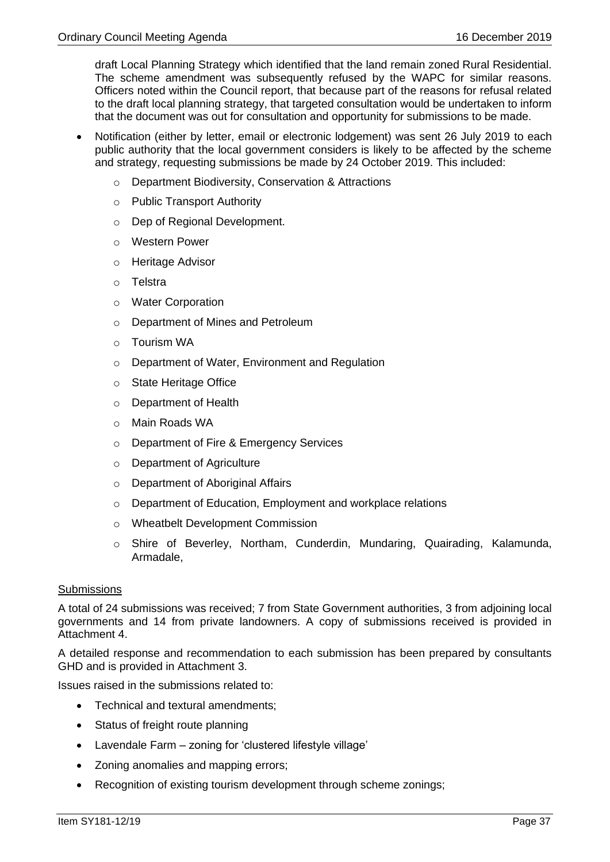draft Local Planning Strategy which identified that the land remain zoned Rural Residential. The scheme amendment was subsequently refused by the WAPC for similar reasons. Officers noted within the Council report, that because part of the reasons for refusal related to the draft local planning strategy, that targeted consultation would be undertaken to inform that the document was out for consultation and opportunity for submissions to be made.

- Notification (either by letter, email or electronic lodgement) was sent 26 July 2019 to each public authority that the local government considers is likely to be affected by the scheme and strategy, requesting submissions be made by 24 October 2019. This included:
	- o Department Biodiversity, Conservation & Attractions
	- o Public Transport Authority
	- o Dep of Regional Development.
	- o Western Power
	- o Heritage Advisor
	- o Telstra
	- o Water Corporation
	- o Department of Mines and Petroleum
	- o Tourism WA
	- o Department of Water, Environment and Regulation
	- o State Heritage Office
	- o Department of Health
	- o Main Roads WA
	- o Department of Fire & Emergency Services
	- o Department of Agriculture
	- o Department of Aboriginal Affairs
	- o Department of Education, Employment and workplace relations
	- o Wheatbelt Development Commission
	- o Shire of Beverley, Northam, Cunderdin, Mundaring, Quairading, Kalamunda, Armadale,

## **Submissions**

A total of 24 submissions was received; 7 from State Government authorities, 3 from adjoining local governments and 14 from private landowners. A copy of submissions received is provided in Attachment 4.

A detailed response and recommendation to each submission has been prepared by consultants GHD and is provided in Attachment 3.

Issues raised in the submissions related to:

- Technical and textural amendments;
- Status of freight route planning
- Lavendale Farm zoning for 'clustered lifestyle village'
- Zoning anomalies and mapping errors;
- Recognition of existing tourism development through scheme zonings;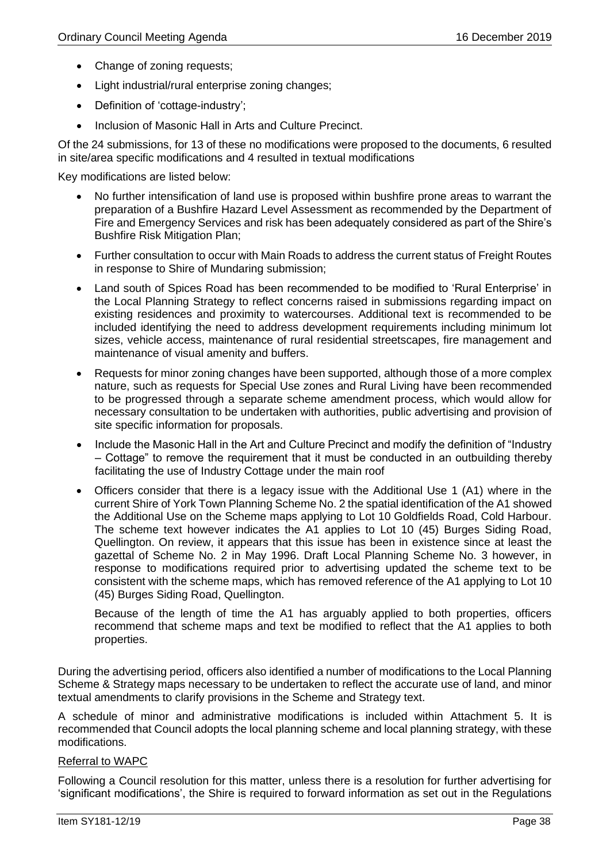- Change of zoning requests;
- Light industrial/rural enterprise zoning changes;
- Definition of 'cottage-industry';
- Inclusion of Masonic Hall in Arts and Culture Precinct.

Of the 24 submissions, for 13 of these no modifications were proposed to the documents, 6 resulted in site/area specific modifications and 4 resulted in textual modifications

Key modifications are listed below:

- No further intensification of land use is proposed within bushfire prone areas to warrant the preparation of a Bushfire Hazard Level Assessment as recommended by the Department of Fire and Emergency Services and risk has been adequately considered as part of the Shire's Bushfire Risk Mitigation Plan;
- Further consultation to occur with Main Roads to address the current status of Freight Routes in response to Shire of Mundaring submission;
- Land south of Spices Road has been recommended to be modified to 'Rural Enterprise' in the Local Planning Strategy to reflect concerns raised in submissions regarding impact on existing residences and proximity to watercourses. Additional text is recommended to be included identifying the need to address development requirements including minimum lot sizes, vehicle access, maintenance of rural residential streetscapes, fire management and maintenance of visual amenity and buffers.
- Requests for minor zoning changes have been supported, although those of a more complex nature, such as requests for Special Use zones and Rural Living have been recommended to be progressed through a separate scheme amendment process, which would allow for necessary consultation to be undertaken with authorities, public advertising and provision of site specific information for proposals.
- Include the Masonic Hall in the Art and Culture Precinct and modify the definition of "Industry – Cottage" to remove the requirement that it must be conducted in an outbuilding thereby facilitating the use of Industry Cottage under the main roof
- Officers consider that there is a legacy issue with the Additional Use 1 (A1) where in the current Shire of York Town Planning Scheme No. 2 the spatial identification of the A1 showed the Additional Use on the Scheme maps applying to Lot 10 Goldfields Road, Cold Harbour. The scheme text however indicates the A1 applies to Lot 10 (45) Burges Siding Road, Quellington. On review, it appears that this issue has been in existence since at least the gazettal of Scheme No. 2 in May 1996. Draft Local Planning Scheme No. 3 however, in response to modifications required prior to advertising updated the scheme text to be consistent with the scheme maps, which has removed reference of the A1 applying to Lot 10 (45) Burges Siding Road, Quellington.

Because of the length of time the A1 has arguably applied to both properties, officers recommend that scheme maps and text be modified to reflect that the A1 applies to both properties.

During the advertising period, officers also identified a number of modifications to the Local Planning Scheme & Strategy maps necessary to be undertaken to reflect the accurate use of land, and minor textual amendments to clarify provisions in the Scheme and Strategy text.

A schedule of minor and administrative modifications is included within Attachment 5. It is recommended that Council adopts the local planning scheme and local planning strategy, with these modifications.

## Referral to WAPC

Following a Council resolution for this matter, unless there is a resolution for further advertising for 'significant modifications', the Shire is required to forward information as set out in the Regulations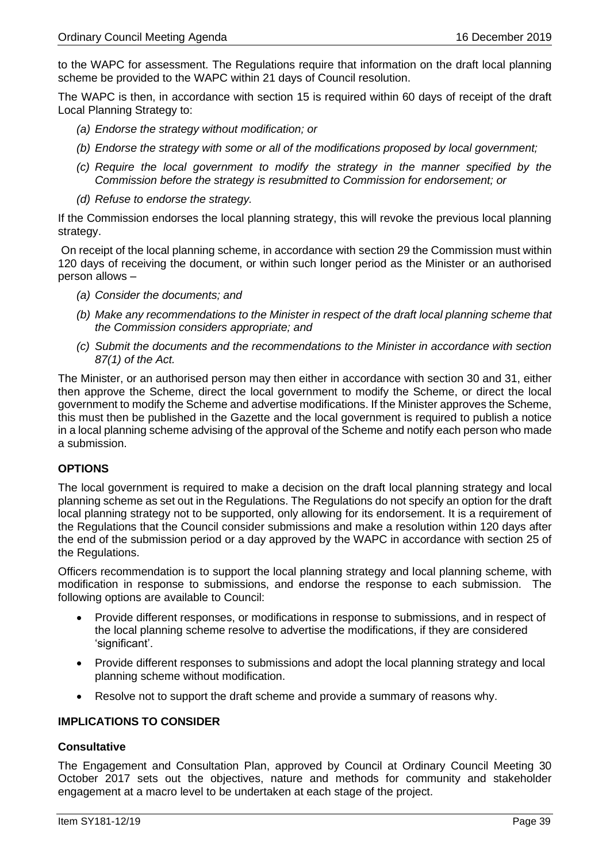to the WAPC for assessment. The Regulations require that information on the draft local planning scheme be provided to the WAPC within 21 days of Council resolution.

The WAPC is then, in accordance with section 15 is required within 60 days of receipt of the draft Local Planning Strategy to:

- *(a) Endorse the strategy without modification; or*
- *(b) Endorse the strategy with some or all of the modifications proposed by local government;*
- *(c) Require the local government to modify the strategy in the manner specified by the Commission before the strategy is resubmitted to Commission for endorsement; or*
- *(d) Refuse to endorse the strategy.*

If the Commission endorses the local planning strategy, this will revoke the previous local planning strategy.

On receipt of the local planning scheme, in accordance with section 29 the Commission must within 120 days of receiving the document, or within such longer period as the Minister or an authorised person allows –

- *(a) Consider the documents; and*
- *(b) Make any recommendations to the Minister in respect of the draft local planning scheme that the Commission considers appropriate; and*
- *(c) Submit the documents and the recommendations to the Minister in accordance with section 87(1) of the Act.*

The Minister, or an authorised person may then either in accordance with section 30 and 31, either then approve the Scheme, direct the local government to modify the Scheme, or direct the local government to modify the Scheme and advertise modifications. If the Minister approves the Scheme, this must then be published in the Gazette and the local government is required to publish a notice in a local planning scheme advising of the approval of the Scheme and notify each person who made a submission.

## **OPTIONS**

The local government is required to make a decision on the draft local planning strategy and local planning scheme as set out in the Regulations. The Regulations do not specify an option for the draft local planning strategy not to be supported, only allowing for its endorsement. It is a requirement of the Regulations that the Council consider submissions and make a resolution within 120 days after the end of the submission period or a day approved by the WAPC in accordance with section 25 of the Regulations.

Officers recommendation is to support the local planning strategy and local planning scheme, with modification in response to submissions, and endorse the response to each submission. The following options are available to Council:

- Provide different responses, or modifications in response to submissions, and in respect of the local planning scheme resolve to advertise the modifications, if they are considered 'significant'.
- Provide different responses to submissions and adopt the local planning strategy and local planning scheme without modification.
- Resolve not to support the draft scheme and provide a summary of reasons why.

## **IMPLICATIONS TO CONSIDER**

## **Consultative**

The Engagement and Consultation Plan, approved by Council at Ordinary Council Meeting 30 October 2017 sets out the objectives, nature and methods for community and stakeholder engagement at a macro level to be undertaken at each stage of the project.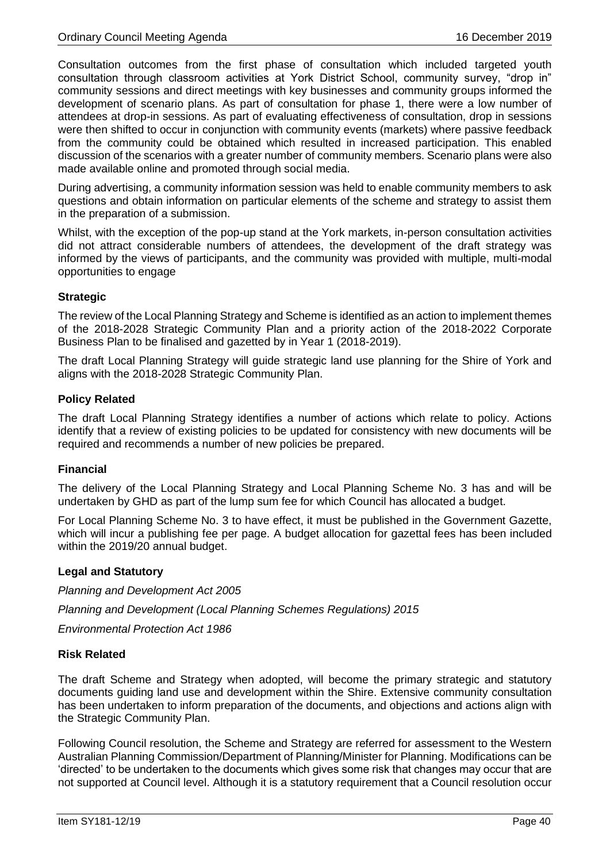Consultation outcomes from the first phase of consultation which included targeted youth consultation through classroom activities at York District School, community survey, "drop in" community sessions and direct meetings with key businesses and community groups informed the development of scenario plans. As part of consultation for phase 1, there were a low number of attendees at drop-in sessions. As part of evaluating effectiveness of consultation, drop in sessions were then shifted to occur in conjunction with community events (markets) where passive feedback from the community could be obtained which resulted in increased participation. This enabled discussion of the scenarios with a greater number of community members. Scenario plans were also made available online and promoted through social media.

During advertising, a community information session was held to enable community members to ask questions and obtain information on particular elements of the scheme and strategy to assist them in the preparation of a submission.

Whilst, with the exception of the pop-up stand at the York markets, in-person consultation activities did not attract considerable numbers of attendees, the development of the draft strategy was informed by the views of participants, and the community was provided with multiple, multi-modal opportunities to engage

## **Strategic**

The review of the Local Planning Strategy and Scheme is identified as an action to implement themes of the 2018-2028 Strategic Community Plan and a priority action of the 2018-2022 Corporate Business Plan to be finalised and gazetted by in Year 1 (2018-2019).

The draft Local Planning Strategy will guide strategic land use planning for the Shire of York and aligns with the 2018-2028 Strategic Community Plan.

### **Policy Related**

The draft Local Planning Strategy identifies a number of actions which relate to policy. Actions identify that a review of existing policies to be updated for consistency with new documents will be required and recommends a number of new policies be prepared.

#### **Financial**

The delivery of the Local Planning Strategy and Local Planning Scheme No. 3 has and will be undertaken by GHD as part of the lump sum fee for which Council has allocated a budget.

For Local Planning Scheme No. 3 to have effect, it must be published in the Government Gazette, which will incur a publishing fee per page. A budget allocation for gazettal fees has been included within the 2019/20 annual budget.

#### **Legal and Statutory**

*Planning and Development Act 2005*

*Planning and Development (Local Planning Schemes Regulations) 2015*

*Environmental Protection Act 1986*

#### **Risk Related**

The draft Scheme and Strategy when adopted, will become the primary strategic and statutory documents guiding land use and development within the Shire. Extensive community consultation has been undertaken to inform preparation of the documents, and objections and actions align with the Strategic Community Plan.

Following Council resolution, the Scheme and Strategy are referred for assessment to the Western Australian Planning Commission/Department of Planning/Minister for Planning. Modifications can be 'directed' to be undertaken to the documents which gives some risk that changes may occur that are not supported at Council level. Although it is a statutory requirement that a Council resolution occur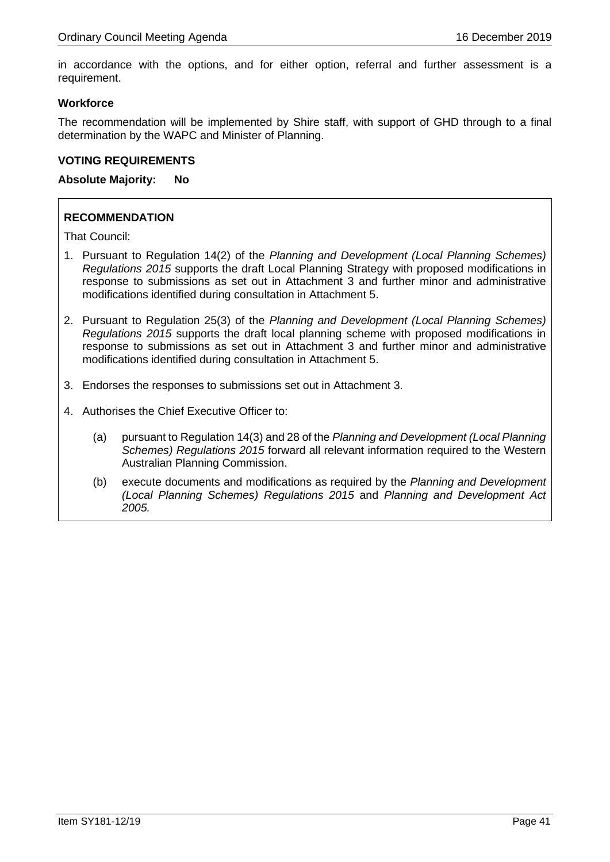in accordance with the options, and for either option, referral and further assessment is a requirement.

## **Workforce**

The recommendation will be implemented by Shire staff, with support of GHD through to a final determination by the WAPC and Minister of Planning.

## **VOTING REQUIREMENTS**

### **Absolute Majority: No**

# **RECOMMENDATION**

- 1. Pursuant to Regulation 14(2) of the *Planning and Development (Local Planning Schemes) Regulations 2015* supports the draft Local Planning Strategy with proposed modifications in response to submissions as set out in Attachment 3 and further minor and administrative modifications identified during consultation in Attachment 5.
- 2. Pursuant to Regulation 25(3) of the *Planning and Development (Local Planning Schemes) Regulations 2015* supports the draft local planning scheme with proposed modifications in response to submissions as set out in Attachment 3 and further minor and administrative modifications identified during consultation in Attachment 5.
- 3. Endorses the responses to submissions set out in Attachment 3.
- 4. Authorises the Chief Executive Officer to:
	- (a) pursuant to Regulation 14(3) and 28 of the *Planning and Development (Local Planning Schemes) Regulations 2015* forward all relevant information required to the Western Australian Planning Commission.
	- (b) execute documents and modifications as required by the *Planning and Development (Local Planning Schemes) Regulations 2015* and *Planning and Development Act 2005.*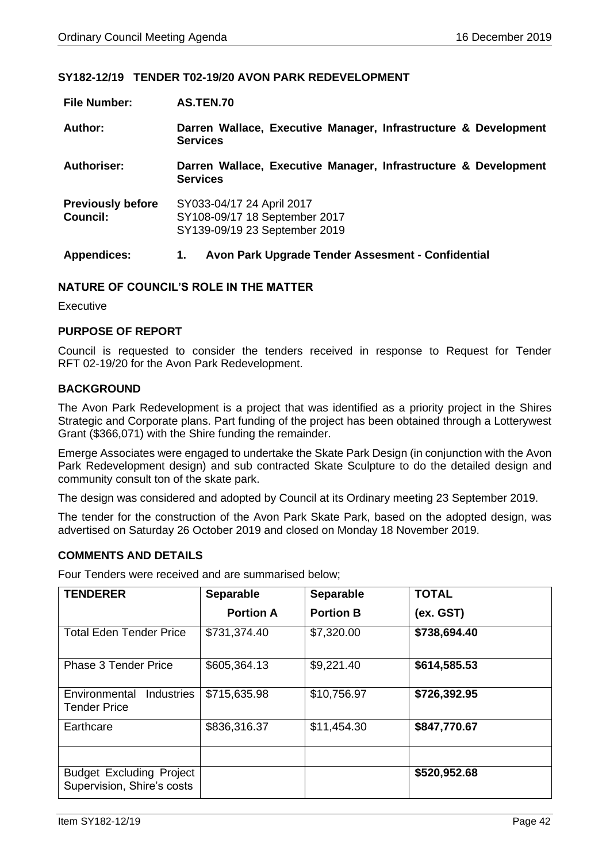### **SY182-12/19 TENDER T02-19/20 AVON PARK REDEVELOPMENT**

| <b>File Number:</b>                         | AS.TEN.70                                                                                   |
|---------------------------------------------|---------------------------------------------------------------------------------------------|
| Author:                                     | Darren Wallace, Executive Manager, Infrastructure & Development<br><b>Services</b>          |
| Authoriser:                                 | Darren Wallace, Executive Manager, Infrastructure & Development<br><b>Services</b>          |
| <b>Previously before</b><br><b>Council:</b> | SY033-04/17 24 April 2017<br>SY108-09/17 18 September 2017<br>SY139-09/19 23 September 2019 |
| <b>Appendices:</b>                          | Avon Park Upgrade Tender Assesment - Confidential<br>1.                                     |

### **NATURE OF COUNCIL'S ROLE IN THE MATTER**

**Executive** 

#### **PURPOSE OF REPORT**

Council is requested to consider the tenders received in response to Request for Tender RFT 02-19/20 for the Avon Park Redevelopment.

### **BACKGROUND**

The Avon Park Redevelopment is a project that was identified as a priority project in the Shires Strategic and Corporate plans. Part funding of the project has been obtained through a Lotterywest Grant (\$366,071) with the Shire funding the remainder.

Emerge Associates were engaged to undertake the Skate Park Design (in conjunction with the Avon Park Redevelopment design) and sub contracted Skate Sculpture to do the detailed design and community consult ton of the skate park.

The design was considered and adopted by Council at its Ordinary meeting 23 September 2019.

The tender for the construction of the Avon Park Skate Park, based on the adopted design, was advertised on Saturday 26 October 2019 and closed on Monday 18 November 2019.

### **COMMENTS AND DETAILS**

Four Tenders were received and are summarised below;

| <b>TENDERER</b>                                               | <b>Separable</b> | <b>Separable</b> | <b>TOTAL</b> |
|---------------------------------------------------------------|------------------|------------------|--------------|
|                                                               | <b>Portion A</b> | <b>Portion B</b> | (ex. GST)    |
| <b>Total Eden Tender Price</b>                                | \$731,374.40     | \$7,320.00       | \$738,694.40 |
| <b>Phase 3 Tender Price</b>                                   | \$605,364.13     | \$9,221.40       | \$614,585.53 |
| Environmental<br><b>Industries</b><br><b>Tender Price</b>     | \$715,635.98     | \$10,756.97      | \$726,392.95 |
| Earthcare                                                     | \$836,316.37     | \$11,454.30      | \$847,770.67 |
|                                                               |                  |                  |              |
| <b>Budget Excluding Project</b><br>Supervision, Shire's costs |                  |                  | \$520,952.68 |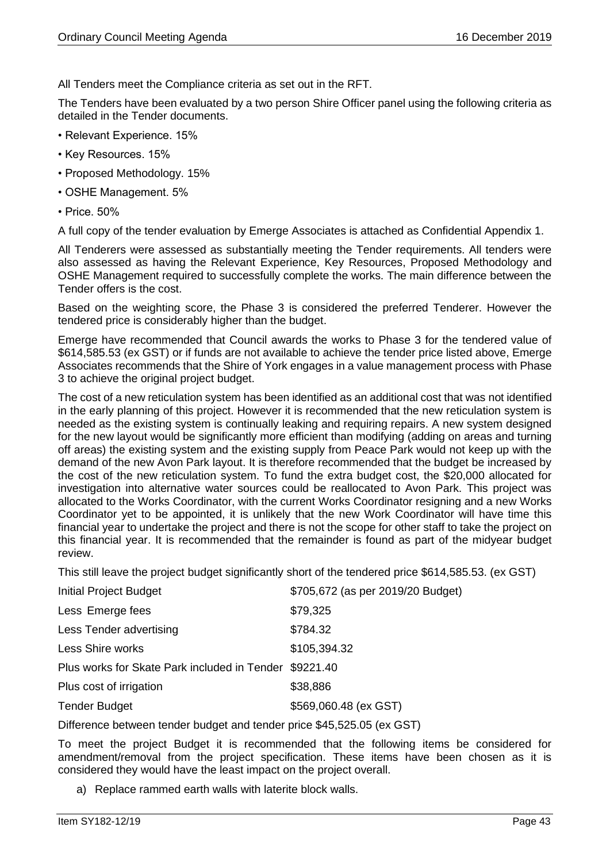All Tenders meet the Compliance criteria as set out in the RFT.

The Tenders have been evaluated by a two person Shire Officer panel using the following criteria as detailed in the Tender documents.

- Relevant Experience. 15%
- Key Resources. 15%
- Proposed Methodology. 15%
- OSHE Management. 5%
- Price. 50%

A full copy of the tender evaluation by Emerge Associates is attached as Confidential Appendix 1.

All Tenderers were assessed as substantially meeting the Tender requirements. All tenders were also assessed as having the Relevant Experience, Key Resources, Proposed Methodology and OSHE Management required to successfully complete the works. The main difference between the Tender offers is the cost.

Based on the weighting score, the Phase 3 is considered the preferred Tenderer. However the tendered price is considerably higher than the budget.

Emerge have recommended that Council awards the works to Phase 3 for the tendered value of \$614,585.53 (ex GST) or if funds are not available to achieve the tender price listed above, Emerge Associates recommends that the Shire of York engages in a value management process with Phase 3 to achieve the original project budget.

The cost of a new reticulation system has been identified as an additional cost that was not identified in the early planning of this project. However it is recommended that the new reticulation system is needed as the existing system is continually leaking and requiring repairs. A new system designed for the new layout would be significantly more efficient than modifying (adding on areas and turning off areas) the existing system and the existing supply from Peace Park would not keep up with the demand of the new Avon Park layout. It is therefore recommended that the budget be increased by the cost of the new reticulation system. To fund the extra budget cost, the \$20,000 allocated for investigation into alternative water sources could be reallocated to Avon Park. This project was allocated to the Works Coordinator, with the current Works Coordinator resigning and a new Works Coordinator yet to be appointed, it is unlikely that the new Work Coordinator will have time this financial year to undertake the project and there is not the scope for other staff to take the project on this financial year. It is recommended that the remainder is found as part of the midyear budget review.

This still leave the project budget significantly short of the tendered price \$614,585.53. (ex GST)

| <b>Initial Project Budget</b>                          | \$705,672 (as per 2019/20 Budget) |
|--------------------------------------------------------|-----------------------------------|
| Less Emerge fees                                       | \$79,325                          |
| Less Tender advertising                                | \$784.32                          |
| Less Shire works                                       | \$105,394.32                      |
| Plus works for Skate Park included in Tender \$9221.40 |                                   |
| Plus cost of irrigation                                | \$38,886                          |
| <b>Tender Budget</b>                                   | \$569,060.48 (ex GST)             |
|                                                        |                                   |

Difference between tender budget and tender price \$45,525.05 (ex GST)

To meet the project Budget it is recommended that the following items be considered for amendment/removal from the project specification. These items have been chosen as it is considered they would have the least impact on the project overall.

a) Replace rammed earth walls with laterite block walls.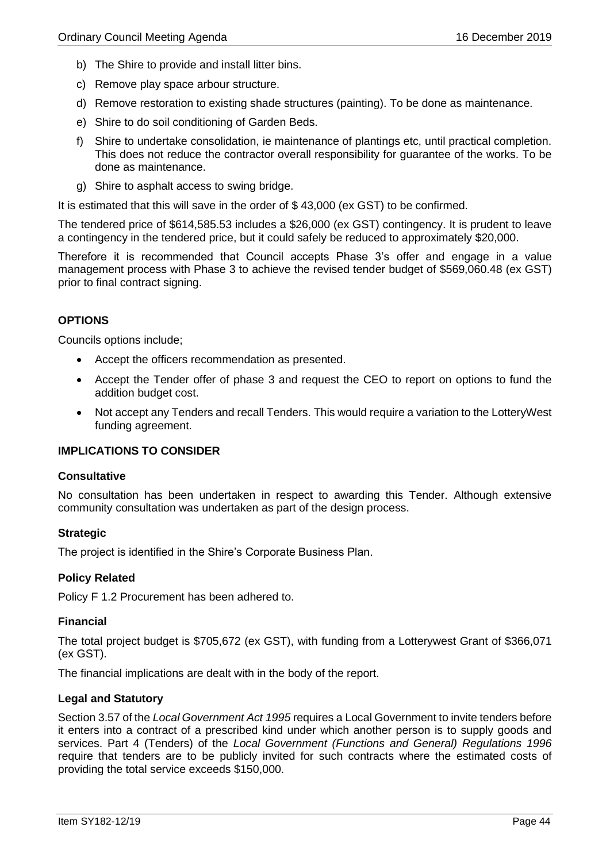- b) The Shire to provide and install litter bins.
- c) Remove play space arbour structure.
- d) Remove restoration to existing shade structures (painting). To be done as maintenance.
- e) Shire to do soil conditioning of Garden Beds.
- f) Shire to undertake consolidation, ie maintenance of plantings etc, until practical completion. This does not reduce the contractor overall responsibility for guarantee of the works. To be done as maintenance.
- g) Shire to asphalt access to swing bridge.

It is estimated that this will save in the order of \$ 43,000 (ex GST) to be confirmed.

The tendered price of \$614,585.53 includes a \$26,000 (ex GST) contingency. It is prudent to leave a contingency in the tendered price, but it could safely be reduced to approximately \$20,000.

Therefore it is recommended that Council accepts Phase 3's offer and engage in a value management process with Phase 3 to achieve the revised tender budget of \$569,060.48 (ex GST) prior to final contract signing.

## **OPTIONS**

Councils options include;

- Accept the officers recommendation as presented.
- Accept the Tender offer of phase 3 and request the CEO to report on options to fund the addition budget cost.
- Not accept any Tenders and recall Tenders. This would require a variation to the LotteryWest funding agreement.

## **IMPLICATIONS TO CONSIDER**

#### **Consultative**

No consultation has been undertaken in respect to awarding this Tender. Although extensive community consultation was undertaken as part of the design process.

## **Strategic**

The project is identified in the Shire's Corporate Business Plan.

## **Policy Related**

Policy F 1.2 Procurement has been adhered to.

## **Financial**

The total project budget is \$705,672 (ex GST), with funding from a Lotterywest Grant of \$366,071 (ex GST).

The financial implications are dealt with in the body of the report.

## **Legal and Statutory**

Section 3.57 of the *Local Government Act 1995* requires a Local Government to invite tenders before it enters into a contract of a prescribed kind under which another person is to supply goods and services. Part 4 (Tenders) of the *Local Government (Functions and General) Regulations 1996* require that tenders are to be publicly invited for such contracts where the estimated costs of providing the total service exceeds \$150,000.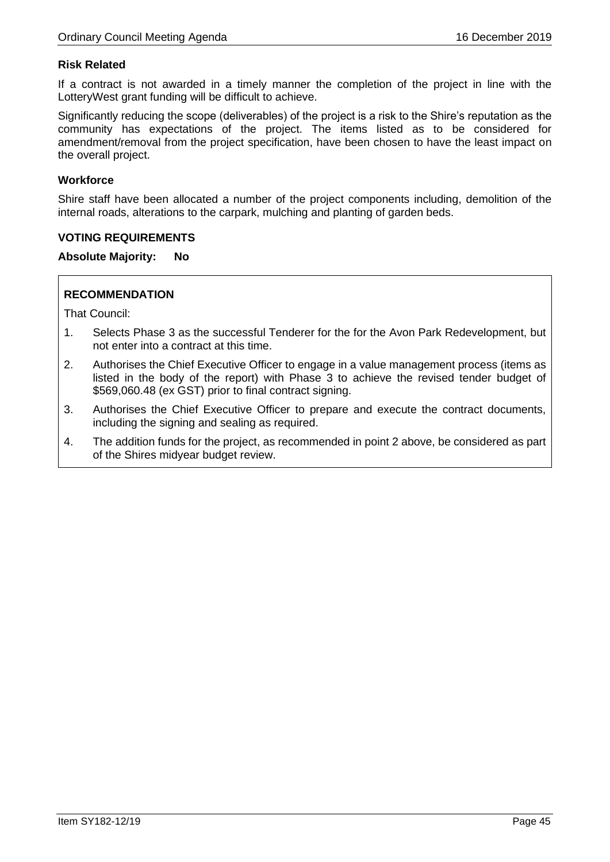## **Risk Related**

If a contract is not awarded in a timely manner the completion of the project in line with the LotteryWest grant funding will be difficult to achieve.

Significantly reducing the scope (deliverables) of the project is a risk to the Shire's reputation as the community has expectations of the project. The items listed as to be considered for amendment/removal from the project specification, have been chosen to have the least impact on the overall project.

### **Workforce**

Shire staff have been allocated a number of the project components including, demolition of the internal roads, alterations to the carpark, mulching and planting of garden beds.

### **VOTING REQUIREMENTS**

### **Absolute Majority: No**

## **RECOMMENDATION**

- 1. Selects Phase 3 as the successful Tenderer for the for the Avon Park Redevelopment, but not enter into a contract at this time.
- 2. Authorises the Chief Executive Officer to engage in a value management process (items as listed in the body of the report) with Phase 3 to achieve the revised tender budget of \$569,060.48 (ex GST) prior to final contract signing.
- 3. Authorises the Chief Executive Officer to prepare and execute the contract documents, including the signing and sealing as required.
- 4. The addition funds for the project, as recommended in point 2 above, be considered as part of the Shires midyear budget review.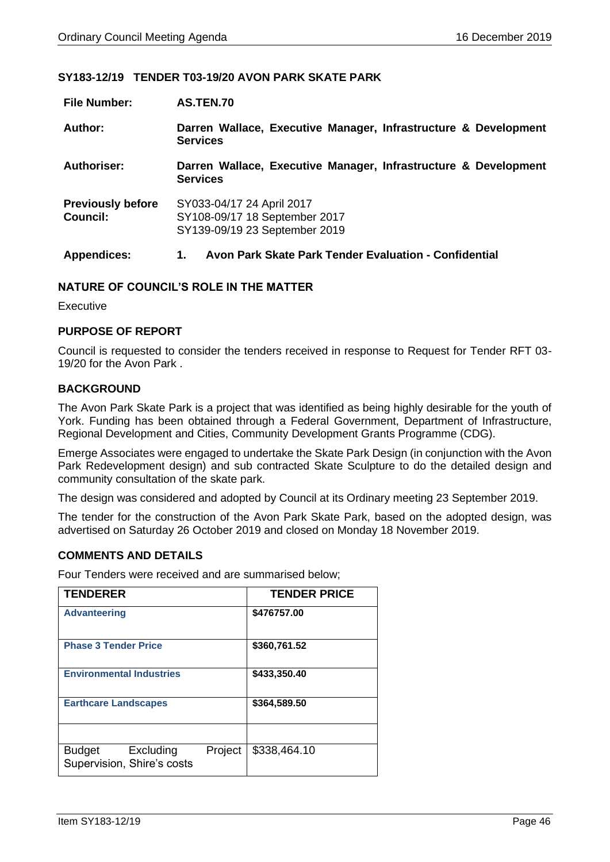### **SY183-12/19 TENDER T03-19/20 AVON PARK SKATE PARK**

| <b>File Number:</b>                         | AS.TEN.70                                                                                   |
|---------------------------------------------|---------------------------------------------------------------------------------------------|
| Author:                                     | Darren Wallace, Executive Manager, Infrastructure & Development<br><b>Services</b>          |
| Authoriser:                                 | Darren Wallace, Executive Manager, Infrastructure & Development<br><b>Services</b>          |
| <b>Previously before</b><br><b>Council:</b> | SY033-04/17 24 April 2017<br>SY108-09/17 18 September 2017<br>SY139-09/19 23 September 2019 |
| <b>Appendices:</b>                          | Avon Park Skate Park Tender Evaluation - Confidential<br>1.                                 |

### **NATURE OF COUNCIL'S ROLE IN THE MATTER**

**Executive** 

### **PURPOSE OF REPORT**

Council is requested to consider the tenders received in response to Request for Tender RFT 03- 19/20 for the Avon Park .

## **BACKGROUND**

The Avon Park Skate Park is a project that was identified as being highly desirable for the youth of York. Funding has been obtained through a Federal Government, Department of Infrastructure, Regional Development and Cities, Community Development Grants Programme (CDG).

Emerge Associates were engaged to undertake the Skate Park Design (in conjunction with the Avon Park Redevelopment design) and sub contracted Skate Sculpture to do the detailed design and community consultation of the skate park.

The design was considered and adopted by Council at its Ordinary meeting 23 September 2019.

The tender for the construction of the Avon Park Skate Park, based on the adopted design, was advertised on Saturday 26 October 2019 and closed on Monday 18 November 2019.

### **COMMENTS AND DETAILS**

Four Tenders were received and are summarised below;

| <b>TENDERER</b>                                                     | <b>TENDER PRICE</b> |
|---------------------------------------------------------------------|---------------------|
| <b>Advanteering</b>                                                 | \$476757.00         |
| <b>Phase 3 Tender Price</b>                                         | \$360,761.52        |
| <b>Environmental Industries</b>                                     | \$433,350.40        |
| <b>Earthcare Landscapes</b>                                         | \$364,589.50        |
|                                                                     |                     |
| Project<br><b>Budget</b><br>Excluding<br>Supervision, Shire's costs | \$338,464.10        |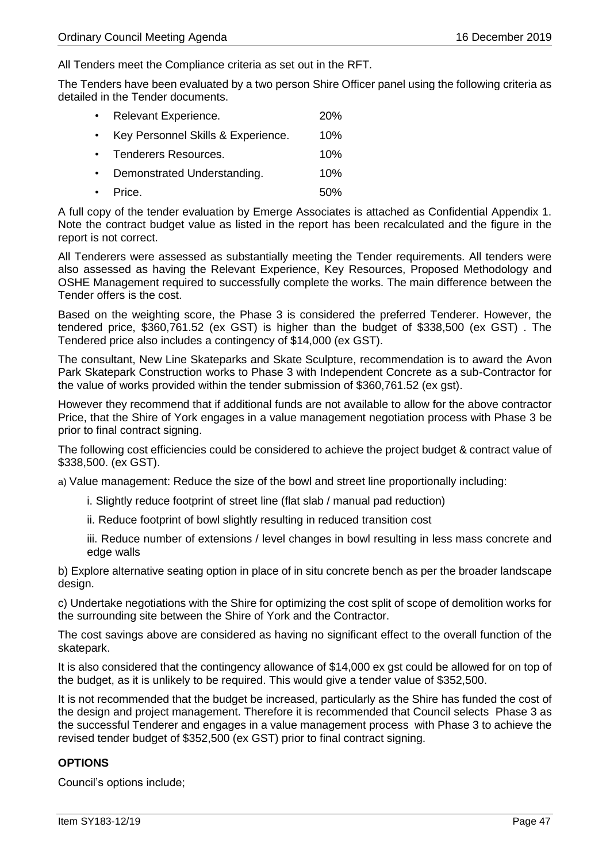All Tenders meet the Compliance criteria as set out in the RFT.

The Tenders have been evaluated by a two person Shire Officer panel using the following criteria as detailed in the Tender documents.

| $\bullet$ . | Relevant Experience.               | 20% |
|-------------|------------------------------------|-----|
| $\bullet$ . | Key Personnel Skills & Experience. | 10% |
|             | • Tenderers Resources.             | 10% |
| $\bullet$   | Demonstrated Understanding.        | 10% |
|             | $\cdot$ Price.                     | 50% |

A full copy of the tender evaluation by Emerge Associates is attached as Confidential Appendix 1. Note the contract budget value as listed in the report has been recalculated and the figure in the report is not correct.

All Tenderers were assessed as substantially meeting the Tender requirements. All tenders were also assessed as having the Relevant Experience, Key Resources, Proposed Methodology and OSHE Management required to successfully complete the works. The main difference between the Tender offers is the cost.

Based on the weighting score, the Phase 3 is considered the preferred Tenderer. However, the tendered price, \$360,761.52 (ex GST) is higher than the budget of \$338,500 (ex GST) . The Tendered price also includes a contingency of \$14,000 (ex GST).

The consultant, New Line Skateparks and Skate Sculpture, recommendation is to award the Avon Park Skatepark Construction works to Phase 3 with Independent Concrete as a sub-Contractor for the value of works provided within the tender submission of \$360,761.52 (ex gst).

However they recommend that if additional funds are not available to allow for the above contractor Price, that the Shire of York engages in a value management negotiation process with Phase 3 be prior to final contract signing.

The following cost efficiencies could be considered to achieve the project budget & contract value of \$338,500. (ex GST).

a) Value management: Reduce the size of the bowl and street line proportionally including:

- i. Slightly reduce footprint of street line (flat slab / manual pad reduction)
- ii. Reduce footprint of bowl slightly resulting in reduced transition cost

iii. Reduce number of extensions / level changes in bowl resulting in less mass concrete and edge walls

b) Explore alternative seating option in place of in situ concrete bench as per the broader landscape design.

c) Undertake negotiations with the Shire for optimizing the cost split of scope of demolition works for the surrounding site between the Shire of York and the Contractor.

The cost savings above are considered as having no significant effect to the overall function of the skatepark.

It is also considered that the contingency allowance of \$14,000 ex gst could be allowed for on top of the budget, as it is unlikely to be required. This would give a tender value of \$352,500.

It is not recommended that the budget be increased, particularly as the Shire has funded the cost of the design and project management. Therefore it is recommended that Council selects Phase 3 as the successful Tenderer and engages in a value management process with Phase 3 to achieve the revised tender budget of \$352,500 (ex GST) prior to final contract signing.

## **OPTIONS**

Council's options include;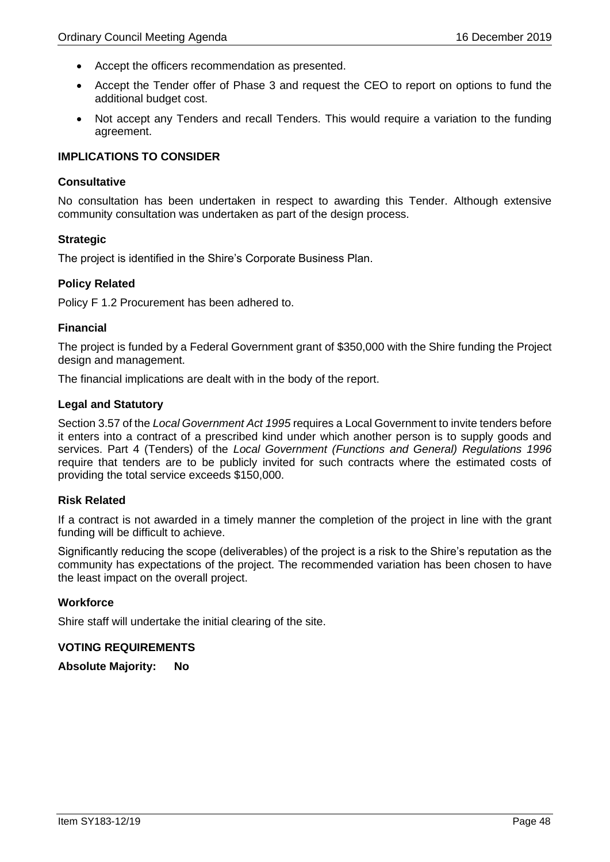- Accept the officers recommendation as presented.
- Accept the Tender offer of Phase 3 and request the CEO to report on options to fund the additional budget cost.
- Not accept any Tenders and recall Tenders. This would require a variation to the funding agreement.

## **IMPLICATIONS TO CONSIDER**

### **Consultative**

No consultation has been undertaken in respect to awarding this Tender. Although extensive community consultation was undertaken as part of the design process.

## **Strategic**

The project is identified in the Shire's Corporate Business Plan.

### **Policy Related**

Policy F 1.2 Procurement has been adhered to.

### **Financial**

The project is funded by a Federal Government grant of \$350,000 with the Shire funding the Project design and management.

The financial implications are dealt with in the body of the report.

## **Legal and Statutory**

Section 3.57 of the *Local Government Act 1995* requires a Local Government to invite tenders before it enters into a contract of a prescribed kind under which another person is to supply goods and services. Part 4 (Tenders) of the *Local Government (Functions and General) Regulations 1996* require that tenders are to be publicly invited for such contracts where the estimated costs of providing the total service exceeds \$150,000.

#### **Risk Related**

If a contract is not awarded in a timely manner the completion of the project in line with the grant funding will be difficult to achieve.

Significantly reducing the scope (deliverables) of the project is a risk to the Shire's reputation as the community has expectations of the project. The recommended variation has been chosen to have the least impact on the overall project.

#### **Workforce**

Shire staff will undertake the initial clearing of the site.

#### **VOTING REQUIREMENTS**

**Absolute Majority: No**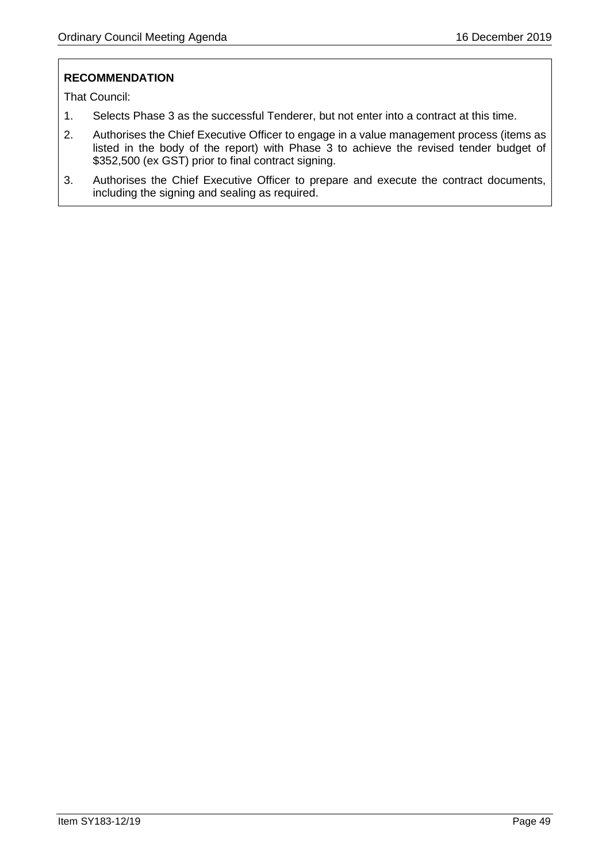# **RECOMMENDATION**

- 1. Selects Phase 3 as the successful Tenderer, but not enter into a contract at this time.
- 2. Authorises the Chief Executive Officer to engage in a value management process (items as listed in the body of the report) with Phase 3 to achieve the revised tender budget of \$352,500 (ex GST) prior to final contract signing.
- 3. Authorises the Chief Executive Officer to prepare and execute the contract documents, including the signing and sealing as required.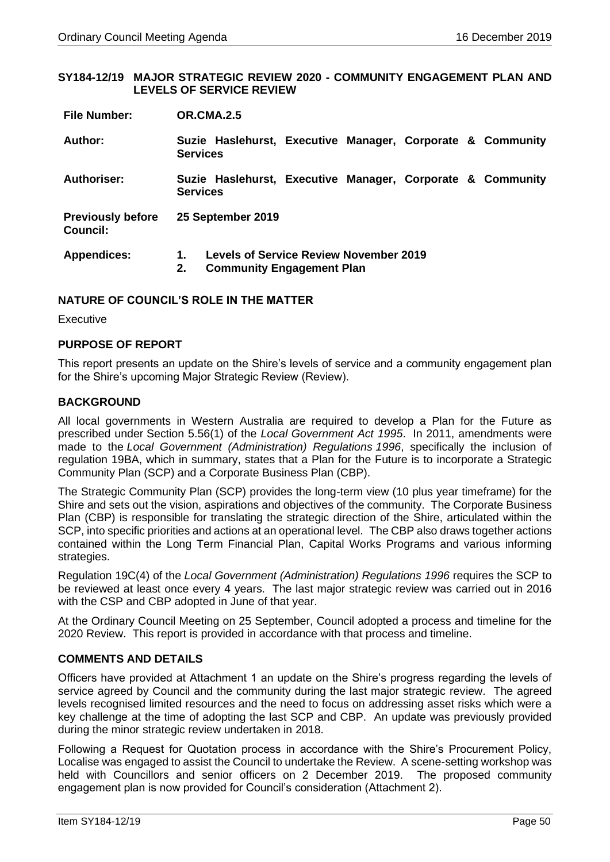#### **SY184-12/19 MAJOR STRATEGIC REVIEW 2020 - COMMUNITY ENGAGEMENT PLAN AND LEVELS OF SERVICE REVIEW**

| <b>File Number:</b> | <b>OR.CMA.2.5</b> |
|---------------------|-------------------|
|                     |                   |

| Author:                                     | <b>Services</b> | Suzie Haslehurst, Executive Manager, Corporate & Community                        |  |  |  |
|---------------------------------------------|-----------------|-----------------------------------------------------------------------------------|--|--|--|
| <b>Authoriser:</b>                          | <b>Services</b> | Suzie Haslehurst, Executive Manager, Corporate & Community                        |  |  |  |
| <b>Previously before</b><br><b>Council:</b> |                 | 25 September 2019                                                                 |  |  |  |
| <b>Appendices:</b>                          | 1.<br>2.        | <b>Levels of Service Review November 2019</b><br><b>Community Engagement Plan</b> |  |  |  |

## **NATURE OF COUNCIL'S ROLE IN THE MATTER**

Executive

## **PURPOSE OF REPORT**

This report presents an update on the Shire's levels of service and a community engagement plan for the Shire's upcoming Major Strategic Review (Review).

## **BACKGROUND**

All local governments in Western Australia are required to develop a Plan for the Future as prescribed under Section 5.56(1) of the *Local Government Act 1995*. In 2011, amendments were made to the *Local Government (Administration) Regulations 1996*, specifically the inclusion of regulation 19BA, which in summary, states that a Plan for the Future is to incorporate a Strategic Community Plan (SCP) and a Corporate Business Plan (CBP).

The Strategic Community Plan (SCP) provides the long-term view (10 plus year timeframe) for the Shire and sets out the vision, aspirations and objectives of the community. The Corporate Business Plan (CBP) is responsible for translating the strategic direction of the Shire, articulated within the SCP, into specific priorities and actions at an operational level. The CBP also draws together actions contained within the Long Term Financial Plan, Capital Works Programs and various informing strategies.

Regulation 19C(4) of the *Local Government (Administration) Regulations 1996* requires the SCP to be reviewed at least once every 4 years. The last major strategic review was carried out in 2016 with the CSP and CBP adopted in June of that year.

At the Ordinary Council Meeting on 25 September, Council adopted a process and timeline for the 2020 Review. This report is provided in accordance with that process and timeline.

## **COMMENTS AND DETAILS**

Officers have provided at Attachment 1 an update on the Shire's progress regarding the levels of service agreed by Council and the community during the last major strategic review. The agreed levels recognised limited resources and the need to focus on addressing asset risks which were a key challenge at the time of adopting the last SCP and CBP. An update was previously provided during the minor strategic review undertaken in 2018.

Following a Request for Quotation process in accordance with the Shire's Procurement Policy, Localise was engaged to assist the Council to undertake the Review. A scene-setting workshop was held with Councillors and senior officers on 2 December 2019. The proposed community engagement plan is now provided for Council's consideration (Attachment 2).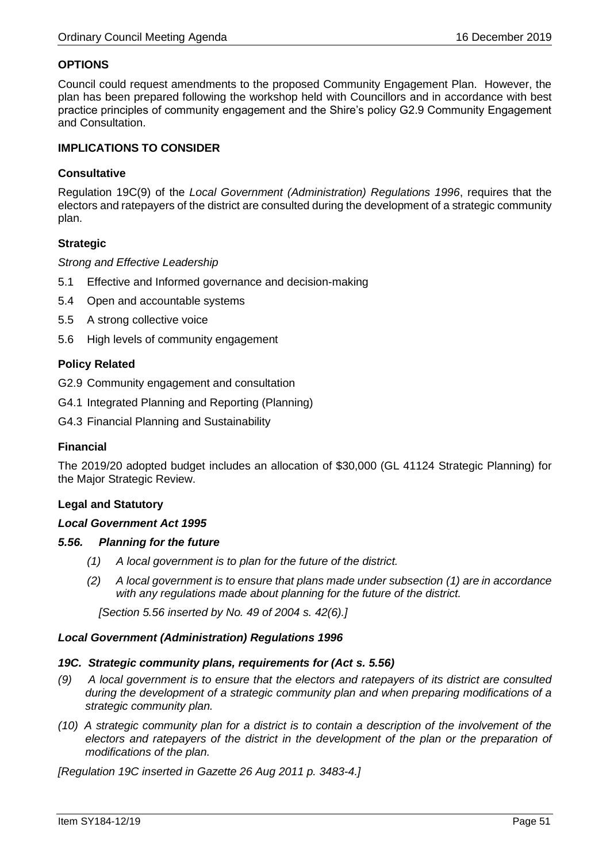## **OPTIONS**

Council could request amendments to the proposed Community Engagement Plan. However, the plan has been prepared following the workshop held with Councillors and in accordance with best practice principles of community engagement and the Shire's policy G2.9 Community Engagement and Consultation.

## **IMPLICATIONS TO CONSIDER**

## **Consultative**

Regulation 19C(9) of the *Local Government (Administration) Regulations 1996*, requires that the electors and ratepayers of the district are consulted during the development of a strategic community plan.

### **Strategic**

### *Strong and Effective Leadership*

- 5.1 Effective and Informed governance and decision-making
- 5.4 Open and accountable systems
- 5.5 A strong collective voice
- 5.6 High levels of community engagement

## **Policy Related**

G2.9 Community engagement and consultation

- G4.1 Integrated Planning and Reporting (Planning)
- G4.3 Financial Planning and Sustainability

#### **Financial**

The 2019/20 adopted budget includes an allocation of \$30,000 (GL 41124 Strategic Planning) for the Major Strategic Review.

#### **Legal and Statutory**

#### *Local Government Act 1995*

#### *5.56. Planning for the future*

- *(1) A local government is to plan for the future of the district.*
- *(2) A local government is to ensure that plans made under subsection (1) are in accordance with any regulations made about planning for the future of the district.*

 *[Section 5.56 inserted by No. 49 of 2004 s. 42(6).]*

#### *Local Government (Administration) Regulations 1996*

#### *19C. Strategic community plans, requirements for (Act s. 5.56)*

- *(9) A local government is to ensure that the electors and ratepayers of its district are consulted during the development of a strategic community plan and when preparing modifications of a strategic community plan.*
- *(10) A strategic community plan for a district is to contain a description of the involvement of the*  electors and ratepayers of the district in the development of the plan or the preparation of *modifications of the plan.*

*[Regulation 19C inserted in Gazette 26 Aug 2011 p. 3483-4.]*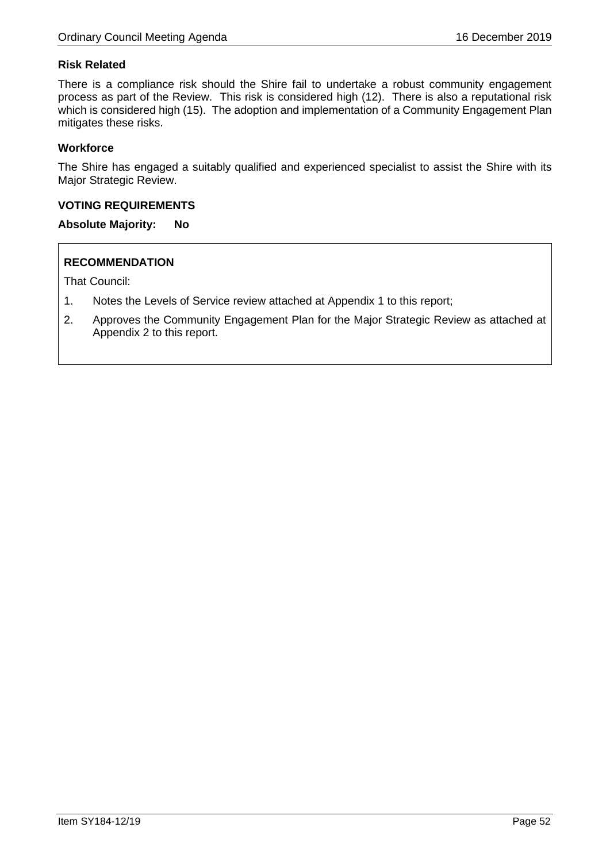## **Risk Related**

There is a compliance risk should the Shire fail to undertake a robust community engagement process as part of the Review. This risk is considered high (12). There is also a reputational risk which is considered high (15). The adoption and implementation of a Community Engagement Plan mitigates these risks.

## **Workforce**

The Shire has engaged a suitably qualified and experienced specialist to assist the Shire with its Major Strategic Review.

## **VOTING REQUIREMENTS**

## **Absolute Majority: No**

## **RECOMMENDATION**

- 1. Notes the Levels of Service review attached at Appendix 1 to this report;
- 2. Approves the Community Engagement Plan for the Major Strategic Review as attached at Appendix 2 to this report.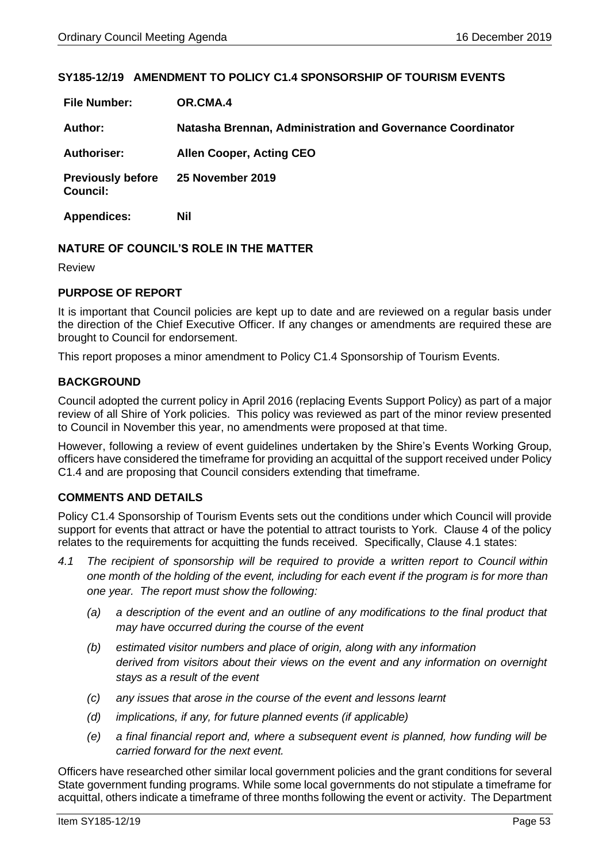## **SY185-12/19 AMENDMENT TO POLICY C1.4 SPONSORSHIP OF TOURISM EVENTS**

| <b>File Number:</b>                         | OR.CMA.4                                                   |
|---------------------------------------------|------------------------------------------------------------|
| Author:                                     | Natasha Brennan, Administration and Governance Coordinator |
| <b>Authoriser:</b>                          | <b>Allen Cooper, Acting CEO</b>                            |
| <b>Previously before</b><br><b>Council:</b> | 25 November 2019                                           |
| <b>Appendices:</b>                          | Nil                                                        |

## **NATURE OF COUNCIL'S ROLE IN THE MATTER**

Review

## **PURPOSE OF REPORT**

It is important that Council policies are kept up to date and are reviewed on a regular basis under the direction of the Chief Executive Officer. If any changes or amendments are required these are brought to Council for endorsement.

This report proposes a minor amendment to Policy C1.4 Sponsorship of Tourism Events.

## **BACKGROUND**

Council adopted the current policy in April 2016 (replacing Events Support Policy) as part of a major review of all Shire of York policies. This policy was reviewed as part of the minor review presented to Council in November this year, no amendments were proposed at that time.

However, following a review of event guidelines undertaken by the Shire's Events Working Group, officers have considered the timeframe for providing an acquittal of the support received under Policy C1.4 and are proposing that Council considers extending that timeframe.

## **COMMENTS AND DETAILS**

Policy C1.4 Sponsorship of Tourism Events sets out the conditions under which Council will provide support for events that attract or have the potential to attract tourists to York. Clause 4 of the policy relates to the requirements for acquitting the funds received. Specifically, Clause 4.1 states:

- *4.1 The recipient of sponsorship will be required to provide a written report to Council within one month of the holding of the event, including for each event if the program is for more than one year. The report must show the following:*
	- *(a) a description of the event and an outline of any modifications to the final product that may have occurred during the course of the event*
	- *(b) estimated visitor numbers and place of origin, along with any information derived from visitors about their views on the event and any information on overnight stays as a result of the event*
	- *(c) any issues that arose in the course of the event and lessons learnt*
	- *(d) implications, if any, for future planned events (if applicable)*
	- *(e) a final financial report and, where a subsequent event is planned, how funding will be carried forward for the next event.*

Officers have researched other similar local government policies and the grant conditions for several State government funding programs. While some local governments do not stipulate a timeframe for acquittal, others indicate a timeframe of three months following the event or activity. The Department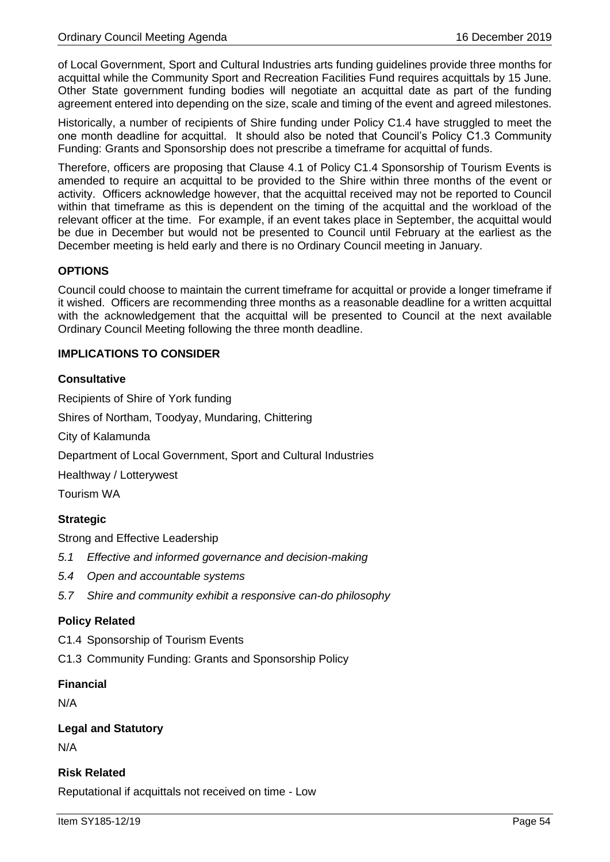of Local Government, Sport and Cultural Industries arts funding guidelines provide three months for acquittal while the Community Sport and Recreation Facilities Fund requires acquittals by 15 June. Other State government funding bodies will negotiate an acquittal date as part of the funding agreement entered into depending on the size, scale and timing of the event and agreed milestones.

Historically, a number of recipients of Shire funding under Policy C1.4 have struggled to meet the one month deadline for acquittal. It should also be noted that Council's Policy C1.3 Community Funding: Grants and Sponsorship does not prescribe a timeframe for acquittal of funds.

Therefore, officers are proposing that Clause 4.1 of Policy C1.4 Sponsorship of Tourism Events is amended to require an acquittal to be provided to the Shire within three months of the event or activity. Officers acknowledge however, that the acquittal received may not be reported to Council within that timeframe as this is dependent on the timing of the acquittal and the workload of the relevant officer at the time. For example, if an event takes place in September, the acquittal would be due in December but would not be presented to Council until February at the earliest as the December meeting is held early and there is no Ordinary Council meeting in January.

## **OPTIONS**

Council could choose to maintain the current timeframe for acquittal or provide a longer timeframe if it wished. Officers are recommending three months as a reasonable deadline for a written acquittal with the acknowledgement that the acquittal will be presented to Council at the next available Ordinary Council Meeting following the three month deadline.

## **IMPLICATIONS TO CONSIDER**

## **Consultative**

Recipients of Shire of York funding Shires of Northam, Toodyay, Mundaring, Chittering City of Kalamunda Department of Local Government, Sport and Cultural Industries Healthway / Lotterywest Tourism WA **Strategic**

Strong and Effective Leadership

- *5.1 Effective and informed governance and decision-making*
- *5.4 Open and accountable systems*
- *5.7 Shire and community exhibit a responsive can-do philosophy*

## **Policy Related**

C1.4 Sponsorship of Tourism Events

C1.3 Community Funding: Grants and Sponsorship Policy

## **Financial**

N/A

## **Legal and Statutory**

N/A

# **Risk Related**

Reputational if acquittals not received on time - Low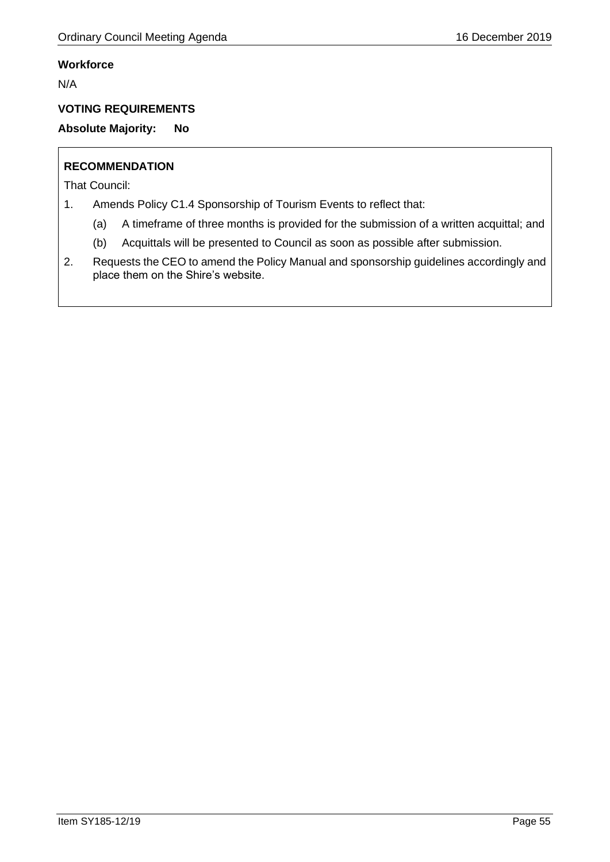# **Workforce**

N/A

# **VOTING REQUIREMENTS**

**Absolute Majority: No**

# **RECOMMENDATION**

- 1. Amends Policy C1.4 Sponsorship of Tourism Events to reflect that:
	- (a) A timeframe of three months is provided for the submission of a written acquittal; and
	- (b) Acquittals will be presented to Council as soon as possible after submission.
- 2. Requests the CEO to amend the Policy Manual and sponsorship guidelines accordingly and place them on the Shire's website.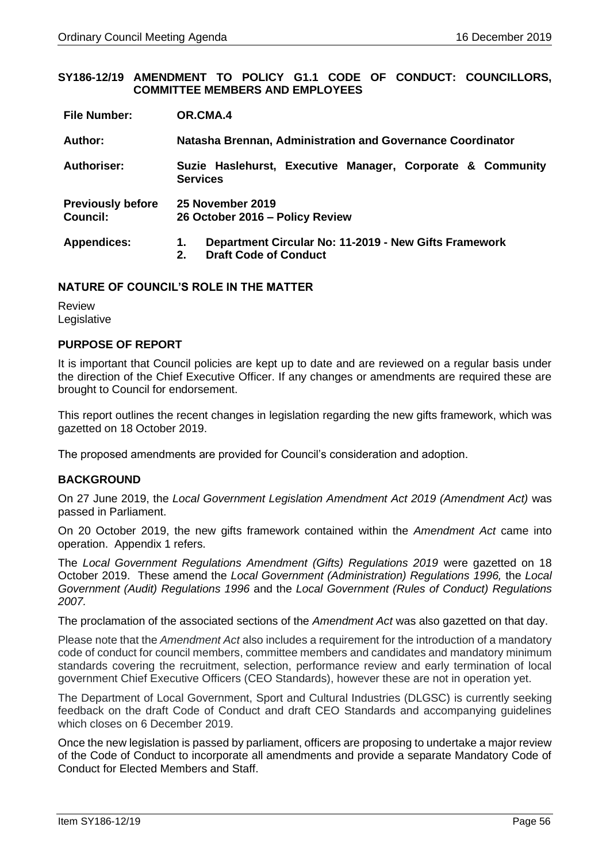#### **SY186-12/19 AMENDMENT TO POLICY G1.1 CODE OF CONDUCT: COUNCILLORS, COMMITTEE MEMBERS AND EMPLOYEES**

| <b>File Number:</b>                         | OR.CMA.4                                                                                               |
|---------------------------------------------|--------------------------------------------------------------------------------------------------------|
| Author:                                     | Natasha Brennan, Administration and Governance Coordinator                                             |
| Authoriser:                                 | Suzie Haslehurst, Executive Manager, Corporate & Community<br><b>Services</b>                          |
| <b>Previously before</b><br><b>Council:</b> | 25 November 2019<br>26 October 2016 - Policy Review                                                    |
| <b>Appendices:</b>                          | Department Circular No: 11-2019 - New Gifts Framework<br>1.<br><b>Draft Code of Conduct</b><br>$2_{-}$ |

## **NATURE OF COUNCIL'S ROLE IN THE MATTER**

Review Legislative

## **PURPOSE OF REPORT**

It is important that Council policies are kept up to date and are reviewed on a regular basis under the direction of the Chief Executive Officer. If any changes or amendments are required these are brought to Council for endorsement.

This report outlines the recent changes in legislation regarding the new gifts framework, which was gazetted on 18 October 2019.

The proposed amendments are provided for Council's consideration and adoption.

## **BACKGROUND**

On 27 June 2019, the *Local Government Legislation Amendment Act 2019 (Amendment Act)* was passed in Parliament.

On 20 October 2019, the new gifts framework contained within the *Amendment Act* came into operation. Appendix 1 refers.

The *Local Government Regulations Amendment (Gifts) Regulations 2019* were gazetted on 18 October 2019. These amend the *Local Government (Administration) Regulations 1996,* the *Local Government (Audit) Regulations 1996* and the *Local Government (Rules of Conduct) Regulations 2007.* 

The proclamation of the associated sections of the *Amendment Act* was also gazetted on that day.

Please note that the *Amendment Act* also includes a requirement for the introduction of a mandatory code of conduct for council members, committee members and candidates and mandatory minimum standards covering the recruitment, selection, performance review and early termination of local government Chief Executive Officers (CEO Standards), however these are not in operation yet.

The Department of Local Government, Sport and Cultural Industries (DLGSC) is currently seeking feedback on the draft Code of Conduct and draft CEO Standards and accompanying guidelines which closes on 6 December 2019.

Once the new legislation is passed by parliament, officers are proposing to undertake a major review of the Code of Conduct to incorporate all amendments and provide a separate Mandatory Code of Conduct for Elected Members and Staff.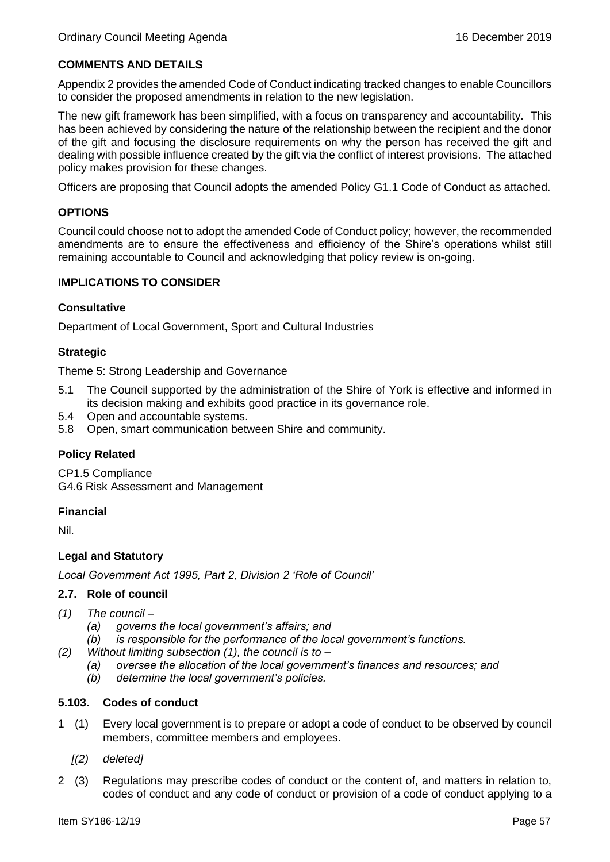# **COMMENTS AND DETAILS**

Appendix 2 provides the amended Code of Conduct indicating tracked changes to enable Councillors to consider the proposed amendments in relation to the new legislation.

The new gift framework has been simplified, with a focus on transparency and accountability. This has been achieved by considering the nature of the relationship between the recipient and the donor of the gift and focusing the disclosure requirements on why the person has received the gift and dealing with possible influence created by the gift via the conflict of interest provisions. The attached policy makes provision for these changes.

Officers are proposing that Council adopts the amended Policy G1.1 Code of Conduct as attached.

## **OPTIONS**

Council could choose not to adopt the amended Code of Conduct policy; however, the recommended amendments are to ensure the effectiveness and efficiency of the Shire's operations whilst still remaining accountable to Council and acknowledging that policy review is on-going.

## **IMPLICATIONS TO CONSIDER**

## **Consultative**

Department of Local Government, Sport and Cultural Industries

## **Strategic**

Theme 5: Strong Leadership and Governance

- 5.1 The Council supported by the administration of the Shire of York is effective and informed in its decision making and exhibits good practice in its governance role.
- 5.4 Open and accountable systems.
- 5.8 Open, smart communication between Shire and community.

## **Policy Related**

CP1.5 Compliance G4.6 Risk Assessment and Management

## **Financial**

Nil.

## **Legal and Statutory**

*Local Government Act 1995, Part 2, Division 2 'Role of Council'*

## **2.7. Role of council**

- *(1) The council –*
	- *(a) governs the local government's affairs; and*
	- *(b) is responsible for the performance of the local government's functions.*
- *(2) Without limiting subsection (1), the council is to –*
	- *(a) oversee the allocation of the local government's finances and resources; and*
	- *(b) determine the local government's policies.*

## **5.103. Codes of conduct**

- 1 (1) Every local government is to prepare or adopt a code of conduct to be observed by council members, committee members and employees.
	- *[(2) deleted]*
- 2 (3) Regulations may prescribe codes of conduct or the content of, and matters in relation to, codes of conduct and any code of conduct or provision of a code of conduct applying to a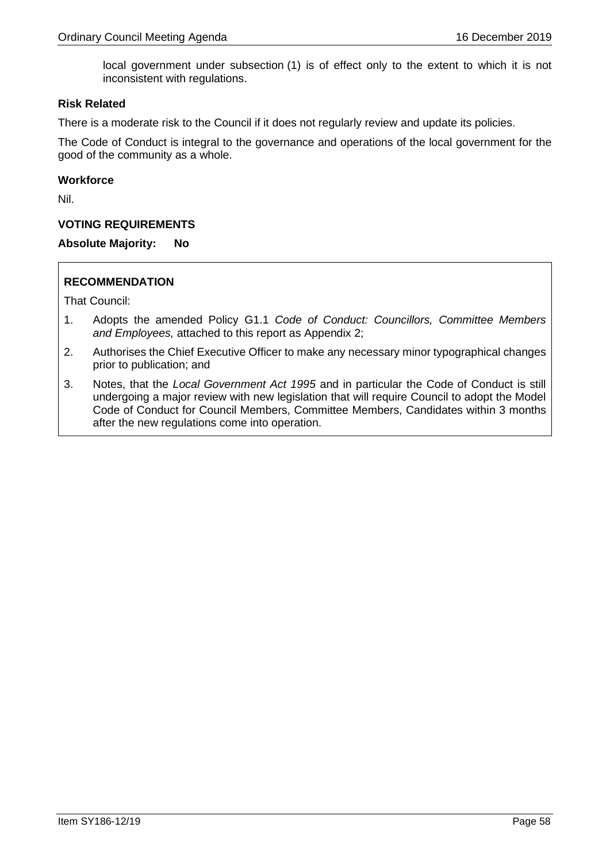local government under subsection (1) is of effect only to the extent to which it is not inconsistent with regulations.

### **Risk Related**

There is a moderate risk to the Council if it does not regularly review and update its policies.

The Code of Conduct is integral to the governance and operations of the local government for the good of the community as a whole.

#### **Workforce**

Nil.

## **VOTING REQUIREMENTS**

**Absolute Majority: No**

## **RECOMMENDATION**

- 1. Adopts the amended Policy G1.1 *Code of Conduct: Councillors, Committee Members and Employees,* attached to this report as Appendix 2;
- 2. Authorises the Chief Executive Officer to make any necessary minor typographical changes prior to publication; and
- 3. Notes, that the *Local Government Act 1995* and in particular the Code of Conduct is still undergoing a major review with new legislation that will require Council to adopt the Model Code of Conduct for Council Members, Committee Members, Candidates within 3 months after the new regulations come into operation.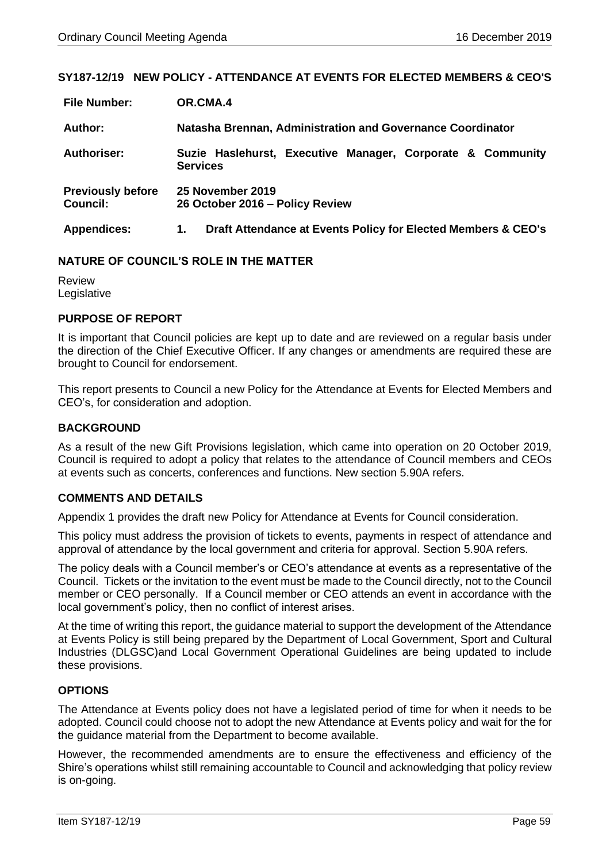## **SY187-12/19 NEW POLICY - ATTENDANCE AT EVENTS FOR ELECTED MEMBERS & CEO'S**

| <b>File Number:</b>                         | OR.CMA.4                                                                      |
|---------------------------------------------|-------------------------------------------------------------------------------|
| Author:                                     | Natasha Brennan, Administration and Governance Coordinator                    |
| Authoriser:                                 | Suzie Haslehurst, Executive Manager, Corporate & Community<br><b>Services</b> |
| <b>Previously before</b><br><b>Council:</b> | 25 November 2019<br>26 October 2016 - Policy Review                           |
| <b>Appendices:</b>                          | Draft Attendance at Events Policy for Elected Members & CEO's<br>1.           |

### **NATURE OF COUNCIL'S ROLE IN THE MATTER**

Review Legislative

### **PURPOSE OF REPORT**

It is important that Council policies are kept up to date and are reviewed on a regular basis under the direction of the Chief Executive Officer. If any changes or amendments are required these are brought to Council for endorsement.

This report presents to Council a new Policy for the Attendance at Events for Elected Members and CEO's, for consideration and adoption.

### **BACKGROUND**

As a result of the new Gift Provisions legislation, which came into operation on 20 October 2019, Council is required to adopt a policy that relates to the attendance of Council members and CEOs at events such as concerts, conferences and functions. New section 5.90A refers.

## **COMMENTS AND DETAILS**

Appendix 1 provides the draft new Policy for Attendance at Events for Council consideration.

This policy must address the provision of tickets to events, payments in respect of attendance and approval of attendance by the local government and criteria for approval. Section 5.90A refers.

The policy deals with a Council member's or CEO's attendance at events as a representative of the Council. Tickets or the invitation to the event must be made to the Council directly, not to the Council member or CEO personally. If a Council member or CEO attends an event in accordance with the local government's policy, then no conflict of interest arises.

At the time of writing this report, the guidance material to support the development of the Attendance at Events Policy is still being prepared by the Department of Local Government, Sport and Cultural Industries (DLGSC)and Local Government Operational Guidelines are being updated to include these provisions.

## **OPTIONS**

The Attendance at Events policy does not have a legislated period of time for when it needs to be adopted. Council could choose not to adopt the new Attendance at Events policy and wait for the for the guidance material from the Department to become available.

However, the recommended amendments are to ensure the effectiveness and efficiency of the Shire's operations whilst still remaining accountable to Council and acknowledging that policy review is on-going.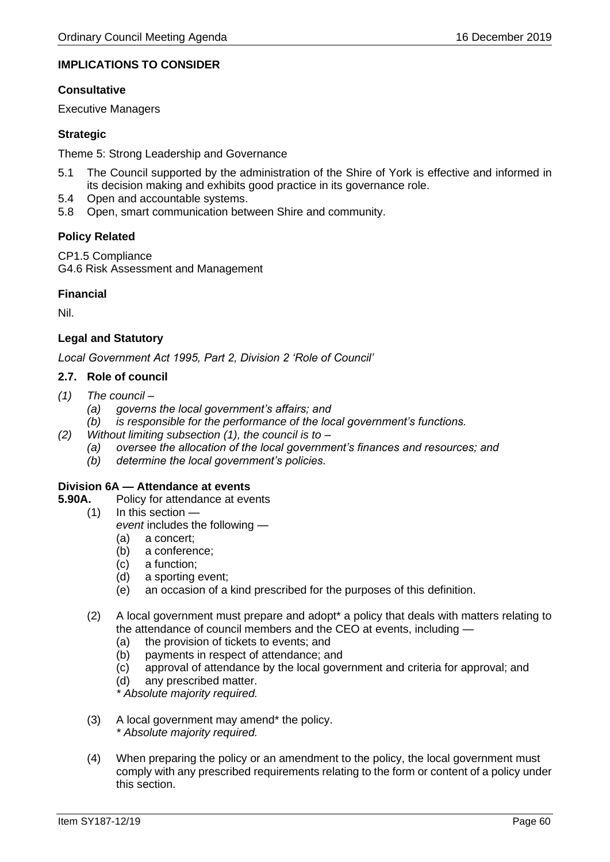# **IMPLICATIONS TO CONSIDER**

### **Consultative**

Executive Managers

## **Strategic**

Theme 5: Strong Leadership and Governance

- 5.1 The Council supported by the administration of the Shire of York is effective and informed in its decision making and exhibits good practice in its governance role.
- 5.4 Open and accountable systems.
- 5.8 Open, smart communication between Shire and community.

## **Policy Related**

CP1.5 Compliance G4.6 Risk Assessment and Management

## **Financial**

Nil.

## **Legal and Statutory**

*Local Government Act 1995, Part 2, Division 2 'Role of Council'*

### **2.7. Role of council**

- *(1) The council –*
	- *(a) governs the local government's affairs; and*
	- *(b) is responsible for the performance of the local government's functions.*
- *(2) Without limiting subsection (1), the council is to –*
	- *(a) oversee the allocation of the local government's finances and resources; and*
	- *(b) determine the local government's policies.*

#### **Division 6A — Attendance at events**

- **5.90A.** Policy for attendance at events
	- (1) In this section *event* includes the following —
		- (a) a concert;
		- (b) a conference;
		- (c) a function;
		- (d) a sporting event;
		- (e) an occasion of a kind prescribed for the purposes of this definition.
	- (2) A local government must prepare and adopt\* a policy that deals with matters relating to the attendance of council members and the CEO at events, including —
		- (a) the provision of tickets to events; and
		- (b) payments in respect of attendance; and
		- (c) approval of attendance by the local government and criteria for approval; and
		- (d) any prescribed matter.

*\* Absolute majority required.*

- (3) A local government may amend\* the policy. *\* Absolute majority required.*
- (4) When preparing the policy or an amendment to the policy, the local government must comply with any prescribed requirements relating to the form or content of a policy under this section.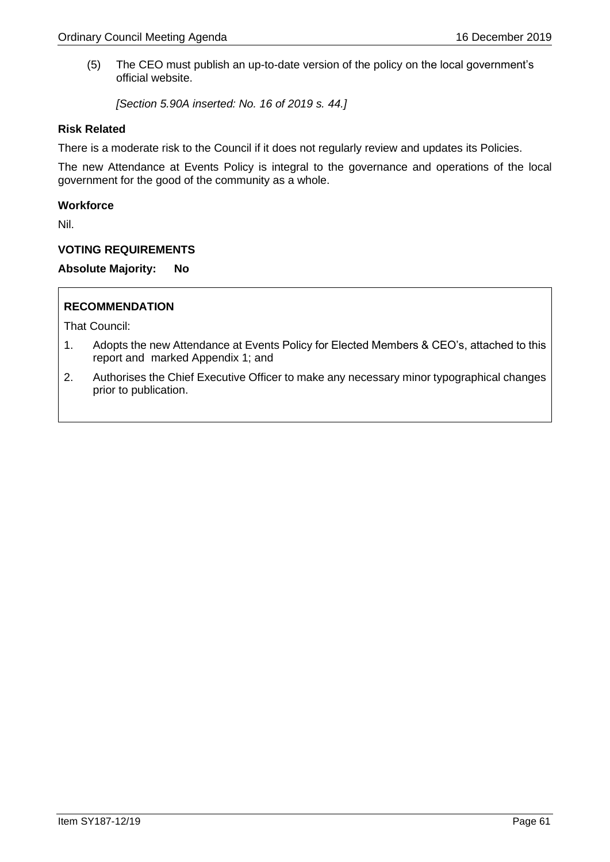(5) The CEO must publish an up-to-date version of the policy on the local government's official website.

*[Section 5.90A inserted: No. 16 of 2019 s. 44.]*

### **Risk Related**

There is a moderate risk to the Council if it does not regularly review and updates its Policies.

The new Attendance at Events Policy is integral to the governance and operations of the local government for the good of the community as a whole.

## **Workforce**

Nil.

### **VOTING REQUIREMENTS**

**Absolute Majority: No**

## **RECOMMENDATION**

- 1. Adopts the new Attendance at Events Policy for Elected Members & CEO's, attached to this report and marked Appendix 1; and
- 2. Authorises the Chief Executive Officer to make any necessary minor typographical changes prior to publication.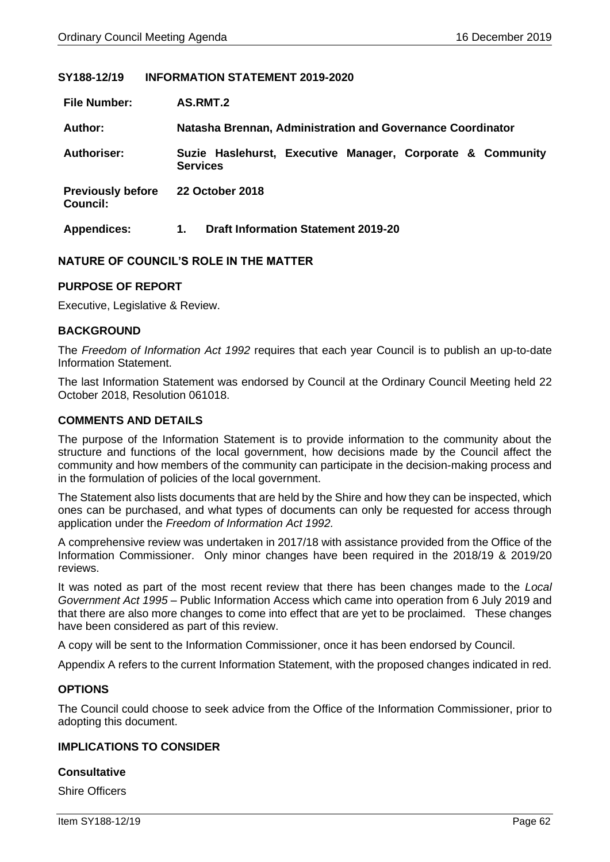## **SY188-12/19 INFORMATION STATEMENT 2019-2020**

| <b>File Number:</b>                         | AS.RMT.2                                                                      |
|---------------------------------------------|-------------------------------------------------------------------------------|
| Author:                                     | Natasha Brennan, Administration and Governance Coordinator                    |
| Authoriser:                                 | Suzie Haslehurst, Executive Manager, Corporate & Community<br><b>Services</b> |
| <b>Previously before</b><br><b>Council:</b> | <b>22 October 2018</b>                                                        |
| <b>Appendices:</b>                          | <b>Draft Information Statement 2019-20</b><br>1.                              |

### **NATURE OF COUNCIL'S ROLE IN THE MATTER**

#### **PURPOSE OF REPORT**

Executive, Legislative & Review.

#### **BACKGROUND**

The *Freedom of Information Act 1992* requires that each year Council is to publish an up-to-date Information Statement.

The last Information Statement was endorsed by Council at the Ordinary Council Meeting held 22 October 2018, Resolution 061018.

### **COMMENTS AND DETAILS**

The purpose of the Information Statement is to provide information to the community about the structure and functions of the local government, how decisions made by the Council affect the community and how members of the community can participate in the decision-making process and in the formulation of policies of the local government.

The Statement also lists documents that are held by the Shire and how they can be inspected, which ones can be purchased, and what types of documents can only be requested for access through application under the *Freedom of Information Act 1992.*

A comprehensive review was undertaken in 2017/18 with assistance provided from the Office of the Information Commissioner. Only minor changes have been required in the 2018/19 & 2019/20 reviews.

It was noted as part of the most recent review that there has been changes made to the *Local Government Act 1995* – Public Information Access which came into operation from 6 July 2019 and that there are also more changes to come into effect that are yet to be proclaimed. These changes have been considered as part of this review.

A copy will be sent to the Information Commissioner, once it has been endorsed by Council.

Appendix A refers to the current Information Statement, with the proposed changes indicated in red.

#### **OPTIONS**

The Council could choose to seek advice from the Office of the Information Commissioner, prior to adopting this document.

#### **IMPLICATIONS TO CONSIDER**

#### **Consultative**

Shire Officers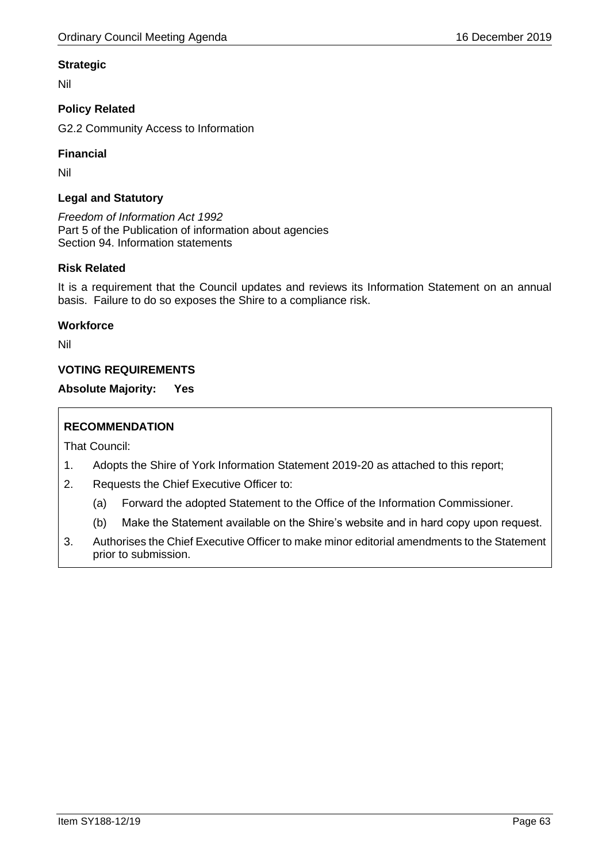## **Strategic**

Nil

# **Policy Related**

G2.2 Community Access to Information

## **Financial**

Nil

## **Legal and Statutory**

*Freedom of Information Act 1992* Part 5 of the Publication of information about agencies Section 94. Information statements

## **Risk Related**

It is a requirement that the Council updates and reviews its Information Statement on an annual basis. Failure to do so exposes the Shire to a compliance risk.

## **Workforce**

Nil

# **VOTING REQUIREMENTS**

**Absolute Majority: Yes**

# **RECOMMENDATION**

- 1. Adopts the Shire of York Information Statement 2019-20 as attached to this report;
- 2. Requests the Chief Executive Officer to:
	- (a) Forward the adopted Statement to the Office of the Information Commissioner.
	- (b) Make the Statement available on the Shire's website and in hard copy upon request.
- 3. Authorises the Chief Executive Officer to make minor editorial amendments to the Statement prior to submission.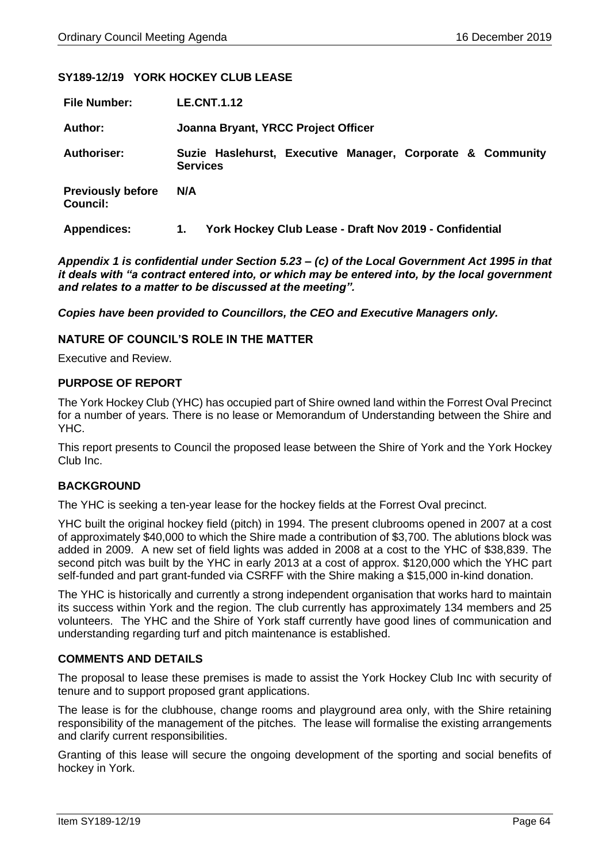## **SY189-12/19 YORK HOCKEY CLUB LEASE**

| <b>File Number:</b>                         | <b>LE.CNT.1.12</b>                                                            |  |  |
|---------------------------------------------|-------------------------------------------------------------------------------|--|--|
| Author:                                     | Joanna Bryant, YRCC Project Officer                                           |  |  |
| <b>Authoriser:</b>                          | Suzie Haslehurst, Executive Manager, Corporate & Community<br><b>Services</b> |  |  |
| <b>Previously before</b><br><b>Council:</b> | N/A                                                                           |  |  |
| <b>Appendices:</b>                          | York Hockey Club Lease - Draft Nov 2019 - Confidential<br>1.                  |  |  |

*Appendix 1 is confidential under Section 5.23 – (c) of the Local Government Act 1995 in that it deals with "a contract entered into, or which may be entered into, by the local government and relates to a matter to be discussed at the meeting".*

*Copies have been provided to Councillors, the CEO and Executive Managers only.*

### **NATURE OF COUNCIL'S ROLE IN THE MATTER**

Executive and Review.

### **PURPOSE OF REPORT**

The York Hockey Club (YHC) has occupied part of Shire owned land within the Forrest Oval Precinct for a number of years. There is no lease or Memorandum of Understanding between the Shire and YHC.

This report presents to Council the proposed lease between the Shire of York and the York Hockey Club Inc.

## **BACKGROUND**

The YHC is seeking a ten-year lease for the hockey fields at the Forrest Oval precinct.

YHC built the original hockey field (pitch) in 1994. The present clubrooms opened in 2007 at a cost of approximately \$40,000 to which the Shire made a contribution of \$3,700. The ablutions block was added in 2009. A new set of field lights was added in 2008 at a cost to the YHC of \$38,839. The second pitch was built by the YHC in early 2013 at a cost of approx. \$120,000 which the YHC part self-funded and part grant-funded via CSRFF with the Shire making a \$15,000 in-kind donation.

The YHC is historically and currently a strong independent organisation that works hard to maintain its success within York and the region. The club currently has approximately 134 members and 25 volunteers. The YHC and the Shire of York staff currently have good lines of communication and understanding regarding turf and pitch maintenance is established.

#### **COMMENTS AND DETAILS**

The proposal to lease these premises is made to assist the York Hockey Club Inc with security of tenure and to support proposed grant applications.

The lease is for the clubhouse, change rooms and playground area only, with the Shire retaining responsibility of the management of the pitches. The lease will formalise the existing arrangements and clarify current responsibilities.

Granting of this lease will secure the ongoing development of the sporting and social benefits of hockey in York.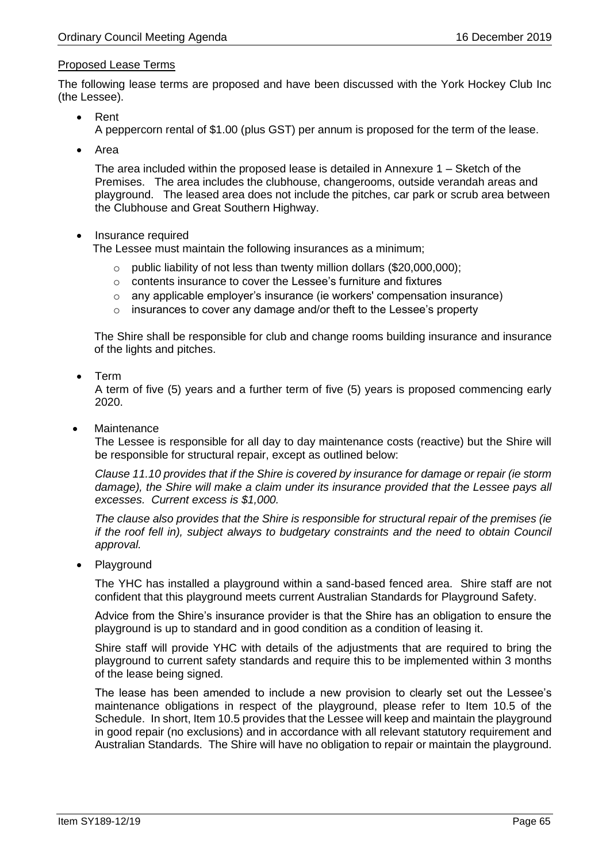## Proposed Lease Terms

The following lease terms are proposed and have been discussed with the York Hockey Club Inc (the Lessee).

- Rent A peppercorn rental of \$1.00 (plus GST) per annum is proposed for the term of the lease.
- Area

The area included within the proposed lease is detailed in Annexure 1 – Sketch of the Premises. The area includes the clubhouse, changerooms, outside verandah areas and playground. The leased area does not include the pitches, car park or scrub area between the Clubhouse and Great Southern Highway.

## • Insurance required

The Lessee must maintain the following insurances as a minimum;

- o public liability of not less than twenty million dollars (\$20,000,000);
- o contents insurance to cover the Lessee's furniture and fixtures
- $\circ$  any applicable employer's insurance (ie workers' compensation insurance)
- o insurances to cover any damage and/or theft to the Lessee's property

The Shire shall be responsible for club and change rooms building insurance and insurance of the lights and pitches.

• Term

A term of five (5) years and a further term of five (5) years is proposed commencing early 2020.

**Maintenance** 

The Lessee is responsible for all day to day maintenance costs (reactive) but the Shire will be responsible for structural repair, except as outlined below:

*Clause 11.10 provides that if the Shire is covered by insurance for damage or repair (ie storm damage), the Shire will make a claim under its insurance provided that the Lessee pays all excesses. Current excess is \$1,000.*

*The clause also provides that the Shire is responsible for structural repair of the premises (ie if the roof fell in), subject always to budgetary constraints and the need to obtain Council approval.*

• Playground

The YHC has installed a playground within a sand-based fenced area. Shire staff are not confident that this playground meets current Australian Standards for Playground Safety.

Advice from the Shire's insurance provider is that the Shire has an obligation to ensure the playground is up to standard and in good condition as a condition of leasing it.

Shire staff will provide YHC with details of the adjustments that are required to bring the playground to current safety standards and require this to be implemented within 3 months of the lease being signed.

The lease has been amended to include a new provision to clearly set out the Lessee's maintenance obligations in respect of the playground, please refer to Item 10.5 of the Schedule. In short, Item 10.5 provides that the Lessee will keep and maintain the playground in good repair (no exclusions) and in accordance with all relevant statutory requirement and Australian Standards. The Shire will have no obligation to repair or maintain the playground.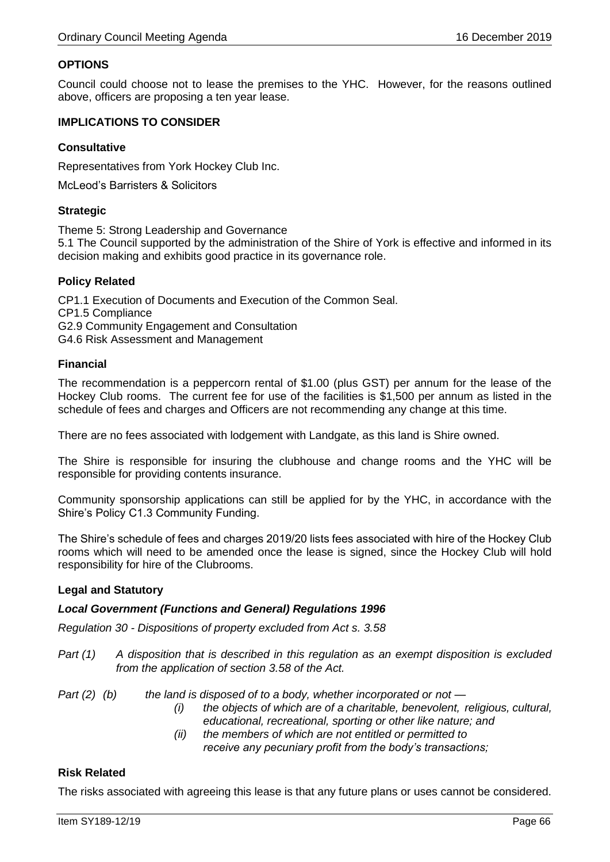## **OPTIONS**

Council could choose not to lease the premises to the YHC. However, for the reasons outlined above, officers are proposing a ten year lease.

### **IMPLICATIONS TO CONSIDER**

## **Consultative**

Representatives from York Hockey Club Inc.

McLeod's Barristers & Solicitors

### **Strategic**

Theme 5: Strong Leadership and Governance 5.1 The Council supported by the administration of the Shire of York is effective and informed in its decision making and exhibits good practice in its governance role.

## **Policy Related**

CP1.1 Execution of Documents and Execution of the Common Seal. CP1.5 Compliance G2.9 Community Engagement and Consultation G4.6 Risk Assessment and Management

### **Financial**

The recommendation is a peppercorn rental of \$1.00 (plus GST) per annum for the lease of the Hockey Club rooms. The current fee for use of the facilities is \$1,500 per annum as listed in the schedule of fees and charges and Officers are not recommending any change at this time.

There are no fees associated with lodgement with Landgate, as this land is Shire owned.

The Shire is responsible for insuring the clubhouse and change rooms and the YHC will be responsible for providing contents insurance.

Community sponsorship applications can still be applied for by the YHC, in accordance with the Shire's Policy C1.3 Community Funding.

The Shire's schedule of fees and charges 2019/20 lists fees associated with hire of the Hockey Club rooms which will need to be amended once the lease is signed, since the Hockey Club will hold responsibility for hire of the Clubrooms.

#### **Legal and Statutory**

#### *Local Government (Functions and General) Regulations 1996*

*Regulation 30 - Dispositions of property excluded from Act s. 3.58*

- *Part (1) A disposition that is described in this regulation as an exempt disposition is excluded from the application of section 3.58 of the Act.*
- *Part (2) (b) the land is disposed of to a body, whether incorporated or not —*
	- *(i) the objects of which are of a charitable, benevolent, religious, cultural, educational, recreational, sporting or other like nature; and*
	- *(ii) the members of which are not entitled or permitted to receive any pecuniary profit from the body's transactions;*

## **Risk Related**

The risks associated with agreeing this lease is that any future plans or uses cannot be considered.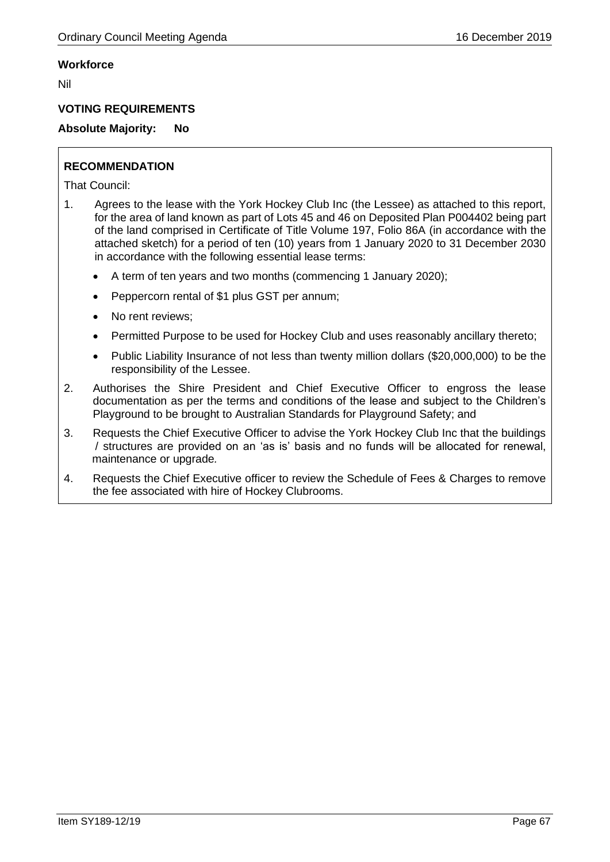## **Workforce**

Nil

## **VOTING REQUIREMENTS**

# **Absolute Majority: No**

# **RECOMMENDATION**

- 1. Agrees to the lease with the York Hockey Club Inc (the Lessee) as attached to this report, for the area of land known as part of Lots 45 and 46 on Deposited Plan P004402 being part of the land comprised in Certificate of Title Volume 197, Folio 86A (in accordance with the attached sketch) for a period of ten (10) years from 1 January 2020 to 31 December 2030 in accordance with the following essential lease terms:
	- A term of ten years and two months (commencing 1 January 2020);
	- Peppercorn rental of \$1 plus GST per annum;
	- No rent reviews:
	- Permitted Purpose to be used for Hockey Club and uses reasonably ancillary thereto;
	- Public Liability Insurance of not less than twenty million dollars (\$20,000,000) to be the responsibility of the Lessee.
- 2. Authorises the Shire President and Chief Executive Officer to engross the lease documentation as per the terms and conditions of the lease and subject to the Children's Playground to be brought to Australian Standards for Playground Safety; and
- 3. Requests the Chief Executive Officer to advise the York Hockey Club Inc that the buildings / structures are provided on an 'as is' basis and no funds will be allocated for renewal, maintenance or upgrade*.*
- 4. Requests the Chief Executive officer to review the Schedule of Fees & Charges to remove the fee associated with hire of Hockey Clubrooms.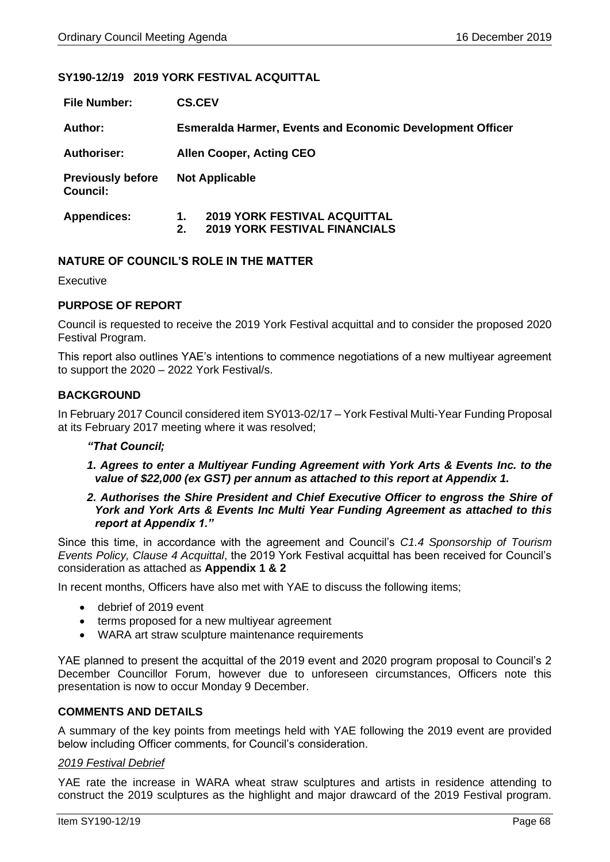## **SY190-12/19 2019 YORK FESTIVAL ACQUITTAL**

| <b>File Number:</b>                         | <b>CS.CEV</b>                                                    |                                                                             |  |
|---------------------------------------------|------------------------------------------------------------------|-----------------------------------------------------------------------------|--|
| Author:                                     | <b>Esmeralda Harmer, Events and Economic Development Officer</b> |                                                                             |  |
| <b>Authoriser:</b>                          | <b>Allen Cooper, Acting CEO</b>                                  |                                                                             |  |
| <b>Previously before</b><br><b>Council:</b> | <b>Not Applicable</b>                                            |                                                                             |  |
| <b>Appendices:</b>                          | 1.<br>2.                                                         | <b>2019 YORK FESTIVAL ACQUITTAL</b><br><b>2019 YORK FESTIVAL FINANCIALS</b> |  |

## **NATURE OF COUNCIL'S ROLE IN THE MATTER**

Executive

## **PURPOSE OF REPORT**

Council is requested to receive the 2019 York Festival acquittal and to consider the proposed 2020 Festival Program.

This report also outlines YAE's intentions to commence negotiations of a new multiyear agreement to support the 2020 – 2022 York Festival/s.

## **BACKGROUND**

In February 2017 Council considered item SY013-02/17 – York Festival Multi-Year Funding Proposal at its February 2017 meeting where it was resolved;

## *"That Council;*

*1. Agrees to enter a Multiyear Funding Agreement with York Arts & Events Inc. to the value of \$22,000 (ex GST) per annum as attached to this report at Appendix 1.*

### *2. Authorises the Shire President and Chief Executive Officer to engross the Shire of York and York Arts & Events Inc Multi Year Funding Agreement as attached to this report at Appendix 1."*

Since this time, in accordance with the agreement and Council's *C1.4 Sponsorship of Tourism Events Policy, Clause 4 Acquittal*, the 2019 York Festival acquittal has been received for Council's consideration as attached as **Appendix 1 & 2**

In recent months, Officers have also met with YAE to discuss the following items;

- debrief of 2019 event
- terms proposed for a new multiyear agreement
- WARA art straw sculpture maintenance requirements

YAE planned to present the acquittal of the 2019 event and 2020 program proposal to Council's 2 December Councillor Forum, however due to unforeseen circumstances, Officers note this presentation is now to occur Monday 9 December.

#### **COMMENTS AND DETAILS**

A summary of the key points from meetings held with YAE following the 2019 event are provided below including Officer comments, for Council's consideration.

#### *2019 Festival Debrief*

YAE rate the increase in WARA wheat straw sculptures and artists in residence attending to construct the 2019 sculptures as the highlight and major drawcard of the 2019 Festival program.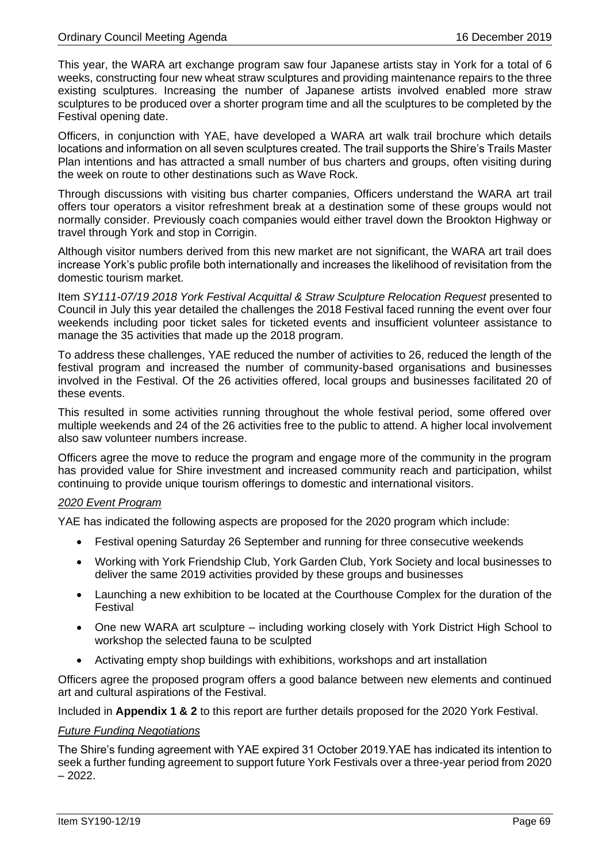This year, the WARA art exchange program saw four Japanese artists stay in York for a total of 6 weeks, constructing four new wheat straw sculptures and providing maintenance repairs to the three existing sculptures. Increasing the number of Japanese artists involved enabled more straw sculptures to be produced over a shorter program time and all the sculptures to be completed by the Festival opening date.

Officers, in conjunction with YAE, have developed a WARA art walk trail brochure which details locations and information on all seven sculptures created. The trail supports the Shire's Trails Master Plan intentions and has attracted a small number of bus charters and groups, often visiting during the week on route to other destinations such as Wave Rock.

Through discussions with visiting bus charter companies, Officers understand the WARA art trail offers tour operators a visitor refreshment break at a destination some of these groups would not normally consider. Previously coach companies would either travel down the Brookton Highway or travel through York and stop in Corrigin.

Although visitor numbers derived from this new market are not significant, the WARA art trail does increase York's public profile both internationally and increases the likelihood of revisitation from the domestic tourism market.

Item *SY111-07/19 2018 York Festival Acquittal & Straw Sculpture Relocation Request* presented to Council in July this year detailed the challenges the 2018 Festival faced running the event over four weekends including poor ticket sales for ticketed events and insufficient volunteer assistance to manage the 35 activities that made up the 2018 program.

To address these challenges, YAE reduced the number of activities to 26, reduced the length of the festival program and increased the number of community-based organisations and businesses involved in the Festival. Of the 26 activities offered, local groups and businesses facilitated 20 of these events.

This resulted in some activities running throughout the whole festival period, some offered over multiple weekends and 24 of the 26 activities free to the public to attend. A higher local involvement also saw volunteer numbers increase.

Officers agree the move to reduce the program and engage more of the community in the program has provided value for Shire investment and increased community reach and participation, whilst continuing to provide unique tourism offerings to domestic and international visitors.

## *2020 Event Program*

YAE has indicated the following aspects are proposed for the 2020 program which include:

- Festival opening Saturday 26 September and running for three consecutive weekends
- Working with York Friendship Club, York Garden Club, York Society and local businesses to deliver the same 2019 activities provided by these groups and businesses
- Launching a new exhibition to be located at the Courthouse Complex for the duration of the Festival
- One new WARA art sculpture including working closely with York District High School to workshop the selected fauna to be sculpted
- Activating empty shop buildings with exhibitions, workshops and art installation

Officers agree the proposed program offers a good balance between new elements and continued art and cultural aspirations of the Festival.

Included in **Appendix 1 & 2** to this report are further details proposed for the 2020 York Festival.

#### *Future Funding Negotiations*

The Shire's funding agreement with YAE expired 31 October 2019.YAE has indicated its intention to seek a further funding agreement to support future York Festivals over a three-year period from 2020  $-2022.$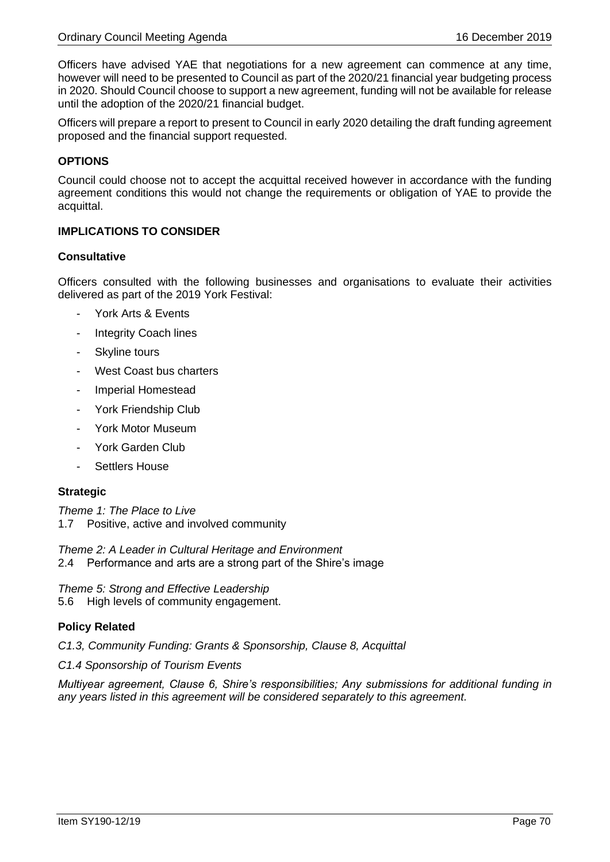Officers have advised YAE that negotiations for a new agreement can commence at any time, however will need to be presented to Council as part of the 2020/21 financial year budgeting process in 2020. Should Council choose to support a new agreement, funding will not be available for release until the adoption of the 2020/21 financial budget.

Officers will prepare a report to present to Council in early 2020 detailing the draft funding agreement proposed and the financial support requested.

## **OPTIONS**

Council could choose not to accept the acquittal received however in accordance with the funding agreement conditions this would not change the requirements or obligation of YAE to provide the acquittal.

## **IMPLICATIONS TO CONSIDER**

## **Consultative**

Officers consulted with the following businesses and organisations to evaluate their activities delivered as part of the 2019 York Festival:

- York Arts & Events
- Integrity Coach lines
- Skyline tours
- West Coast bus charters
- Imperial Homestead
- York Friendship Club
- York Motor Museum
- York Garden Club
- Settlers House

#### **Strategic**

*Theme 1: The Place to Live* 1.7 Positive, active and involved community

*Theme 2: A Leader in Cultural Heritage and Environment* 2.4 Performance and arts are a strong part of the Shire's image

*Theme 5: Strong and Effective Leadership* 5.6 High levels of community engagement.

## **Policy Related**

*C1.3, Community Funding: Grants & Sponsorship, Clause 8, Acquittal*

*C1.4 Sponsorship of Tourism Events* 

*Multiyear agreement, Clause 6, Shire's responsibilities; Any submissions for additional funding in any years listed in this agreement will be considered separately to this agreement.*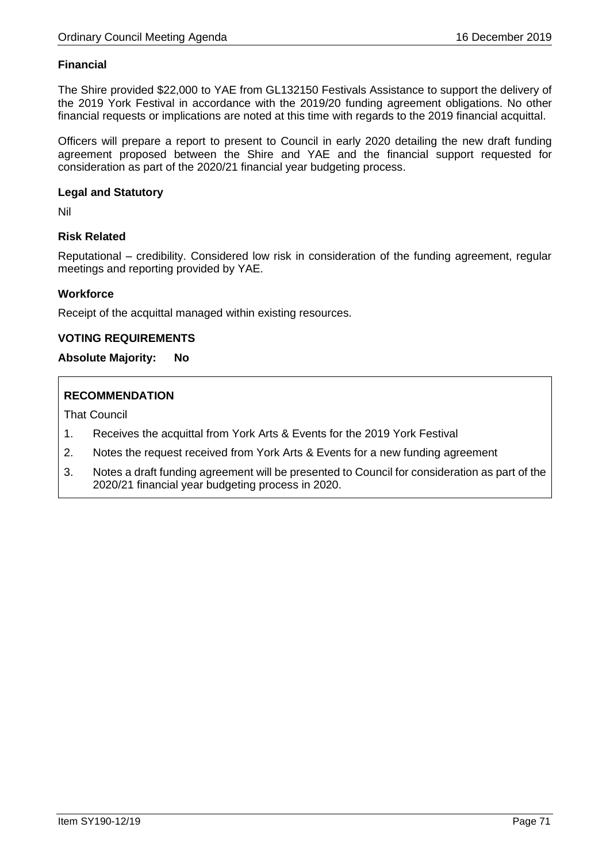## **Financial**

The Shire provided \$22,000 to YAE from GL132150 Festivals Assistance to support the delivery of the 2019 York Festival in accordance with the 2019/20 funding agreement obligations. No other financial requests or implications are noted at this time with regards to the 2019 financial acquittal.

Officers will prepare a report to present to Council in early 2020 detailing the new draft funding agreement proposed between the Shire and YAE and the financial support requested for consideration as part of the 2020/21 financial year budgeting process.

### **Legal and Statutory**

Nil

## **Risk Related**

Reputational – credibility. Considered low risk in consideration of the funding agreement, regular meetings and reporting provided by YAE.

## **Workforce**

Receipt of the acquittal managed within existing resources.

### **VOTING REQUIREMENTS**

### **Absolute Majority: No**

## **RECOMMENDATION**

- 1. Receives the acquittal from York Arts & Events for the 2019 York Festival
- 2. Notes the request received from York Arts & Events for a new funding agreement
- 3. Notes a draft funding agreement will be presented to Council for consideration as part of the 2020/21 financial year budgeting process in 2020.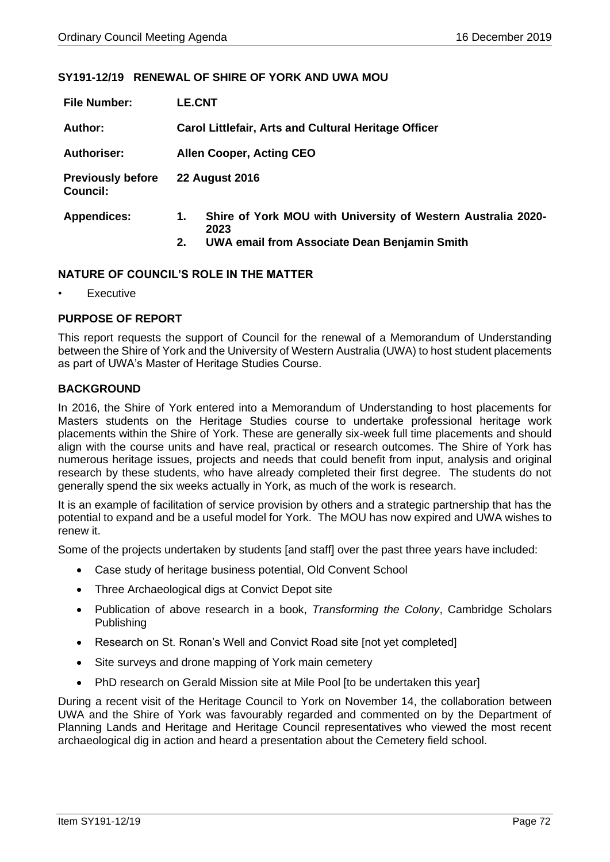## **SY191-12/19 RENEWAL OF SHIRE OF YORK AND UWA MOU**

| <b>File Number:</b>                         | <b>LE.CNT</b>                                                              |  |  |
|---------------------------------------------|----------------------------------------------------------------------------|--|--|
| Author:                                     | <b>Carol Littlefair, Arts and Cultural Heritage Officer</b>                |  |  |
| <b>Authoriser:</b>                          | <b>Allen Cooper, Acting CEO</b>                                            |  |  |
| <b>Previously before</b><br><b>Council:</b> | <b>22 August 2016</b>                                                      |  |  |
| <b>Appendices:</b>                          | Shire of York MOU with University of Western Australia 2020-<br>1.<br>2023 |  |  |
|                                             | UWA email from Associate Dean Benjamin Smith<br>2.                         |  |  |

### **NATURE OF COUNCIL'S ROLE IN THE MATTER**

**Executive** 

## **PURPOSE OF REPORT**

This report requests the support of Council for the renewal of a Memorandum of Understanding between the Shire of York and the University of Western Australia (UWA) to host student placements as part of UWA's Master of Heritage Studies Course.

### **BACKGROUND**

In 2016, the Shire of York entered into a Memorandum of Understanding to host placements for Masters students on the Heritage Studies course to undertake professional heritage work placements within the Shire of York. These are generally six-week full time placements and should align with the course units and have real, practical or research outcomes. The Shire of York has numerous heritage issues, projects and needs that could benefit from input, analysis and original research by these students, who have already completed their first degree. The students do not generally spend the six weeks actually in York, as much of the work is research.

It is an example of facilitation of service provision by others and a strategic partnership that has the potential to expand and be a useful model for York. The MOU has now expired and UWA wishes to renew it.

Some of the projects undertaken by students [and staff] over the past three years have included:

- Case study of heritage business potential, Old Convent School
- Three Archaeological digs at Convict Depot site
- Publication of above research in a book, *Transforming the Colony*, Cambridge Scholars Publishing
- Research on St. Ronan's Well and Convict Road site [not yet completed]
- Site surveys and drone mapping of York main cemetery
- PhD research on Gerald Mission site at Mile Pool [to be undertaken this year]

During a recent visit of the Heritage Council to York on November 14, the collaboration between UWA and the Shire of York was favourably regarded and commented on by the Department of Planning Lands and Heritage and Heritage Council representatives who viewed the most recent archaeological dig in action and heard a presentation about the Cemetery field school.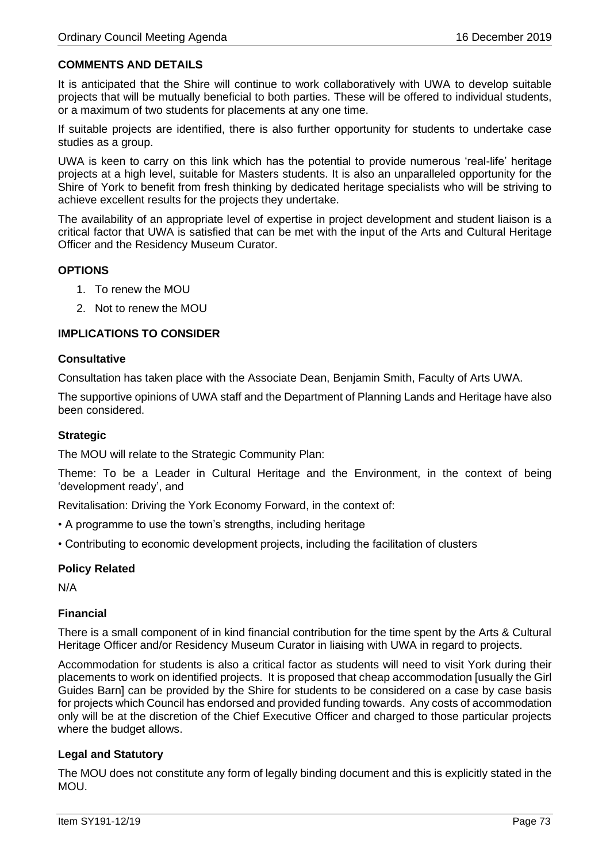# **COMMENTS AND DETAILS**

It is anticipated that the Shire will continue to work collaboratively with UWA to develop suitable projects that will be mutually beneficial to both parties. These will be offered to individual students, or a maximum of two students for placements at any one time.

If suitable projects are identified, there is also further opportunity for students to undertake case studies as a group.

UWA is keen to carry on this link which has the potential to provide numerous 'real-life' heritage projects at a high level, suitable for Masters students. It is also an unparalleled opportunity for the Shire of York to benefit from fresh thinking by dedicated heritage specialists who will be striving to achieve excellent results for the projects they undertake.

The availability of an appropriate level of expertise in project development and student liaison is a critical factor that UWA is satisfied that can be met with the input of the Arts and Cultural Heritage Officer and the Residency Museum Curator.

### **OPTIONS**

- 1. To renew the MOU
- 2. Not to renew the MOU

## **IMPLICATIONS TO CONSIDER**

### **Consultative**

Consultation has taken place with the Associate Dean, Benjamin Smith, Faculty of Arts UWA.

The supportive opinions of UWA staff and the Department of Planning Lands and Heritage have also been considered.

## **Strategic**

The MOU will relate to the Strategic Community Plan:

Theme: To be a Leader in Cultural Heritage and the Environment, in the context of being 'development ready', and

Revitalisation: Driving the York Economy Forward, in the context of:

- A programme to use the town's strengths, including heritage
- Contributing to economic development projects, including the facilitation of clusters

## **Policy Related**

N/A

## **Financial**

There is a small component of in kind financial contribution for the time spent by the Arts & Cultural Heritage Officer and/or Residency Museum Curator in liaising with UWA in regard to projects.

Accommodation for students is also a critical factor as students will need to visit York during their placements to work on identified projects. It is proposed that cheap accommodation [usually the Girl Guides Barn] can be provided by the Shire for students to be considered on a case by case basis for projects which Council has endorsed and provided funding towards. Any costs of accommodation only will be at the discretion of the Chief Executive Officer and charged to those particular projects where the budget allows.

## **Legal and Statutory**

The MOU does not constitute any form of legally binding document and this is explicitly stated in the MOU.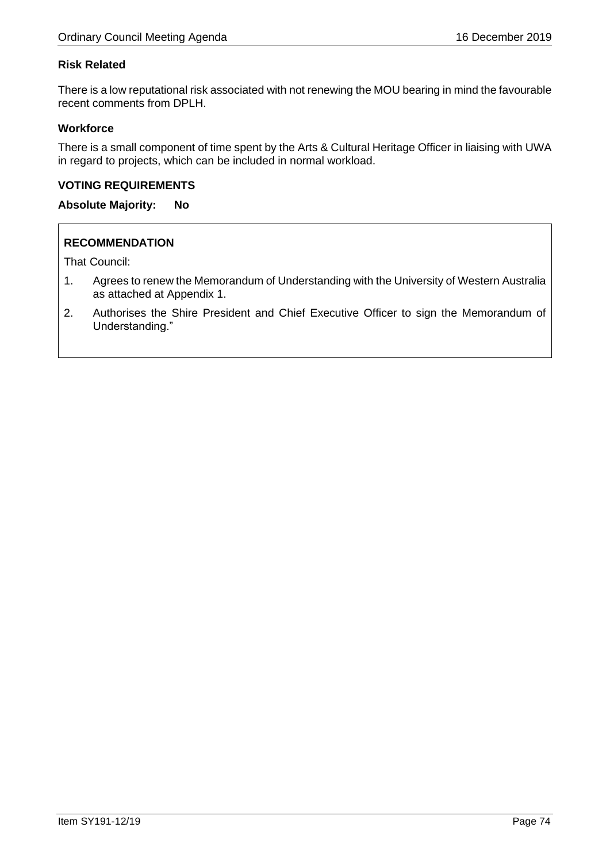# **Risk Related**

There is a low reputational risk associated with not renewing the MOU bearing in mind the favourable recent comments from DPLH.

## **Workforce**

There is a small component of time spent by the Arts & Cultural Heritage Officer in liaising with UWA in regard to projects, which can be included in normal workload.

## **VOTING REQUIREMENTS**

**Absolute Majority: No**

## **RECOMMENDATION**

That Council:

- 1. Agrees to renew the Memorandum of Understanding with the University of Western Australia as attached at Appendix 1.
- 2. Authorises the Shire President and Chief Executive Officer to sign the Memorandum of Understanding."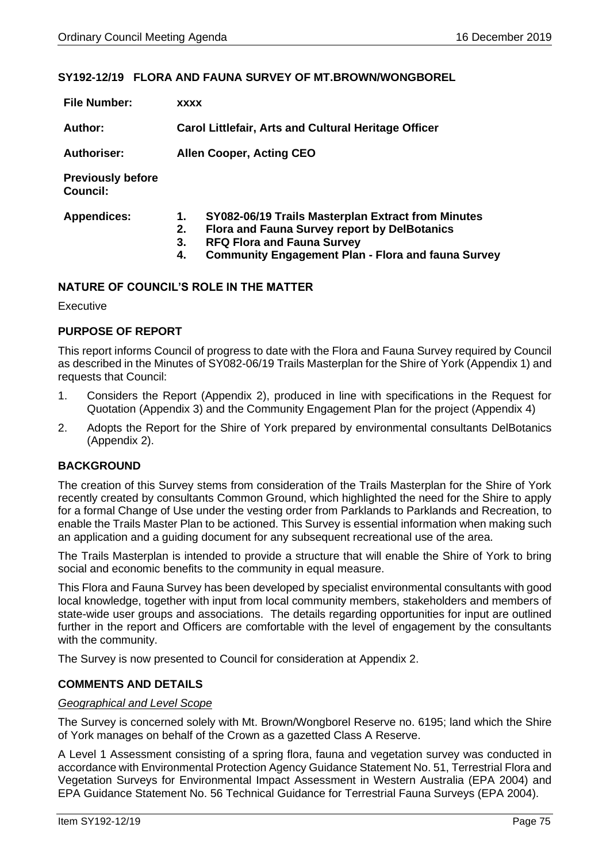## **SY192-12/19 FLORA AND FAUNA SURVEY OF MT.BROWN/WONGBOREL**

| <b>File Number:</b>                         | <b>XXXX</b>                                                                                                                                                                                                                         |
|---------------------------------------------|-------------------------------------------------------------------------------------------------------------------------------------------------------------------------------------------------------------------------------------|
| <b>Author:</b>                              | <b>Carol Littlefair, Arts and Cultural Heritage Officer</b>                                                                                                                                                                         |
| <b>Authoriser:</b>                          | <b>Allen Cooper, Acting CEO</b>                                                                                                                                                                                                     |
| <b>Previously before</b><br><b>Council:</b> |                                                                                                                                                                                                                                     |
| <b>Appendices:</b>                          | SY082-06/19 Trails Masterplan Extract from Minutes<br>1.<br><b>Flora and Fauna Survey report by DelBotanics</b><br>2.<br><b>RFQ Flora and Fauna Survey</b><br>3.<br><b>Community Engagement Plan - Flora and fauna Survey</b><br>4. |

## **NATURE OF COUNCIL'S ROLE IN THE MATTER**

**Executive** 

### **PURPOSE OF REPORT**

This report informs Council of progress to date with the Flora and Fauna Survey required by Council as described in the Minutes of SY082-06/19 Trails Masterplan for the Shire of York (Appendix 1) and requests that Council:

- 1. Considers the Report (Appendix 2), produced in line with specifications in the Request for Quotation (Appendix 3) and the Community Engagement Plan for the project (Appendix 4)
- 2. Adopts the Report for the Shire of York prepared by environmental consultants DelBotanics (Appendix 2).

### **BACKGROUND**

The creation of this Survey stems from consideration of the Trails Masterplan for the Shire of York recently created by consultants Common Ground, which highlighted the need for the Shire to apply for a formal Change of Use under the vesting order from Parklands to Parklands and Recreation, to enable the Trails Master Plan to be actioned. This Survey is essential information when making such an application and a guiding document for any subsequent recreational use of the area.

The Trails Masterplan is intended to provide a structure that will enable the Shire of York to bring social and economic benefits to the community in equal measure.

This Flora and Fauna Survey has been developed by specialist environmental consultants with good local knowledge, together with input from local community members, stakeholders and members of state-wide user groups and associations. The details regarding opportunities for input are outlined further in the report and Officers are comfortable with the level of engagement by the consultants with the community.

The Survey is now presented to Council for consideration at Appendix 2.

### **COMMENTS AND DETAILS**

### *Geographical and Level Scope*

The Survey is concerned solely with Mt. Brown/Wongborel Reserve no. 6195; land which the Shire of York manages on behalf of the Crown as a gazetted Class A Reserve.

A Level 1 Assessment consisting of a spring flora, fauna and vegetation survey was conducted in accordance with Environmental Protection Agency Guidance Statement No. 51, Terrestrial Flora and Vegetation Surveys for Environmental Impact Assessment in Western Australia (EPA 2004) and EPA Guidance Statement No. 56 Technical Guidance for Terrestrial Fauna Surveys (EPA 2004).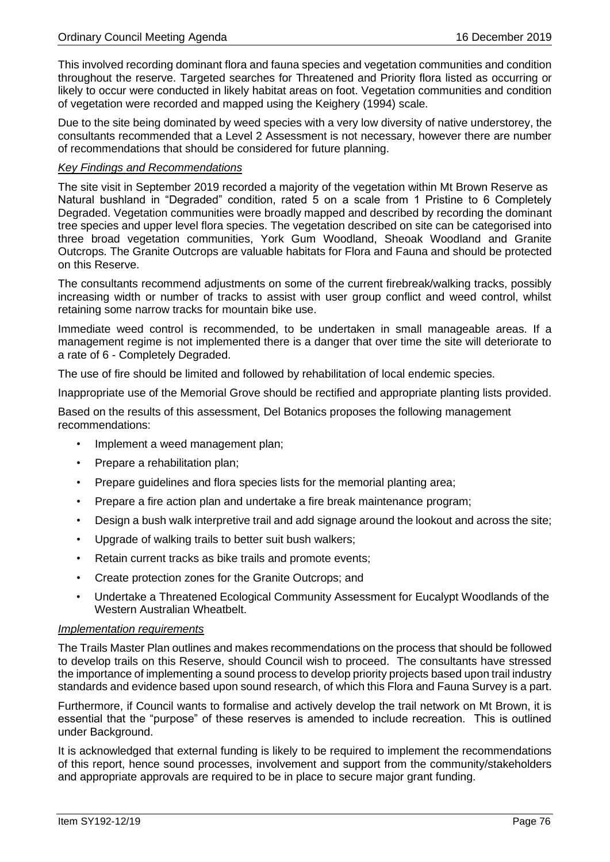This involved recording dominant flora and fauna species and vegetation communities and condition throughout the reserve. Targeted searches for Threatened and Priority flora listed as occurring or likely to occur were conducted in likely habitat areas on foot. Vegetation communities and condition of vegetation were recorded and mapped using the Keighery (1994) scale.

Due to the site being dominated by weed species with a very low diversity of native understorey, the consultants recommended that a Level 2 Assessment is not necessary, however there are number of recommendations that should be considered for future planning.

## *Key Findings and Recommendations*

The site visit in September 2019 recorded a majority of the vegetation within Mt Brown Reserve as Natural bushland in "Degraded" condition, rated 5 on a scale from 1 Pristine to 6 Completely Degraded. Vegetation communities were broadly mapped and described by recording the dominant tree species and upper level flora species. The vegetation described on site can be categorised into three broad vegetation communities, York Gum Woodland, Sheoak Woodland and Granite Outcrops. The Granite Outcrops are valuable habitats for Flora and Fauna and should be protected on this Reserve.

The consultants recommend adjustments on some of the current firebreak/walking tracks, possibly increasing width or number of tracks to assist with user group conflict and weed control, whilst retaining some narrow tracks for mountain bike use.

Immediate weed control is recommended, to be undertaken in small manageable areas. If a management regime is not implemented there is a danger that over time the site will deteriorate to a rate of 6 - Completely Degraded.

The use of fire should be limited and followed by rehabilitation of local endemic species.

Inappropriate use of the Memorial Grove should be rectified and appropriate planting lists provided.

Based on the results of this assessment, Del Botanics proposes the following management recommendations:

- Implement a weed management plan;
- Prepare a rehabilitation plan:
- Prepare guidelines and flora species lists for the memorial planting area;
- Prepare a fire action plan and undertake a fire break maintenance program;
- Design a bush walk interpretive trail and add signage around the lookout and across the site;
- Upgrade of walking trails to better suit bush walkers;
- Retain current tracks as bike trails and promote events;
- Create protection zones for the Granite Outcrops; and
- Undertake a Threatened Ecological Community Assessment for Eucalypt Woodlands of the Western Australian Wheatbelt.

### *Implementation requirements*

The Trails Master Plan outlines and makes recommendations on the process that should be followed to develop trails on this Reserve, should Council wish to proceed. The consultants have stressed the importance of implementing a sound process to develop priority projects based upon trail industry standards and evidence based upon sound research, of which this Flora and Fauna Survey is a part.

Furthermore, if Council wants to formalise and actively develop the trail network on Mt Brown, it is essential that the "purpose" of these reserves is amended to include recreation. This is outlined under Background.

It is acknowledged that external funding is likely to be required to implement the recommendations of this report, hence sound processes, involvement and support from the community/stakeholders and appropriate approvals are required to be in place to secure major grant funding.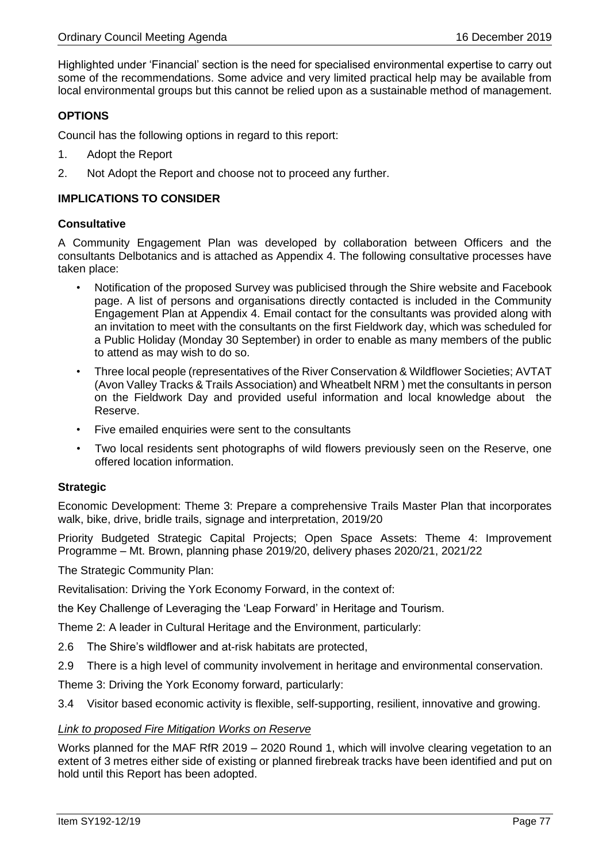Highlighted under 'Financial' section is the need for specialised environmental expertise to carry out some of the recommendations. Some advice and very limited practical help may be available from local environmental groups but this cannot be relied upon as a sustainable method of management.

## **OPTIONS**

Council has the following options in regard to this report:

- 1. Adopt the Report
- 2. Not Adopt the Report and choose not to proceed any further.

## **IMPLICATIONS TO CONSIDER**

### **Consultative**

A Community Engagement Plan was developed by collaboration between Officers and the consultants Delbotanics and is attached as Appendix 4. The following consultative processes have taken place:

- Notification of the proposed Survey was publicised through the Shire website and Facebook page. A list of persons and organisations directly contacted is included in the Community Engagement Plan at Appendix 4. Email contact for the consultants was provided along with an invitation to meet with the consultants on the first Fieldwork day, which was scheduled for a Public Holiday (Monday 30 September) in order to enable as many members of the public to attend as may wish to do so.
- Three local people (representatives of the River Conservation & Wildflower Societies; AVTAT (Avon Valley Tracks & Trails Association) and Wheatbelt NRM ) met the consultants in person on the Fieldwork Day and provided useful information and local knowledge about the Reserve.
- Five emailed enquiries were sent to the consultants
- Two local residents sent photographs of wild flowers previously seen on the Reserve, one offered location information.

## **Strategic**

Economic Development: Theme 3: Prepare a comprehensive Trails Master Plan that incorporates walk, bike, drive, bridle trails, signage and interpretation, 2019/20

Priority Budgeted Strategic Capital Projects; Open Space Assets: Theme 4: Improvement Programme – Mt. Brown, planning phase 2019/20, delivery phases 2020/21, 2021/22

The Strategic Community Plan:

Revitalisation: Driving the York Economy Forward, in the context of:

the Key Challenge of Leveraging the 'Leap Forward' in Heritage and Tourism.

Theme 2: A leader in Cultural Heritage and the Environment, particularly:

- 2.6 The Shire's wildflower and at-risk habitats are protected,
- 2.9 There is a high level of community involvement in heritage and environmental conservation.

Theme 3: Driving the York Economy forward, particularly:

3.4 Visitor based economic activity is flexible, self-supporting, resilient, innovative and growing.

### *Link to proposed Fire Mitigation Works on Reserve*

Works planned for the MAF RfR 2019 – 2020 Round 1, which will involve clearing vegetation to an extent of 3 metres either side of existing or planned firebreak tracks have been identified and put on hold until this Report has been adopted.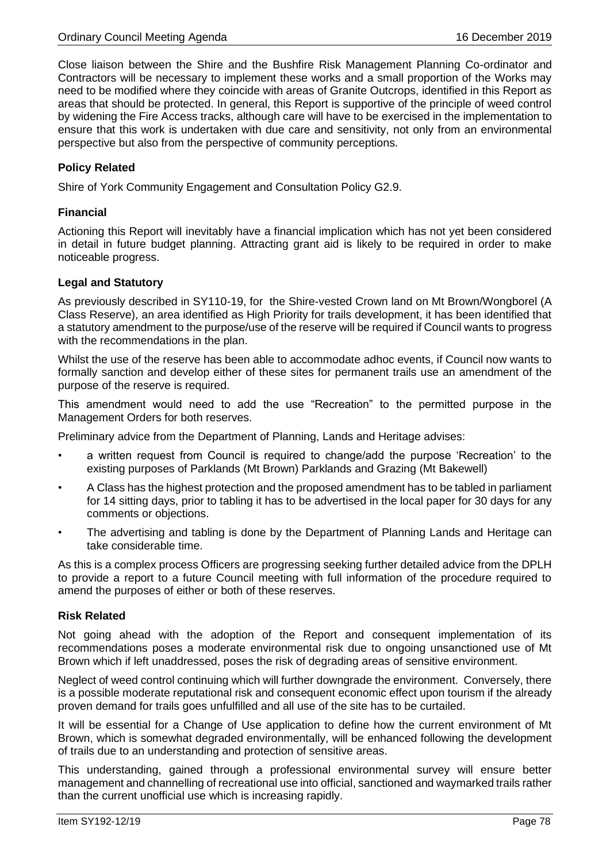Close liaison between the Shire and the Bushfire Risk Management Planning Co-ordinator and Contractors will be necessary to implement these works and a small proportion of the Works may need to be modified where they coincide with areas of Granite Outcrops, identified in this Report as areas that should be protected. In general, this Report is supportive of the principle of weed control by widening the Fire Access tracks, although care will have to be exercised in the implementation to ensure that this work is undertaken with due care and sensitivity, not only from an environmental perspective but also from the perspective of community perceptions.

## **Policy Related**

Shire of York Community Engagement and Consultation Policy G2.9.

## **Financial**

Actioning this Report will inevitably have a financial implication which has not yet been considered in detail in future budget planning. Attracting grant aid is likely to be required in order to make noticeable progress.

## **Legal and Statutory**

As previously described in SY110-19, for the Shire-vested Crown land on Mt Brown/Wongborel (A Class Reserve), an area identified as High Priority for trails development, it has been identified that a statutory amendment to the purpose/use of the reserve will be required if Council wants to progress with the recommendations in the plan.

Whilst the use of the reserve has been able to accommodate adhoc events, if Council now wants to formally sanction and develop either of these sites for permanent trails use an amendment of the purpose of the reserve is required.

This amendment would need to add the use "Recreation" to the permitted purpose in the Management Orders for both reserves.

Preliminary advice from the Department of Planning, Lands and Heritage advises:

- a written request from Council is required to change/add the purpose 'Recreation' to the existing purposes of Parklands (Mt Brown) Parklands and Grazing (Mt Bakewell)
- A Class has the highest protection and the proposed amendment has to be tabled in parliament for 14 sitting days, prior to tabling it has to be advertised in the local paper for 30 days for any comments or objections.
- The advertising and tabling is done by the Department of Planning Lands and Heritage can take considerable time.

As this is a complex process Officers are progressing seeking further detailed advice from the DPLH to provide a report to a future Council meeting with full information of the procedure required to amend the purposes of either or both of these reserves.

## **Risk Related**

Not going ahead with the adoption of the Report and consequent implementation of its recommendations poses a moderate environmental risk due to ongoing unsanctioned use of Mt Brown which if left unaddressed, poses the risk of degrading areas of sensitive environment.

Neglect of weed control continuing which will further downgrade the environment. Conversely, there is a possible moderate reputational risk and consequent economic effect upon tourism if the already proven demand for trails goes unfulfilled and all use of the site has to be curtailed.

It will be essential for a Change of Use application to define how the current environment of Mt Brown, which is somewhat degraded environmentally, will be enhanced following the development of trails due to an understanding and protection of sensitive areas.

This understanding, gained through a professional environmental survey will ensure better management and channelling of recreational use into official, sanctioned and waymarked trails rather than the current unofficial use which is increasing rapidly.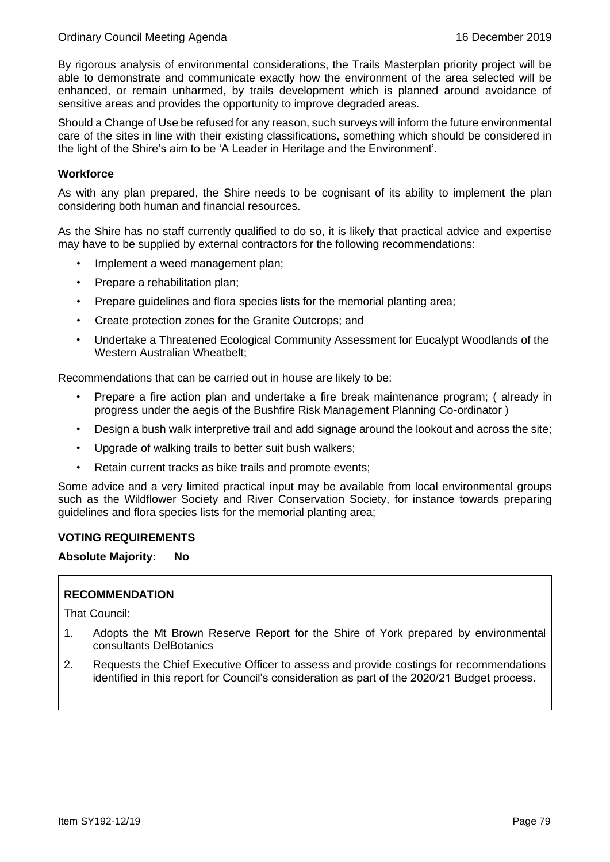By rigorous analysis of environmental considerations, the Trails Masterplan priority project will be able to demonstrate and communicate exactly how the environment of the area selected will be enhanced, or remain unharmed, by trails development which is planned around avoidance of sensitive areas and provides the opportunity to improve degraded areas.

Should a Change of Use be refused for any reason, such surveys will inform the future environmental care of the sites in line with their existing classifications, something which should be considered in the light of the Shire's aim to be 'A Leader in Heritage and the Environment'.

## **Workforce**

As with any plan prepared, the Shire needs to be cognisant of its ability to implement the plan considering both human and financial resources.

As the Shire has no staff currently qualified to do so, it is likely that practical advice and expertise may have to be supplied by external contractors for the following recommendations:

- Implement a weed management plan;
- Prepare a rehabilitation plan;
- Prepare guidelines and flora species lists for the memorial planting area;
- Create protection zones for the Granite Outcrops; and
- Undertake a Threatened Ecological Community Assessment for Eucalypt Woodlands of the Western Australian Wheatbelt;

Recommendations that can be carried out in house are likely to be:

- Prepare a fire action plan and undertake a fire break maintenance program; ( already in progress under the aegis of the Bushfire Risk Management Planning Co-ordinator )
- Design a bush walk interpretive trail and add signage around the lookout and across the site;
- Upgrade of walking trails to better suit bush walkers;
- Retain current tracks as bike trails and promote events;

Some advice and a very limited practical input may be available from local environmental groups such as the Wildflower Society and River Conservation Society, for instance towards preparing guidelines and flora species lists for the memorial planting area;

### **VOTING REQUIREMENTS**

**Absolute Majority: No**

## **RECOMMENDATION**

That Council:

- 1. Adopts the Mt Brown Reserve Report for the Shire of York prepared by environmental consultants DelBotanics
- 2. Requests the Chief Executive Officer to assess and provide costings for recommendations identified in this report for Council's consideration as part of the 2020/21 Budget process.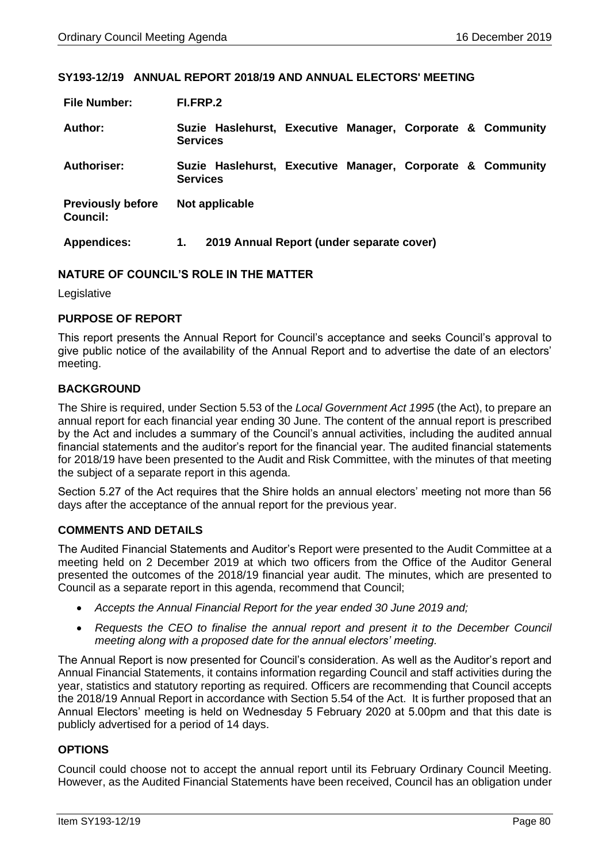### **SY193-12/19 ANNUAL REPORT 2018/19 AND ANNUAL ELECTORS' MEETING**

| <b>File Number:</b>                         | FI.FRP.2                                                                      |
|---------------------------------------------|-------------------------------------------------------------------------------|
| Author:                                     | Suzie Haslehurst, Executive Manager, Corporate & Community<br><b>Services</b> |
| Authoriser:                                 | Suzie Haslehurst, Executive Manager, Corporate & Community<br><b>Services</b> |
| <b>Previously before</b><br><b>Council:</b> | Not applicable                                                                |
| <b>Appendices:</b>                          | 2019 Annual Report (under separate cover)<br>1.                               |

## **NATURE OF COUNCIL'S ROLE IN THE MATTER**

Legislative

## **PURPOSE OF REPORT**

This report presents the Annual Report for Council's acceptance and seeks Council's approval to give public notice of the availability of the Annual Report and to advertise the date of an electors' meeting.

## **BACKGROUND**

The Shire is required, under Section 5.53 of the *Local Government Act 1995* (the Act), to prepare an annual report for each financial year ending 30 June. The content of the annual report is prescribed by the Act and includes a summary of the Council's annual activities, including the audited annual financial statements and the auditor's report for the financial year. The audited financial statements for 2018/19 have been presented to the Audit and Risk Committee, with the minutes of that meeting the subject of a separate report in this agenda.

Section 5.27 of the Act requires that the Shire holds an annual electors' meeting not more than 56 days after the acceptance of the annual report for the previous year.

## **COMMENTS AND DETAILS**

The Audited Financial Statements and Auditor's Report were presented to the Audit Committee at a meeting held on 2 December 2019 at which two officers from the Office of the Auditor General presented the outcomes of the 2018/19 financial year audit. The minutes, which are presented to Council as a separate report in this agenda, recommend that Council;

- *Accepts the Annual Financial Report for the year ended 30 June 2019 and;*
- *Requests the CEO to finalise the annual report and present it to the December Council meeting along with a proposed date for the annual electors' meeting.*

The Annual Report is now presented for Council's consideration. As well as the Auditor's report and Annual Financial Statements, it contains information regarding Council and staff activities during the year, statistics and statutory reporting as required. Officers are recommending that Council accepts the 2018/19 Annual Report in accordance with Section 5.54 of the Act. It is further proposed that an Annual Electors' meeting is held on Wednesday 5 February 2020 at 5.00pm and that this date is publicly advertised for a period of 14 days.

## **OPTIONS**

Council could choose not to accept the annual report until its February Ordinary Council Meeting. However, as the Audited Financial Statements have been received, Council has an obligation under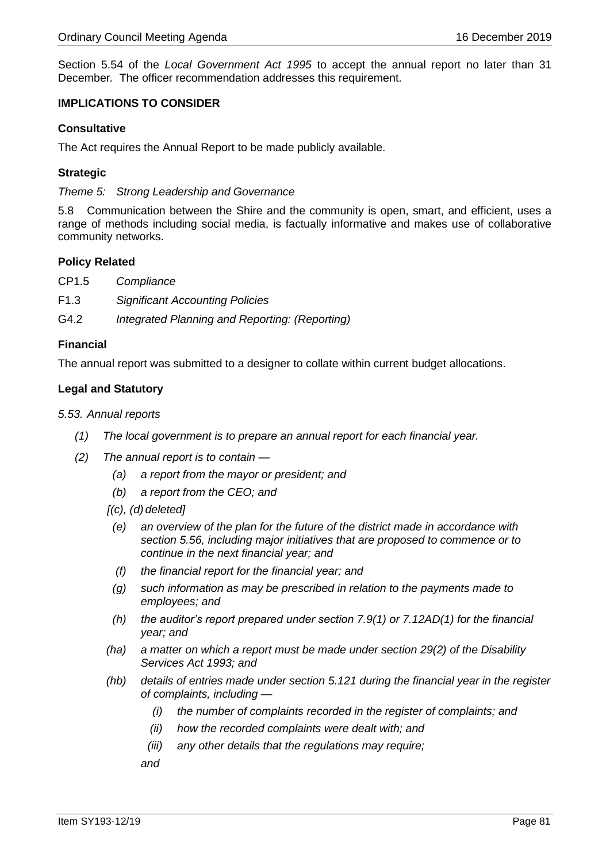Section 5.54 of the *Local Government Act 1995* to accept the annual report no later than 31 December*.* The officer recommendation addresses this requirement.

## **IMPLICATIONS TO CONSIDER**

## **Consultative**

The Act requires the Annual Report to be made publicly available.

## **Strategic**

*Theme 5: Strong Leadership and Governance*

5.8 Communication between the Shire and the community is open, smart, and efficient, uses a range of methods including social media, is factually informative and makes use of collaborative community networks.

### **Policy Related**

- CP1.5 *Compliance*
- F1.3 *Significant Accounting Policies*
- G4.2 *Integrated Planning and Reporting: (Reporting)*

### **Financial**

The annual report was submitted to a designer to collate within current budget allocations.

## **Legal and Statutory**

### *5.53. Annual reports*

- *(1) The local government is to prepare an annual report for each financial year.*
- *(2) The annual report is to contain —*
	- *(a) a report from the mayor or president; and*
	- *(b) a report from the CEO; and*
	- *[(c), (d) deleted]*
		- *(e) an overview of the plan for the future of the district made in accordance with section 5.56, including major initiatives that are proposed to commence or to continue in the next financial year; and*
		- *(f) the financial report for the financial year; and*
		- *(g) such information as may be prescribed in relation to the payments made to employees; and*
	- *(h) the auditor's report prepared under section 7.9(1) or 7.12AD(1) for the financial year; and*
	- *(ha) a matter on which a report must be made under section 29(2) of the Disability Services Act 1993; and*
	- *(hb) details of entries made under section 5.121 during the financial year in the register of complaints, including —*
		- *(i) the number of complaints recorded in the register of complaints; and*
		- *(ii) how the recorded complaints were dealt with; and*
		- *(iii) any other details that the regulations may require;*

*and*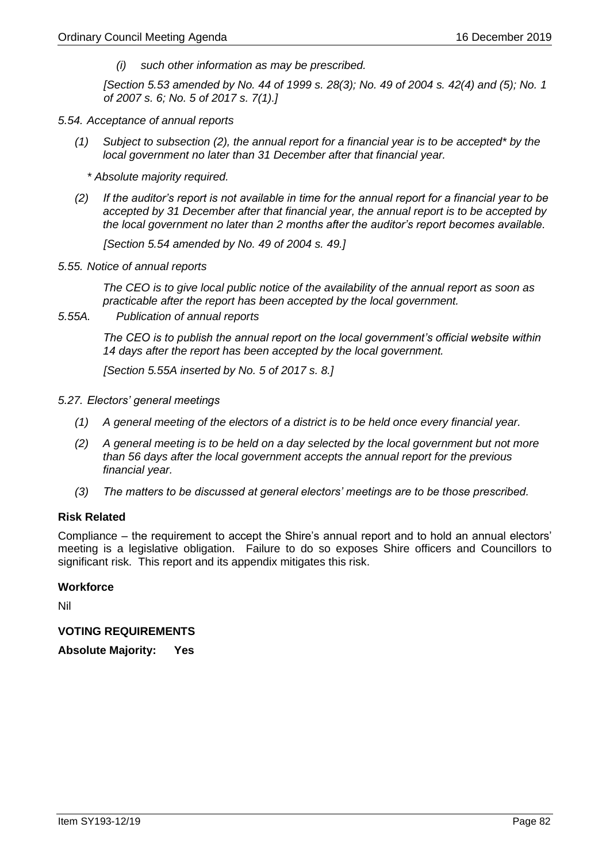*(i) such other information as may be prescribed.*

*[Section 5.53 amended by No. 44 of 1999 s. 28(3); No. 49 of 2004 s. 42(4) and (5); No. 1 of 2007 s. 6; No. 5 of 2017 s. 7(1).]*

- *5.54. Acceptance of annual reports*
	- *(1) Subject to subsection (2), the annual report for a financial year is to be accepted\* by the local government no later than 31 December after that financial year.*

*\* Absolute majority required.*

*(2) If the auditor's report is not available in time for the annual report for a financial year to be accepted by 31 December after that financial year, the annual report is to be accepted by the local government no later than 2 months after the auditor's report becomes available.*

*[Section 5.54 amended by No. 49 of 2004 s. 49.]*

*5.55. Notice of annual reports* 

*The CEO is to give local public notice of the availability of the annual report as soon as practicable after the report has been accepted by the local government.*

*5.55A. Publication of annual reports*

*The CEO is to publish the annual report on the local government's official website within 14 days after the report has been accepted by the local government.*

*[Section 5.55A inserted by No. 5 of 2017 s. 8.]*

- *5.27. Electors' general meetings*
	- *(1) A general meeting of the electors of a district is to be held once every financial year.*
	- *(2) A general meeting is to be held on a day selected by the local government but not more than 56 days after the local government accepts the annual report for the previous financial year.*
	- *(3) The matters to be discussed at general electors' meetings are to be those prescribed.*

### **Risk Related**

Compliance – the requirement to accept the Shire's annual report and to hold an annual electors' meeting is a legislative obligation. Failure to do so exposes Shire officers and Councillors to significant risk. This report and its appendix mitigates this risk.

### **Workforce**

Nil

**VOTING REQUIREMENTS** 

**Absolute Majority: Yes**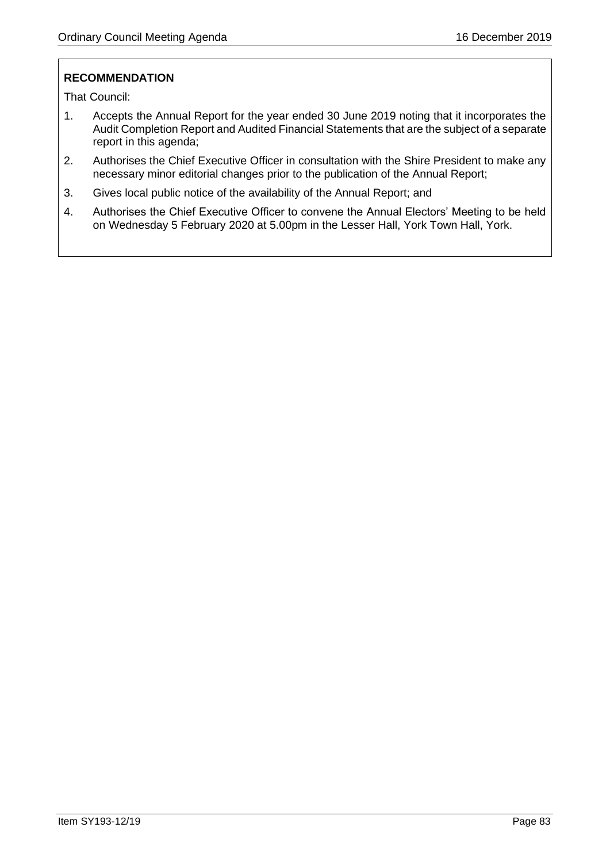# **RECOMMENDATION**

That Council:

- 1. Accepts the Annual Report for the year ended 30 June 2019 noting that it incorporates the Audit Completion Report and Audited Financial Statements that are the subject of a separate report in this agenda;
- 2. Authorises the Chief Executive Officer in consultation with the Shire President to make any necessary minor editorial changes prior to the publication of the Annual Report;
- 3. Gives local public notice of the availability of the Annual Report; and
- 4. Authorises the Chief Executive Officer to convene the Annual Electors' Meeting to be held on Wednesday 5 February 2020 at 5.00pm in the Lesser Hall, York Town Hall, York.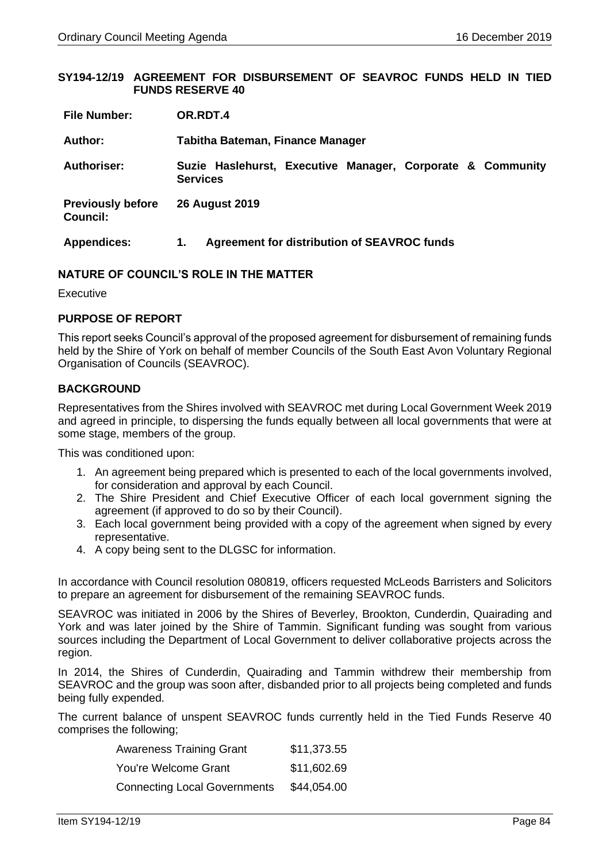### **SY194-12/19 AGREEMENT FOR DISBURSEMENT OF SEAVROC FUNDS HELD IN TIED FUNDS RESERVE 40**

| <b>File Number:</b>                         | OR.RDT.4                                                                      |
|---------------------------------------------|-------------------------------------------------------------------------------|
| Author:                                     | Tabitha Bateman, Finance Manager                                              |
| <b>Authoriser:</b>                          | Suzie Haslehurst, Executive Manager, Corporate & Community<br><b>Services</b> |
| <b>Previously before</b><br><b>Council:</b> | <b>26 August 2019</b>                                                         |
| <b>Appendices:</b>                          | Agreement for distribution of SEAVROC funds<br>1.                             |

### **NATURE OF COUNCIL'S ROLE IN THE MATTER**

Executive

## **PURPOSE OF REPORT**

This report seeks Council's approval of the proposed agreement for disbursement of remaining funds held by the Shire of York on behalf of member Councils of the South East Avon Voluntary Regional Organisation of Councils (SEAVROC).

## **BACKGROUND**

Representatives from the Shires involved with SEAVROC met during Local Government Week 2019 and agreed in principle, to dispersing the funds equally between all local governments that were at some stage, members of the group.

This was conditioned upon:

- 1. An agreement being prepared which is presented to each of the local governments involved, for consideration and approval by each Council.
- 2. The Shire President and Chief Executive Officer of each local government signing the agreement (if approved to do so by their Council).
- 3. Each local government being provided with a copy of the agreement when signed by every representative.
- 4. A copy being sent to the DLGSC for information.

In accordance with Council resolution 080819, officers requested McLeods Barristers and Solicitors to prepare an agreement for disbursement of the remaining SEAVROC funds.

SEAVROC was initiated in 2006 by the Shires of Beverley, Brookton, Cunderdin, Quairading and York and was later joined by the Shire of Tammin. Significant funding was sought from various sources including the Department of Local Government to deliver collaborative projects across the region.

In 2014, the Shires of Cunderdin, Quairading and Tammin withdrew their membership from SEAVROC and the group was soon after, disbanded prior to all projects being completed and funds being fully expended.

The current balance of unspent SEAVROC funds currently held in the Tied Funds Reserve 40 comprises the following;

| <b>Awareness Training Grant</b>     | \$11,373.55 |
|-------------------------------------|-------------|
| You're Welcome Grant                | \$11,602.69 |
| <b>Connecting Local Governments</b> | \$44,054.00 |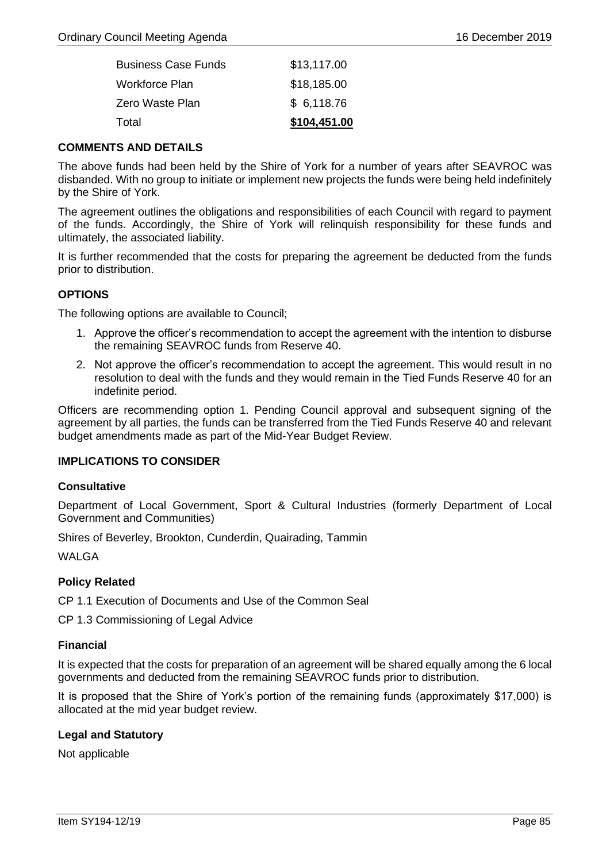| Total                      | \$104,451.00 |
|----------------------------|--------------|
| Zero Waste Plan            | \$6,118.76   |
| Workforce Plan             | \$18,185.00  |
| <b>Business Case Funds</b> | \$13,117.00  |

## **COMMENTS AND DETAILS**

The above funds had been held by the Shire of York for a number of years after SEAVROC was disbanded. With no group to initiate or implement new projects the funds were being held indefinitely by the Shire of York.

The agreement outlines the obligations and responsibilities of each Council with regard to payment of the funds. Accordingly, the Shire of York will relinquish responsibility for these funds and ultimately, the associated liability.

It is further recommended that the costs for preparing the agreement be deducted from the funds prior to distribution.

## **OPTIONS**

The following options are available to Council;

- 1. Approve the officer's recommendation to accept the agreement with the intention to disburse the remaining SEAVROC funds from Reserve 40.
- 2. Not approve the officer's recommendation to accept the agreement. This would result in no resolution to deal with the funds and they would remain in the Tied Funds Reserve 40 for an indefinite period.

Officers are recommending option 1. Pending Council approval and subsequent signing of the agreement by all parties, the funds can be transferred from the Tied Funds Reserve 40 and relevant budget amendments made as part of the Mid-Year Budget Review.

## **IMPLICATIONS TO CONSIDER**

### **Consultative**

Department of Local Government, Sport & Cultural Industries (formerly Department of Local Government and Communities)

Shires of Beverley, Brookton, Cunderdin, Quairading, Tammin

WAI GA

## **Policy Related**

CP 1.1 Execution of Documents and Use of the Common Seal

CP 1.3 Commissioning of Legal Advice

## **Financial**

It is expected that the costs for preparation of an agreement will be shared equally among the 6 local governments and deducted from the remaining SEAVROC funds prior to distribution.

It is proposed that the Shire of York's portion of the remaining funds (approximately \$17,000) is allocated at the mid year budget review.

## **Legal and Statutory**

Not applicable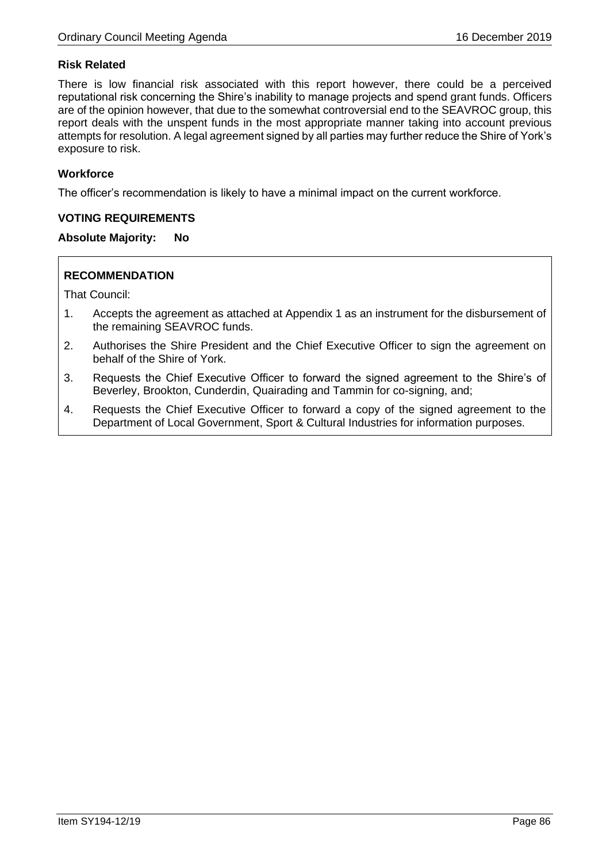# **Risk Related**

There is low financial risk associated with this report however, there could be a perceived reputational risk concerning the Shire's inability to manage projects and spend grant funds. Officers are of the opinion however, that due to the somewhat controversial end to the SEAVROC group, this report deals with the unspent funds in the most appropriate manner taking into account previous attempts for resolution. A legal agreement signed by all parties may further reduce the Shire of York's exposure to risk.

## **Workforce**

The officer's recommendation is likely to have a minimal impact on the current workforce.

## **VOTING REQUIREMENTS**

## **Absolute Majority: No**

## **RECOMMENDATION**

That Council:

- 1. Accepts the agreement as attached at Appendix 1 as an instrument for the disbursement of the remaining SEAVROC funds.
- 2. Authorises the Shire President and the Chief Executive Officer to sign the agreement on behalf of the Shire of York.
- 3. Requests the Chief Executive Officer to forward the signed agreement to the Shire's of Beverley, Brookton, Cunderdin, Quairading and Tammin for co-signing, and;
- 4. Requests the Chief Executive Officer to forward a copy of the signed agreement to the Department of Local Government, Sport & Cultural Industries for information purposes.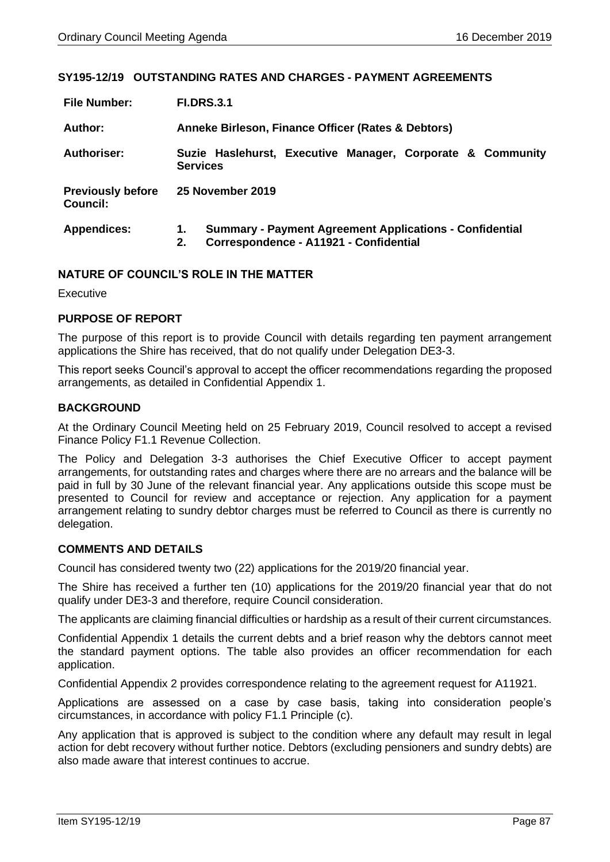### **SY195-12/19 OUTSTANDING RATES AND CHARGES - PAYMENT AGREEMENTS**

| <b>File Number:</b>                  | <b>FI.DRS.3.1</b> |                                                                                                          |
|--------------------------------------|-------------------|----------------------------------------------------------------------------------------------------------|
| Author:                              |                   | Anneke Birleson, Finance Officer (Rates & Debtors)                                                       |
| <b>Authoriser:</b>                   | <b>Services</b>   | Suzie Haslehurst, Executive Manager, Corporate & Community                                               |
| <b>Previously before</b><br>Council: |                   | <b>25 November 2019</b>                                                                                  |
| <b>Appendices:</b>                   | 1.<br>2.          | <b>Summary - Payment Agreement Applications - Confidential</b><br>Correspondence - A11921 - Confidential |

## **NATURE OF COUNCIL'S ROLE IN THE MATTER**

Executive

## **PURPOSE OF REPORT**

The purpose of this report is to provide Council with details regarding ten payment arrangement applications the Shire has received, that do not qualify under Delegation DE3-3.

This report seeks Council's approval to accept the officer recommendations regarding the proposed arrangements, as detailed in Confidential Appendix 1.

### **BACKGROUND**

At the Ordinary Council Meeting held on 25 February 2019, Council resolved to accept a revised Finance Policy F1.1 Revenue Collection.

The Policy and Delegation 3-3 authorises the Chief Executive Officer to accept payment arrangements, for outstanding rates and charges where there are no arrears and the balance will be paid in full by 30 June of the relevant financial year. Any applications outside this scope must be presented to Council for review and acceptance or rejection. Any application for a payment arrangement relating to sundry debtor charges must be referred to Council as there is currently no delegation.

### **COMMENTS AND DETAILS**

Council has considered twenty two (22) applications for the 2019/20 financial year.

The Shire has received a further ten (10) applications for the 2019/20 financial year that do not qualify under DE3-3 and therefore, require Council consideration.

The applicants are claiming financial difficulties or hardship as a result of their current circumstances.

Confidential Appendix 1 details the current debts and a brief reason why the debtors cannot meet the standard payment options. The table also provides an officer recommendation for each application.

Confidential Appendix 2 provides correspondence relating to the agreement request for A11921.

Applications are assessed on a case by case basis, taking into consideration people's circumstances, in accordance with policy F1.1 Principle (c).

Any application that is approved is subject to the condition where any default may result in legal action for debt recovery without further notice. Debtors (excluding pensioners and sundry debts) are also made aware that interest continues to accrue.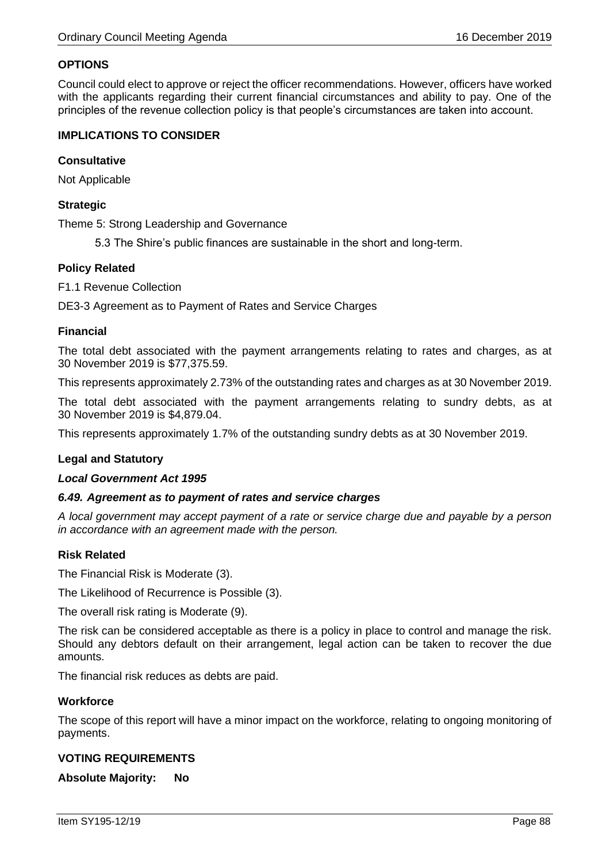## **OPTIONS**

Council could elect to approve or reject the officer recommendations. However, officers have worked with the applicants regarding their current financial circumstances and ability to pay. One of the principles of the revenue collection policy is that people's circumstances are taken into account.

## **IMPLICATIONS TO CONSIDER**

## **Consultative**

Not Applicable

## **Strategic**

Theme 5: Strong Leadership and Governance

5.3 The Shire's public finances are sustainable in the short and long-term.

### **Policy Related**

F1.1 Revenue Collection

DE3-3 Agreement as to Payment of Rates and Service Charges

## **Financial**

The total debt associated with the payment arrangements relating to rates and charges, as at 30 November 2019 is \$77,375.59.

This represents approximately 2.73% of the outstanding rates and charges as at 30 November 2019.

The total debt associated with the payment arrangements relating to sundry debts, as at 30 November 2019 is \$4,879.04.

This represents approximately 1.7% of the outstanding sundry debts as at 30 November 2019.

## **Legal and Statutory**

### *Local Government Act 1995*

### *6.49. Agreement as to payment of rates and service charges*

*A local government may accept payment of a rate or service charge due and payable by a person in accordance with an agreement made with the person.*

## **Risk Related**

The Financial Risk is Moderate (3).

The Likelihood of Recurrence is Possible (3).

The overall risk rating is Moderate (9).

The risk can be considered acceptable as there is a policy in place to control and manage the risk. Should any debtors default on their arrangement, legal action can be taken to recover the due amounts.

The financial risk reduces as debts are paid.

### **Workforce**

The scope of this report will have a minor impact on the workforce, relating to ongoing monitoring of payments.

## **VOTING REQUIREMENTS**

**Absolute Majority: No**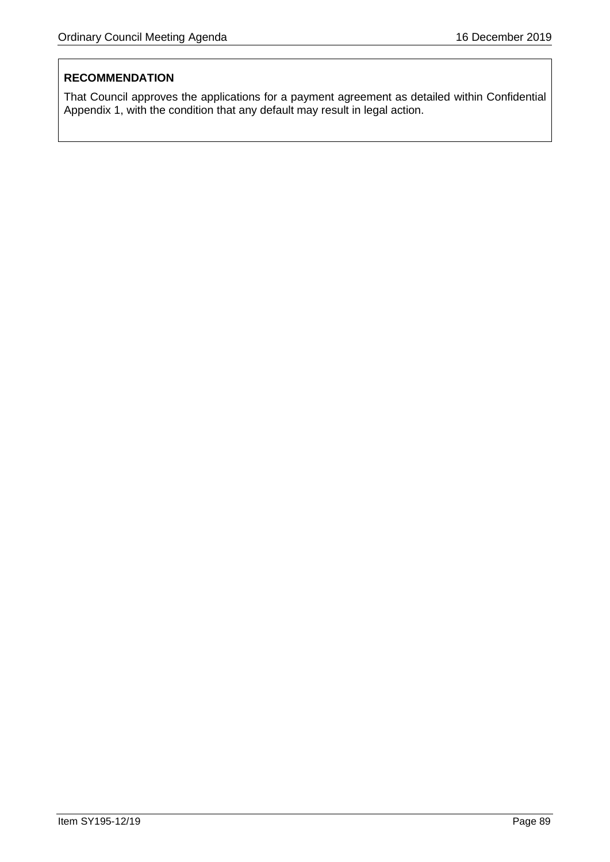# **RECOMMENDATION**

That Council approves the applications for a payment agreement as detailed within Confidential Appendix 1, with the condition that any default may result in legal action.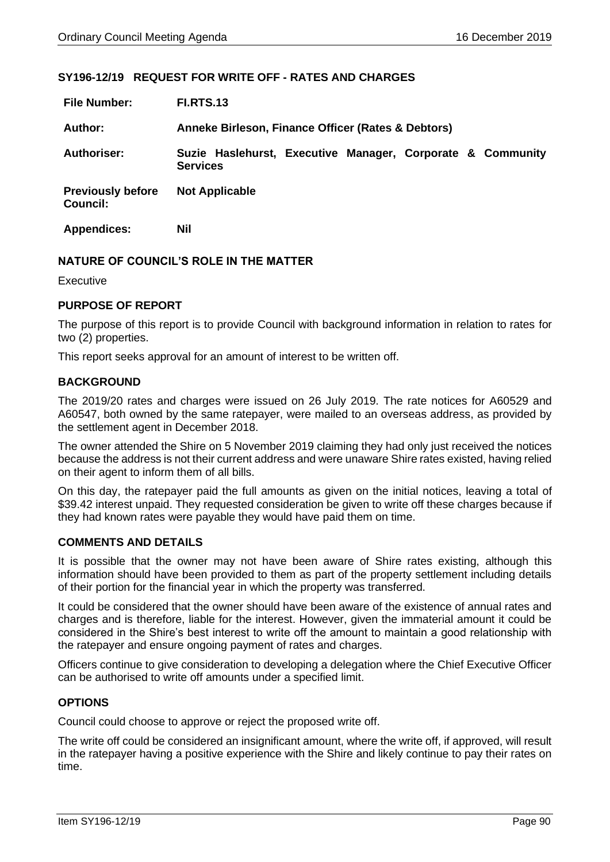## **SY196-12/19 REQUEST FOR WRITE OFF - RATES AND CHARGES**

| <b>File Number:</b>                         | <b>FI.RTS.13</b>                                                              |
|---------------------------------------------|-------------------------------------------------------------------------------|
| Author:                                     | Anneke Birleson, Finance Officer (Rates & Debtors)                            |
| <b>Authoriser:</b>                          | Suzie Haslehurst, Executive Manager, Corporate & Community<br><b>Services</b> |
| <b>Previously before</b><br><b>Council:</b> | <b>Not Applicable</b>                                                         |
| <b>Appendices:</b>                          | Nil                                                                           |

### **NATURE OF COUNCIL'S ROLE IN THE MATTER**

Executive

### **PURPOSE OF REPORT**

The purpose of this report is to provide Council with background information in relation to rates for two (2) properties.

This report seeks approval for an amount of interest to be written off.

### **BACKGROUND**

The 2019/20 rates and charges were issued on 26 July 2019. The rate notices for A60529 and A60547, both owned by the same ratepayer, were mailed to an overseas address, as provided by the settlement agent in December 2018.

The owner attended the Shire on 5 November 2019 claiming they had only just received the notices because the address is not their current address and were unaware Shire rates existed, having relied on their agent to inform them of all bills.

On this day, the ratepayer paid the full amounts as given on the initial notices, leaving a total of \$39.42 interest unpaid. They requested consideration be given to write off these charges because if they had known rates were payable they would have paid them on time.

### **COMMENTS AND DETAILS**

It is possible that the owner may not have been aware of Shire rates existing, although this information should have been provided to them as part of the property settlement including details of their portion for the financial year in which the property was transferred.

It could be considered that the owner should have been aware of the existence of annual rates and charges and is therefore, liable for the interest. However, given the immaterial amount it could be considered in the Shire's best interest to write off the amount to maintain a good relationship with the ratepayer and ensure ongoing payment of rates and charges.

Officers continue to give consideration to developing a delegation where the Chief Executive Officer can be authorised to write off amounts under a specified limit.

### **OPTIONS**

Council could choose to approve or reject the proposed write off.

The write off could be considered an insignificant amount, where the write off, if approved, will result in the ratepayer having a positive experience with the Shire and likely continue to pay their rates on time.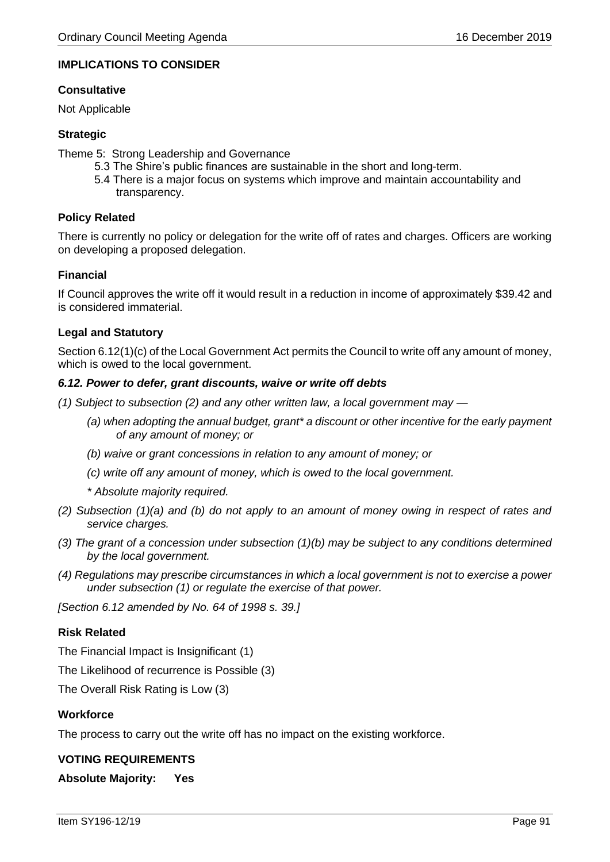## **IMPLICATIONS TO CONSIDER**

## **Consultative**

Not Applicable

## **Strategic**

Theme 5: Strong Leadership and Governance

- 5.3 The Shire's public finances are sustainable in the short and long-term.
- 5.4 There is a major focus on systems which improve and maintain accountability and transparency.

## **Policy Related**

There is currently no policy or delegation for the write off of rates and charges. Officers are working on developing a proposed delegation.

### **Financial**

If Council approves the write off it would result in a reduction in income of approximately \$39.42 and is considered immaterial.

### **Legal and Statutory**

Section 6.12(1)(c) of the Local Government Act permits the Council to write off any amount of money, which is owed to the local government.

### *6.12. Power to defer, grant discounts, waive or write off debts*

*(1) Subject to subsection (2) and any other written law, a local government may —*

- *(a) when adopting the annual budget, grant\* a discount or other incentive for the early payment of any amount of money; or*
- *(b) waive or grant concessions in relation to any amount of money; or*
- *(c) write off any amount of money, which is owed to the local government.*
- *\* Absolute majority required.*
- *(2) Subsection (1)(a) and (b) do not apply to an amount of money owing in respect of rates and service charges.*
- *(3) The grant of a concession under subsection (1)(b) may be subject to any conditions determined by the local government.*
- *(4) Regulations may prescribe circumstances in which a local government is not to exercise a power under subsection (1) or regulate the exercise of that power.*

*[Section 6.12 amended by No. 64 of 1998 s. 39.]*

## **Risk Related**

The Financial Impact is Insignificant (1)

The Likelihood of recurrence is Possible (3)

The Overall Risk Rating is Low (3)

## **Workforce**

The process to carry out the write off has no impact on the existing workforce.

### **VOTING REQUIREMENTS**

**Absolute Majority: Yes**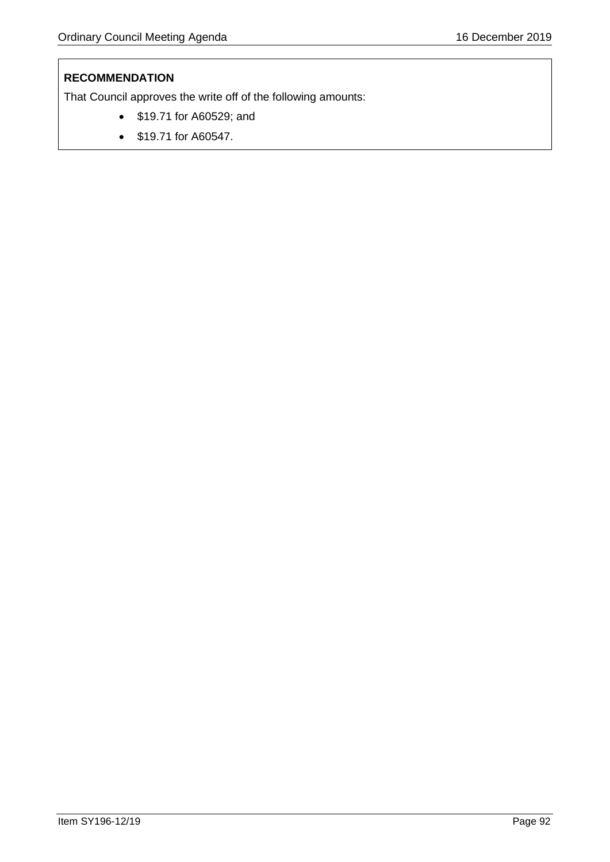# **RECOMMENDATION**

That Council approves the write off of the following amounts:

- \$19.71 for A60529; and
- \$19.71 for A60547.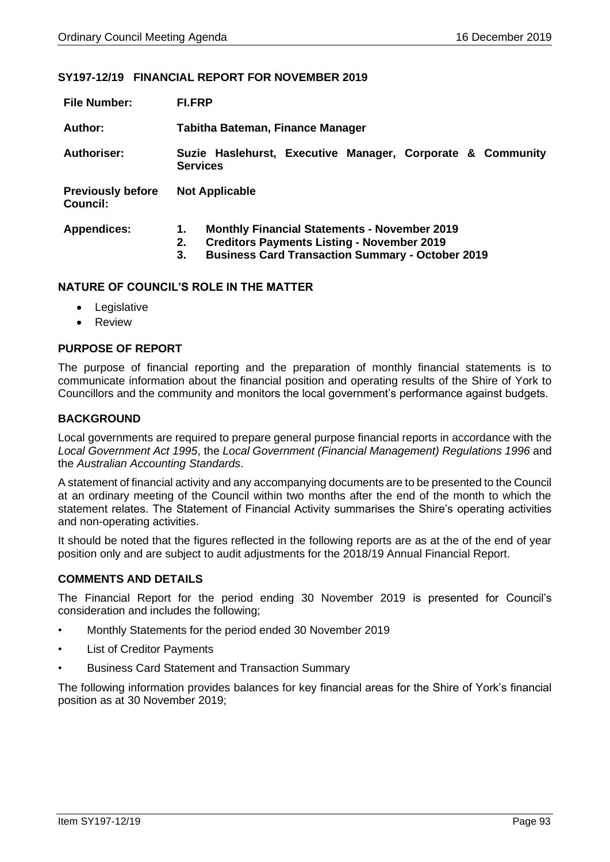### **SY197-12/19 FINANCIAL REPORT FOR NOVEMBER 2019**

| <b>File Number:</b>                         | <b>FI.FRP</b>                                                                                                                                                                         |
|---------------------------------------------|---------------------------------------------------------------------------------------------------------------------------------------------------------------------------------------|
| Author:                                     | Tabitha Bateman, Finance Manager                                                                                                                                                      |
| Authoriser:                                 | Suzie Haslehurst, Executive Manager, Corporate & Community<br><b>Services</b>                                                                                                         |
| <b>Previously before</b><br><b>Council:</b> | <b>Not Applicable</b>                                                                                                                                                                 |
| <b>Appendices:</b>                          | <b>Monthly Financial Statements - November 2019</b><br>1.<br><b>Creditors Payments Listing - November 2019</b><br>2.<br><b>Business Card Transaction Summary - October 2019</b><br>3. |

### **NATURE OF COUNCIL'S ROLE IN THE MATTER**

- Legislative
- Review

## **PURPOSE OF REPORT**

The purpose of financial reporting and the preparation of monthly financial statements is to communicate information about the financial position and operating results of the Shire of York to Councillors and the community and monitors the local government's performance against budgets.

## **BACKGROUND**

Local governments are required to prepare general purpose financial reports in accordance with the *Local Government Act 1995*, the *Local Government (Financial Management) Regulations 1996* and the *Australian Accounting Standards*.

A statement of financial activity and any accompanying documents are to be presented to the Council at an ordinary meeting of the Council within two months after the end of the month to which the statement relates. The Statement of Financial Activity summarises the Shire's operating activities and non-operating activities.

It should be noted that the figures reflected in the following reports are as at the of the end of year position only and are subject to audit adjustments for the 2018/19 Annual Financial Report.

## **COMMENTS AND DETAILS**

The Financial Report for the period ending 30 November 2019 is presented for Council's consideration and includes the following;

- Monthly Statements for the period ended 30 November 2019
- **List of Creditor Payments**
- Business Card Statement and Transaction Summary

The following information provides balances for key financial areas for the Shire of York's financial position as at 30 November 2019;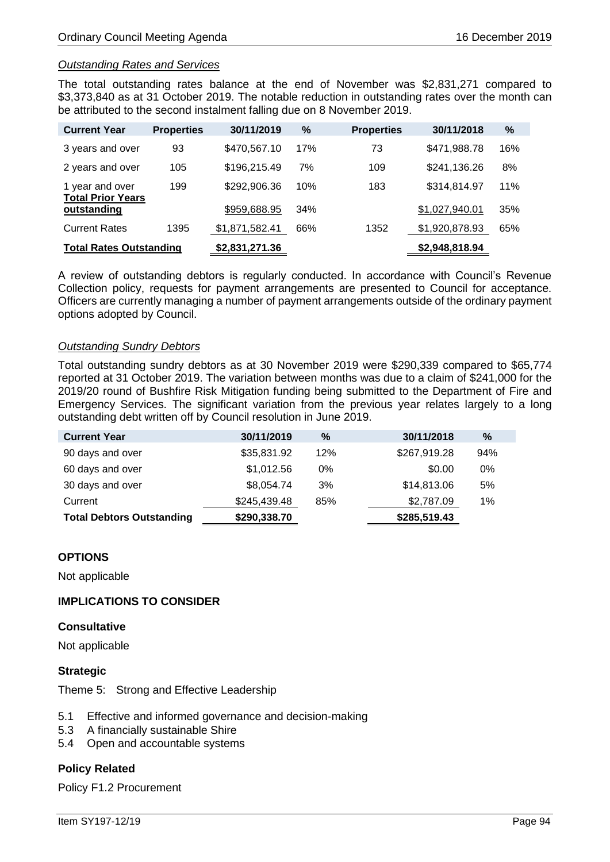### *Outstanding Rates and Services*

The total outstanding rates balance at the end of November was \$2,831,271 compared to \$3,373,840 as at 31 October 2019. The notable reduction in outstanding rates over the month can be attributed to the second instalment falling due on 8 November 2019.

| <b>Current Year</b>                         | <b>Properties</b> | 30/11/2019     | %   | <b>Properties</b> | 30/11/2018     | $\%$ |
|---------------------------------------------|-------------------|----------------|-----|-------------------|----------------|------|
| 3 years and over                            | 93                | \$470,567.10   | 17% | 73                | \$471,988.78   | 16%  |
| 2 years and over                            | 105               | \$196,215.49   | 7%  | 109               | \$241,136.26   | 8%   |
| 1 year and over<br><b>Total Prior Years</b> | 199               | \$292,906.36   | 10% | 183               | \$314,814.97   | 11%  |
| outstanding                                 |                   | \$959,688.95   | 34% |                   | \$1,027,940.01 | 35%  |
| <b>Current Rates</b>                        | 1395              | \$1,871,582.41 | 66% | 1352              | \$1,920,878.93 | 65%  |
| <b>Total Rates Outstanding</b>              |                   | \$2,831,271.36 |     |                   | \$2,948,818.94 |      |

A review of outstanding debtors is regularly conducted. In accordance with Council's Revenue Collection policy, requests for payment arrangements are presented to Council for acceptance. Officers are currently managing a number of payment arrangements outside of the ordinary payment options adopted by Council.

### *Outstanding Sundry Debtors*

Total outstanding sundry debtors as at 30 November 2019 were \$290,339 compared to \$65,774 reported at 31 October 2019. The variation between months was due to a claim of \$241,000 for the 2019/20 round of Bushfire Risk Mitigation funding being submitted to the Department of Fire and Emergency Services. The significant variation from the previous year relates largely to a long outstanding debt written off by Council resolution in June 2019.

| <b>Current Year</b>              | 30/11/2019   | %   | 30/11/2018   | $\%$  |
|----------------------------------|--------------|-----|--------------|-------|
| 90 days and over                 | \$35,831.92  | 12% | \$267,919.28 | 94%   |
| 60 days and over                 | \$1,012.56   | 0%  | \$0.00       | 0%    |
| 30 days and over                 | \$8,054.74   | 3%  | \$14,813.06  | 5%    |
| Current                          | \$245,439.48 | 85% | \$2,787.09   | $1\%$ |
| <b>Total Debtors Outstanding</b> | \$290,338.70 |     | \$285,519.43 |       |

### **OPTIONS**

Not applicable

## **IMPLICATIONS TO CONSIDER**

### **Consultative**

Not applicable

### **Strategic**

Theme 5: Strong and Effective Leadership

- 5.1 Effective and informed governance and decision-making
- 5.3 A financially sustainable Shire
- 5.4 Open and accountable systems

## **Policy Related**

Policy F1.2 Procurement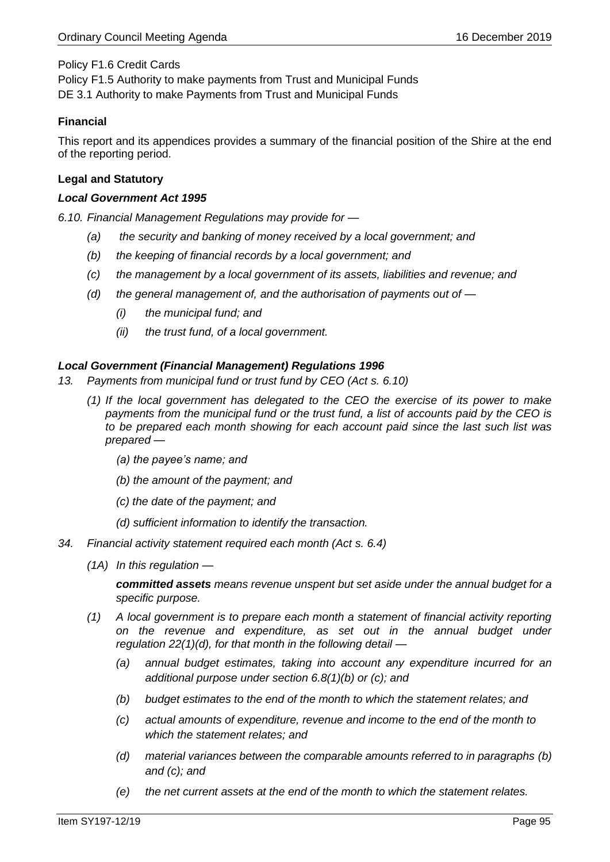## Policy F1.6 Credit Cards

Policy F1.5 Authority to make payments from Trust and Municipal Funds DE 3.1 Authority to make Payments from Trust and Municipal Funds

## **Financial**

This report and its appendices provides a summary of the financial position of the Shire at the end of the reporting period.

## **Legal and Statutory**

## *Local Government Act 1995*

*6.10. Financial Management Regulations may provide for —*

- *(a) the security and banking of money received by a local government; and*
- *(b) the keeping of financial records by a local government; and*
- *(c) the management by a local government of its assets, liabilities and revenue; and*
- *(d) the general management of, and the authorisation of payments out of —*
	- *(i) the municipal fund; and*
	- *(ii) the trust fund, of a local government.*

## *Local Government (Financial Management) Regulations 1996*

- *13. Payments from municipal fund or trust fund by CEO (Act s. 6.10)*
	- *(1) If the local government has delegated to the CEO the exercise of its power to make payments from the municipal fund or the trust fund, a list of accounts paid by the CEO is to be prepared each month showing for each account paid since the last such list was prepared —*
		- *(a) the payee's name; and*
		- *(b) the amount of the payment; and*
		- *(c) the date of the payment; and*
		- *(d) sufficient information to identify the transaction.*
- *34. Financial activity statement required each month (Act s. 6.4)*
	- *(1A) In this regulation —*

*committed assets means revenue unspent but set aside under the annual budget for a specific purpose.*

- *(1) A local government is to prepare each month a statement of financial activity reporting on the revenue and expenditure, as set out in the annual budget under regulation 22(1)(d), for that month in the following detail —*
	- *(a) annual budget estimates, taking into account any expenditure incurred for an additional purpose under section 6.8(1)(b) or (c); and*
	- *(b) budget estimates to the end of the month to which the statement relates; and*
	- *(c) actual amounts of expenditure, revenue and income to the end of the month to which the statement relates; and*
	- *(d) material variances between the comparable amounts referred to in paragraphs (b) and (c); and*
	- *(e) the net current assets at the end of the month to which the statement relates.*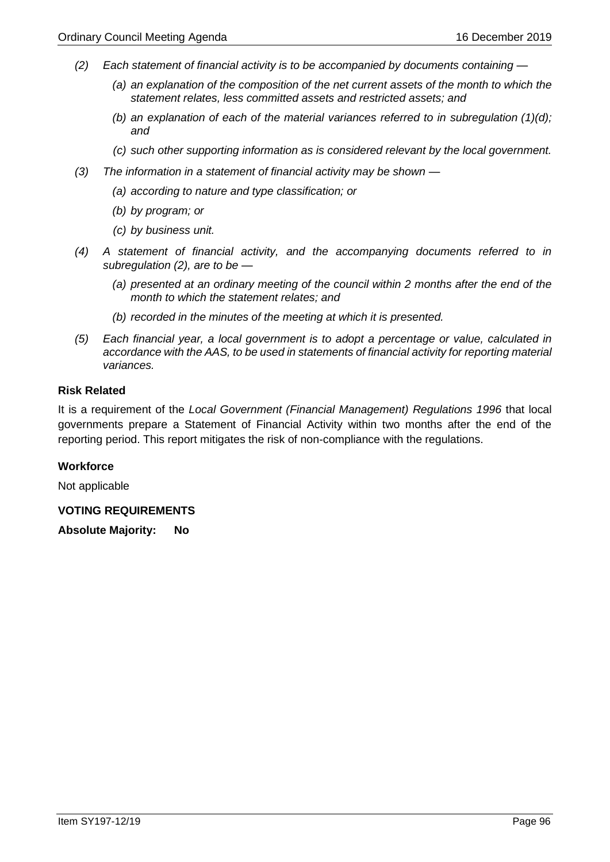- *(2) Each statement of financial activity is to be accompanied by documents containing —*
	- *(a) an explanation of the composition of the net current assets of the month to which the statement relates, less committed assets and restricted assets; and*
	- *(b) an explanation of each of the material variances referred to in subregulation (1)(d); and*
	- *(c) such other supporting information as is considered relevant by the local government.*
- *(3) The information in a statement of financial activity may be shown —*
	- *(a) according to nature and type classification; or*
	- *(b) by program; or*
	- *(c) by business unit.*
- *(4) A statement of financial activity, and the accompanying documents referred to in subregulation (2), are to be —*
	- *(a) presented at an ordinary meeting of the council within 2 months after the end of the month to which the statement relates; and*
	- *(b) recorded in the minutes of the meeting at which it is presented.*
- *(5) Each financial year, a local government is to adopt a percentage or value, calculated in accordance with the AAS, to be used in statements of financial activity for reporting material variances.*

### **Risk Related**

It is a requirement of the *Local Government (Financial Management) Regulations 1996* that local governments prepare a Statement of Financial Activity within two months after the end of the reporting period. This report mitigates the risk of non-compliance with the regulations.

## **Workforce**

Not applicable

## **VOTING REQUIREMENTS**

**Absolute Majority: No**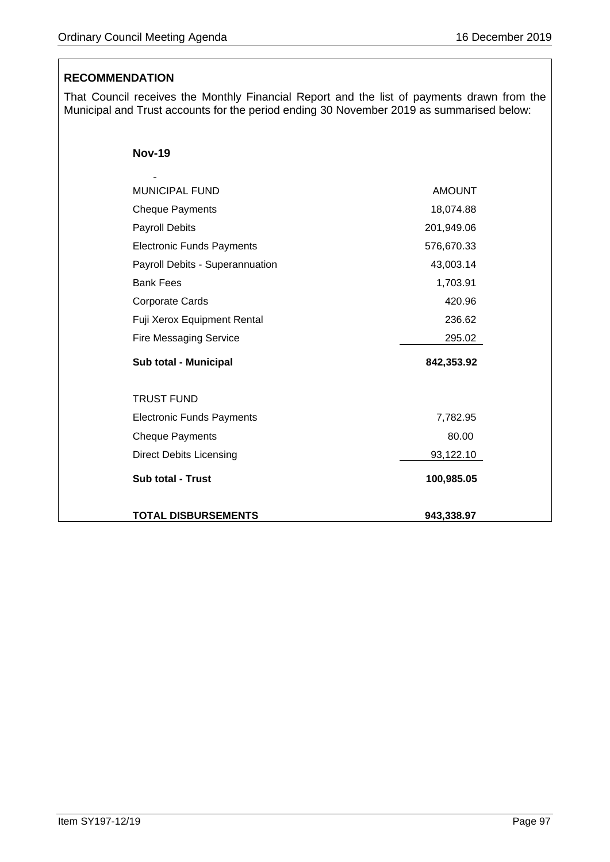# **RECOMMENDATION**

That Council receives the Monthly Financial Report and the list of payments drawn from the Municipal and Trust accounts for the period ending 30 November 2019 as summarised below:

| <b>Nov-19</b> |
|---------------|
|---------------|

 $\ddot{\phantom{a}}$ 

| <b>MUNICIPAL FUND</b>            | <b>AMOUNT</b> |
|----------------------------------|---------------|
| <b>Cheque Payments</b>           | 18,074.88     |
| <b>Payroll Debits</b>            | 201,949.06    |
| <b>Electronic Funds Payments</b> | 576,670.33    |
| Payroll Debits - Superannuation  | 43,003.14     |
| <b>Bank Fees</b>                 | 1,703.91      |
| Corporate Cards                  | 420.96        |
| Fuji Xerox Equipment Rental      | 236.62        |
| <b>Fire Messaging Service</b>    | 295.02        |
| Sub total - Municipal            | 842,353.92    |
|                                  |               |
| <b>TRUST FUND</b>                |               |
| <b>Electronic Funds Payments</b> | 7,782.95      |
| <b>Cheque Payments</b>           | 80.00         |
| <b>Direct Debits Licensing</b>   | 93,122.10     |
| <b>Sub total - Trust</b>         | 100,985.05    |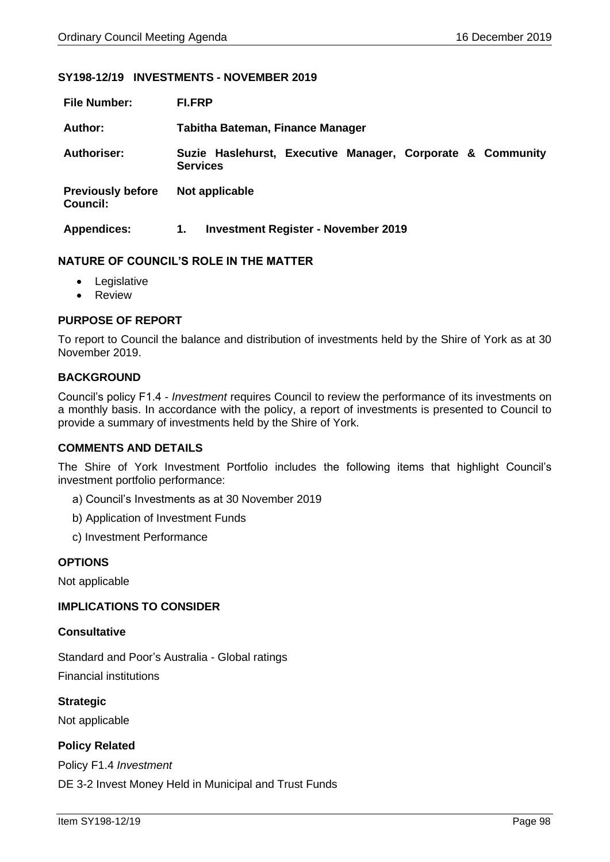### **SY198-12/19 INVESTMENTS - NOVEMBER 2019**

| <b>File Number:</b>                         | <b>FI.FRP</b>                                                                 |
|---------------------------------------------|-------------------------------------------------------------------------------|
| Author:                                     | Tabitha Bateman, Finance Manager                                              |
| <b>Authoriser:</b>                          | Suzie Haslehurst, Executive Manager, Corporate & Community<br><b>Services</b> |
| <b>Previously before</b><br><b>Council:</b> | Not applicable                                                                |
| <b>Appendices:</b>                          | <b>Investment Register - November 2019</b><br>1.                              |

### **NATURE OF COUNCIL'S ROLE IN THE MATTER**

- Legislative
- Review

## **PURPOSE OF REPORT**

To report to Council the balance and distribution of investments held by the Shire of York as at 30 November 2019.

### **BACKGROUND**

Council's policy F1.4 - *Investment* requires Council to review the performance of its investments on a monthly basis. In accordance with the policy, a report of investments is presented to Council to provide a summary of investments held by the Shire of York.

### **COMMENTS AND DETAILS**

The Shire of York Investment Portfolio includes the following items that highlight Council's investment portfolio performance:

- a) Council's Investments as at 30 November 2019
- b) Application of Investment Funds
- c) Investment Performance

### **OPTIONS**

Not applicable

### **IMPLICATIONS TO CONSIDER**

### **Consultative**

Standard and Poor's Australia - Global ratings Financial institutions

**Strategic** Not applicable

## **Policy Related**

Policy F1.4 *Investment* DE 3-2 Invest Money Held in Municipal and Trust Funds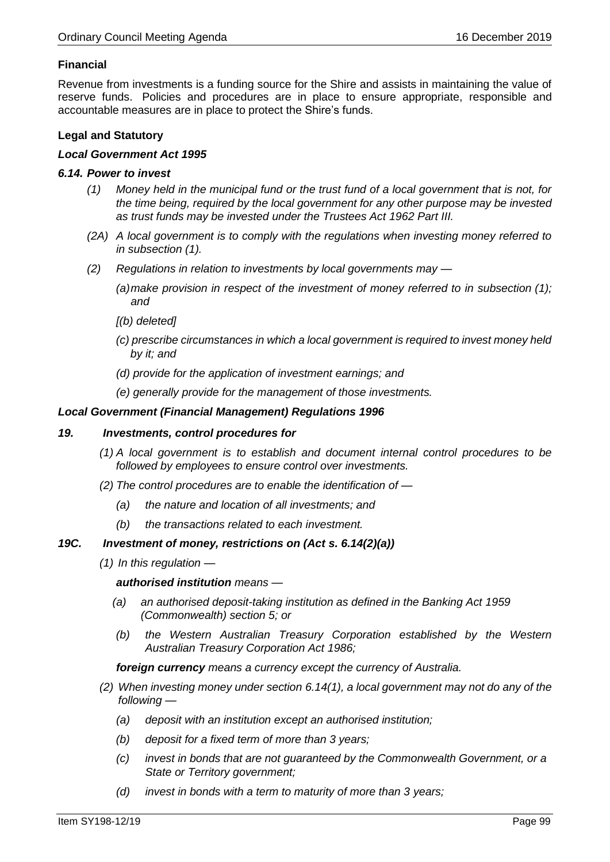## **Financial**

Revenue from investments is a funding source for the Shire and assists in maintaining the value of reserve funds. Policies and procedures are in place to ensure appropriate, responsible and accountable measures are in place to protect the Shire's funds.

## **Legal and Statutory**

### *Local Government Act 1995*

### *6.14. Power to invest*

- *(1) Money held in the municipal fund or the trust fund of a local government that is not, for the time being, required by the local government for any other purpose may be invested as trust funds may be invested under the Trustees Act 1962 Part III.*
- *(2A) A local government is to comply with the regulations when investing money referred to in subsection (1).*
- *(2) Regulations in relation to investments by local governments may —*
	- *(a)make provision in respect of the investment of money referred to in subsection (1); and*
	- *[(b) deleted]*
	- *(c) prescribe circumstances in which a local government is required to invest money held by it; and*
	- *(d) provide for the application of investment earnings; and*
	- *(e) generally provide for the management of those investments.*

### *Local Government (Financial Management) Regulations 1996*

### *19. Investments, control procedures for*

- *(1) A local government is to establish and document internal control procedures to be followed by employees to ensure control over investments.*
- *(2) The control procedures are to enable the identification of —*
	- *(a) the nature and location of all investments; and*
	- *(b) the transactions related to each investment.*

## *19C. Investment of money, restrictions on (Act s. 6.14(2)(a))*

*(1) In this regulation —*

*authorised institution means —*

- *(a) an authorised deposit-taking institution as defined in the Banking Act 1959 (Commonwealth) section 5; or*
- *(b) the Western Australian Treasury Corporation established by the Western Australian Treasury Corporation Act 1986;*

*foreign currency means a currency except the currency of Australia.*

- *(2) When investing money under section 6.14(1), a local government may not do any of the following —*
	- *(a) deposit with an institution except an authorised institution;*
	- *(b) deposit for a fixed term of more than 3 years;*
	- *(c) invest in bonds that are not guaranteed by the Commonwealth Government, or a State or Territory government;*
	- *(d) invest in bonds with a term to maturity of more than 3 years;*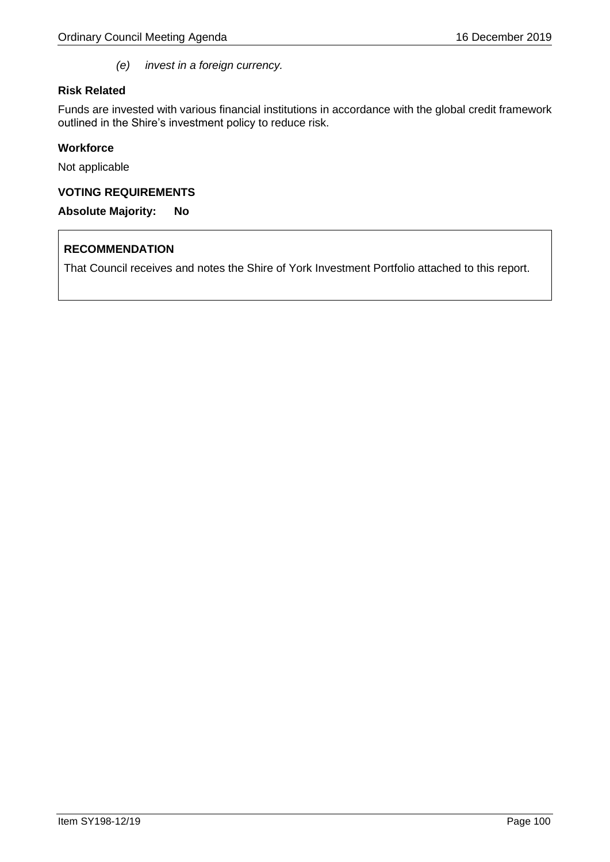*(e) invest in a foreign currency.*

## **Risk Related**

Funds are invested with various financial institutions in accordance with the global credit framework outlined in the Shire's investment policy to reduce risk.

## **Workforce**

Not applicable

## **VOTING REQUIREMENTS**

**Absolute Majority: No**

# **RECOMMENDATION**

That Council receives and notes the Shire of York Investment Portfolio attached to this report.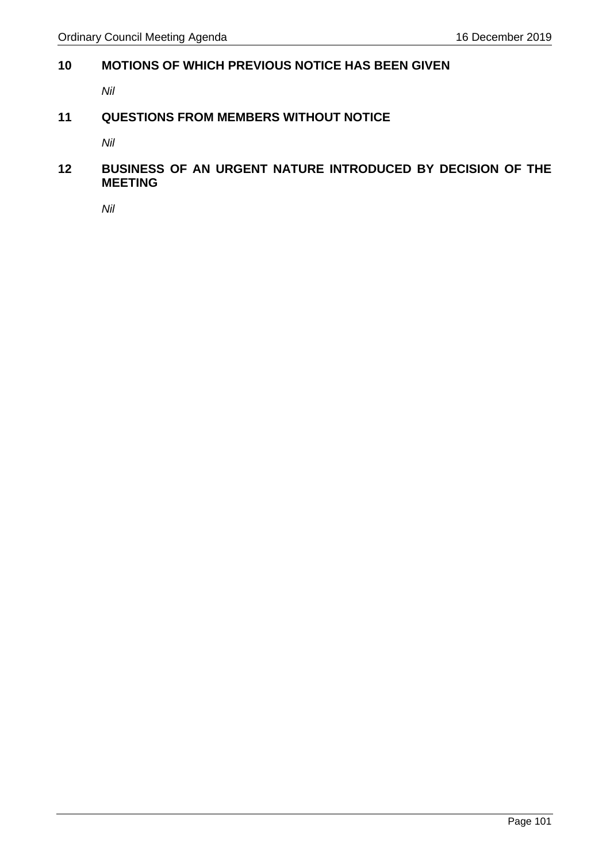# **10 MOTIONS OF WHICH PREVIOUS NOTICE HAS BEEN GIVEN**

*Nil* 

# **11 QUESTIONS FROM MEMBERS WITHOUT NOTICE**

*Nil*

# **12 BUSINESS OF AN URGENT NATURE INTRODUCED BY DECISION OF THE MEETING**

*Nil*